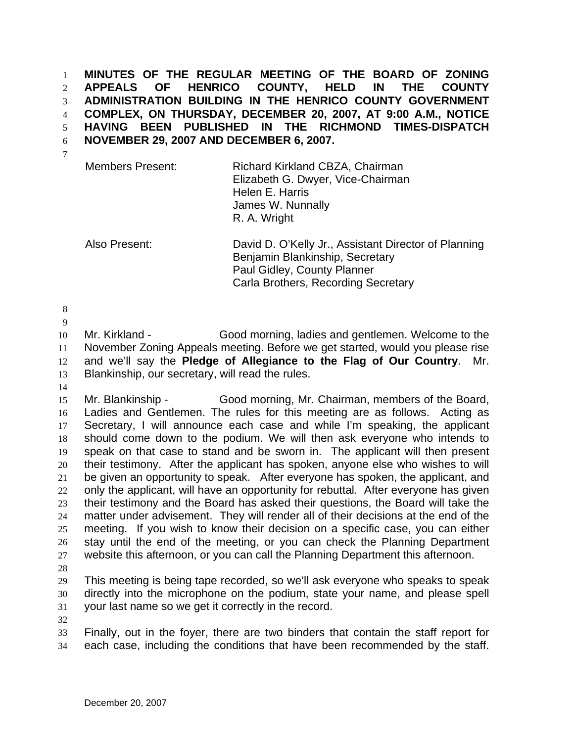**MINUTES OF THE REGULAR MEETING OF THE BOARD OF ZONING APPEALS OF HENRICO COUNTY, HELD IN THE COUNTY ADMINISTRATION BUILDING IN THE HENRICO COUNTY GOVERNMENT COMPLEX, ON THURSDAY, DECEMBER 20, 2007, AT 9:00 A.M., NOTICE HAVING BEEN PUBLISHED IN THE RICHMOND TIMES-DISPATCH NOVEMBER 29, 2007 AND DECEMBER 6, 2007.**  1 2 3 4 5 6

| James W. Nunnally<br>R. A. Wright | <b>Members Present:</b> | Richard Kirkland CBZA, Chairman<br>Elizabeth G. Dwyer, Vice-Chairman<br>Helen E. Harris |
|-----------------------------------|-------------------------|-----------------------------------------------------------------------------------------|
|-----------------------------------|-------------------------|-----------------------------------------------------------------------------------------|

Also Present: David D. O'Kelly Jr., Assistant Director of Planning Benjamin Blankinship, Secretary Paul Gidley, County Planner Carla Brothers, Recording Secretary

8 9

7

10 11 12 13 Mr. Kirkland - Good morning, ladies and gentlemen. Welcome to the November Zoning Appeals meeting. Before we get started, would you please rise and we'll say the **Pledge of Allegiance to the Flag of Our Country**. Mr. Blankinship, our secretary, will read the rules.

14

15 16 17 18 19 20 21 22 23 24 25 26 27 Mr. Blankinship - Good morning, Mr. Chairman, members of the Board, Ladies and Gentlemen. The rules for this meeting are as follows. Acting as Secretary, I will announce each case and while I'm speaking, the applicant should come down to the podium. We will then ask everyone who intends to speak on that case to stand and be sworn in. The applicant will then present their testimony. After the applicant has spoken, anyone else who wishes to will be given an opportunity to speak. After everyone has spoken, the applicant, and only the applicant, will have an opportunity for rebuttal. After everyone has given their testimony and the Board has asked their questions, the Board will take the matter under advisement. They will render all of their decisions at the end of the meeting. If you wish to know their decision on a specific case, you can either stay until the end of the meeting, or you can check the Planning Department website this afternoon, or you can call the Planning Department this afternoon.

28

29 30 31 This meeting is being tape recorded, so we'll ask everyone who speaks to speak directly into the microphone on the podium, state your name, and please spell your last name so we get it correctly in the record.

32

33 34 Finally, out in the foyer, there are two binders that contain the staff report for each case, including the conditions that have been recommended by the staff.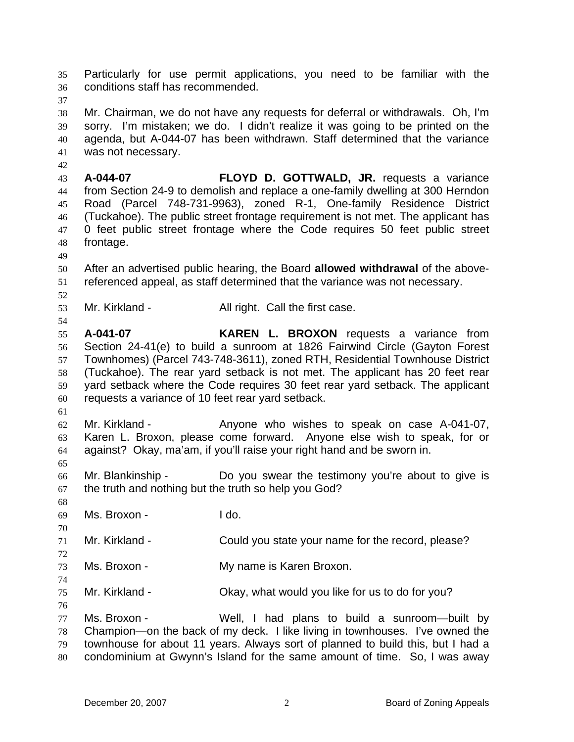Particularly for use permit applications, you need to be familiar with the conditions staff has recommended. 35 36

37

42

38 39 40 41 Mr. Chairman, we do not have any requests for deferral or withdrawals. Oh, I'm sorry. I'm mistaken; we do. I didn't realize it was going to be printed on the agenda, but A-044-07 has been withdrawn. Staff determined that the variance was not necessary.

43 44 45 46 47 48 **A-044-07 FLOYD D. GOTTWALD, JR.** requests a variance from Section 24-9 to demolish and replace a one-family dwelling at 300 Herndon Road (Parcel 748-731-9963), zoned R-1, One-family Residence District (Tuckahoe). The public street frontage requirement is not met. The applicant has 0 feet public street frontage where the Code requires 50 feet public street frontage.

49

52

54

50 51 After an advertised public hearing, the Board **allowed withdrawal** of the abovereferenced appeal, as staff determined that the variance was not necessary.

53 Mr. Kirkland - The All right. Call the first case.

55 56 57 58 59 60 **A-041-07 KAREN L. BROXON** requests a variance from Section 24-41(e) to build a sunroom at 1826 Fairwind Circle (Gayton Forest Townhomes) (Parcel 743-748-3611), zoned RTH, Residential Townhouse District (Tuckahoe). The rear yard setback is not met. The applicant has 20 feet rear yard setback where the Code requires 30 feet rear yard setback. The applicant requests a variance of 10 feet rear yard setback.

61

62 63 64 Mr. Kirkland - The Anyone who wishes to speak on case A-041-07, Karen L. Broxon, please come forward. Anyone else wish to speak, for or against? Okay, ma'am, if you'll raise your right hand and be sworn in.

66 67 Mr. Blankinship - The Do you swear the testimony you're about to give is the truth and nothing but the truth so help you God?

68 69

70

72

74

65

Ms. Broxon - I do.

71 Mr. Kirkland - Could you state your name for the record, please?

73 Ms. Broxon - The My name is Karen Broxon.

75 Mr. Kirkland - Ckay, what would you like for us to do for you?

76

77 78 79 Ms. Broxon - Well, I had plans to build a sunroom-built by Champion—on the back of my deck. I like living in townhouses. I've owned the townhouse for about 11 years. Always sort of planned to build this, but I had a

80 condominium at Gwynn's Island for the same amount of time. So, I was away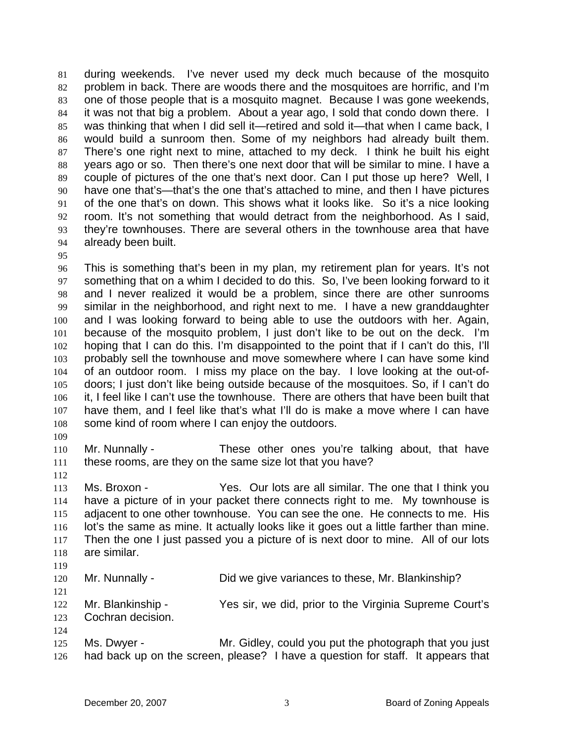during weekends. I've never used my deck much because of the mosquito problem in back. There are woods there and the mosquitoes are horrific, and I'm one of those people that is a mosquito magnet. Because I was gone weekends, it was not that big a problem. About a year ago, I sold that condo down there. I was thinking that when I did sell it—retired and sold it—that when I came back, I would build a sunroom then. Some of my neighbors had already built them. There's one right next to mine, attached to my deck. I think he built his eight years ago or so. Then there's one next door that will be similar to mine. I have a couple of pictures of the one that's next door. Can I put those up here? Well, I have one that's—that's the one that's attached to mine, and then I have pictures of the one that's on down. This shows what it looks like. So it's a nice looking room. It's not something that would detract from the neighborhood. As I said, they're townhouses. There are several others in the townhouse area that have already been built. 81 82 83 84 85 86 87 88 89 90 91 92 93 94

95

96 97 98 99 100 101 102 103 104 105 106 107 108 This is something that's been in my plan, my retirement plan for years. It's not something that on a whim I decided to do this. So, I've been looking forward to it and I never realized it would be a problem, since there are other sunrooms similar in the neighborhood, and right next to me. I have a new granddaughter and I was looking forward to being able to use the outdoors with her. Again, because of the mosquito problem, I just don't like to be out on the deck. I'm hoping that I can do this. I'm disappointed to the point that if I can't do this, I'll probably sell the townhouse and move somewhere where I can have some kind of an outdoor room. I miss my place on the bay. I love looking at the out-ofdoors; I just don't like being outside because of the mosquitoes. So, if I can't do it, I feel like I can't use the townhouse. There are others that have been built that have them, and I feel like that's what I'll do is make a move where I can have some kind of room where I can enjoy the outdoors.

109

110 111 Mr. Nunnally - These other ones you're talking about, that have these rooms, are they on the same size lot that you have?

112

113 114 115 116 117 118 Ms. Broxon - Yes. Our lots are all similar. The one that I think you have a picture of in your packet there connects right to me. My townhouse is adjacent to one other townhouse. You can see the one. He connects to me. His lot's the same as mine. It actually looks like it goes out a little farther than mine. Then the one I just passed you a picture of is next door to mine. All of our lots are similar.

119

121

124

120 Mr. Nunnally - Did we give variances to these, Mr. Blankinship?

122 123 Mr. Blankinship - Yes sir, we did, prior to the Virginia Supreme Court's Cochran decision.

125 126 Ms. Dwyer - The Mr. Gidley, could you put the photograph that you just had back up on the screen, please? I have a question for staff. It appears that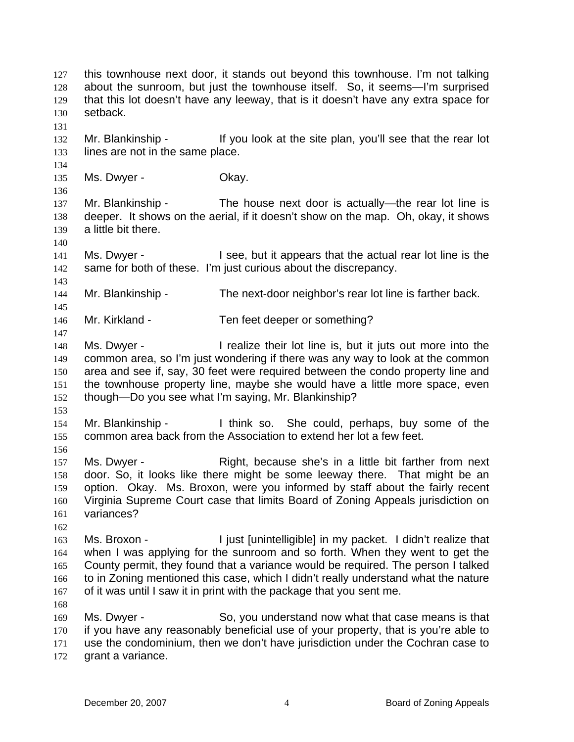this townhouse next door, it stands out beyond this townhouse. I'm not talking about the sunroom, but just the townhouse itself. So, it seems—I'm surprised that this lot doesn't have any leeway, that is it doesn't have any extra space for setback. 127 128 129 130 131 132 133 134 135 136 137 138 139 140 141 142 143 144 145 146 147 148 149 150 151 152 153 154 155 156 157 158 159 160 161 162 163 164 165 166 167 168 169 170 171 172 Mr. Blankinship - If you look at the site plan, you'll see that the rear lot lines are not in the same place. Ms. Dwyer - Chay. Mr. Blankinship - The house next door is actually—the rear lot line is deeper. It shows on the aerial, if it doesn't show on the map. Oh, okay, it shows a little bit there. Ms. Dwyer - I see, but it appears that the actual rear lot line is the same for both of these. I'm just curious about the discrepancy. Mr. Blankinship - The next-door neighbor's rear lot line is farther back. Mr. Kirkland - Ten feet deeper or something? Ms. Dwyer - The alize their lot line is, but it juts out more into the common area, so I'm just wondering if there was any way to look at the common area and see if, say, 30 feet were required between the condo property line and the townhouse property line, maybe she would have a little more space, even though—Do you see what I'm saying, Mr. Blankinship? Mr. Blankinship - I think so. She could, perhaps, buy some of the common area back from the Association to extend her lot a few feet. Ms. Dwyer - Right, because she's in a little bit farther from next door. So, it looks like there might be some leeway there. That might be an option. Okay. Ms. Broxon, were you informed by staff about the fairly recent Virginia Supreme Court case that limits Board of Zoning Appeals jurisdiction on variances? Ms. Broxon - I just [unintelligible] in my packet. I didn't realize that when I was applying for the sunroom and so forth. When they went to get the County permit, they found that a variance would be required. The person I talked to in Zoning mentioned this case, which I didn't really understand what the nature of it was until I saw it in print with the package that you sent me. Ms. Dwyer - So, you understand now what that case means is that if you have any reasonably beneficial use of your property, that is you're able to use the condominium, then we don't have jurisdiction under the Cochran case to grant a variance.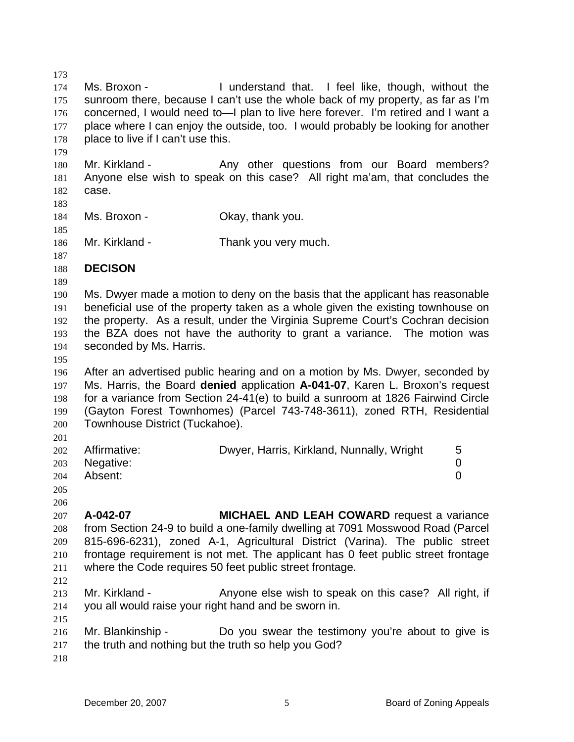173 174 175 176 177 178 Ms. Broxon - Tunderstand that. I feel like, though, without the sunroom there, because I can't use the whole back of my property, as far as I'm concerned, I would need to—I plan to live here forever. I'm retired and I want a place where I can enjoy the outside, too. I would probably be looking for another place to live if I can't use this.

180 181 182 Mr. Kirkland - The Any other questions from our Board members? Anyone else wish to speak on this case? All right ma'am, that concludes the case.

Ms. Broxon - Ckay, thank you.

183

179

184 185

186 Mr. Kirkland - Thank you very much.

- 187 188 **DECISON**
- 189

190 191 192 193 194 Ms. Dwyer made a motion to deny on the basis that the applicant has reasonable beneficial use of the property taken as a whole given the existing townhouse on the property. As a result, under the Virginia Supreme Court's Cochran decision the BZA does not have the authority to grant a variance. The motion was seconded by Ms. Harris.

195

196 197 198 199 200 After an advertised public hearing and on a motion by Ms. Dwyer, seconded by Ms. Harris, the Board **denied** application **A-041-07**, Karen L. Broxon's request for a variance from Section 24-41(e) to build a sunroom at 1826 Fairwind Circle (Gayton Forest Townhomes) (Parcel 743-748-3611), zoned RTH, Residential Townhouse District (Tuckahoe).

201

|                      | 202 Affirmative: | Dwyer, Harris, Kirkland, Nunnally, Wright |  |
|----------------------|------------------|-------------------------------------------|--|
|                      | 203 Negative:    |                                           |  |
|                      | 204 Absent:      |                                           |  |
| $\sim$ $\sim$ $\sim$ |                  |                                           |  |

205 206

207 208 209 210 211 212 **A-042-07 MICHAEL AND LEAH COWARD** request a variance from Section 24-9 to build a one-family dwelling at 7091 Mosswood Road (Parcel 815-696-6231), zoned A-1, Agricultural District (Varina). The public street frontage requirement is not met. The applicant has 0 feet public street frontage where the Code requires 50 feet public street frontage.

- 213 214 Mr. Kirkland - Anyone else wish to speak on this case? All right, if you all would raise your right hand and be sworn in.
- 216 217 Mr. Blankinship - Do you swear the testimony you're about to give is the truth and nothing but the truth so help you God?
- 218

215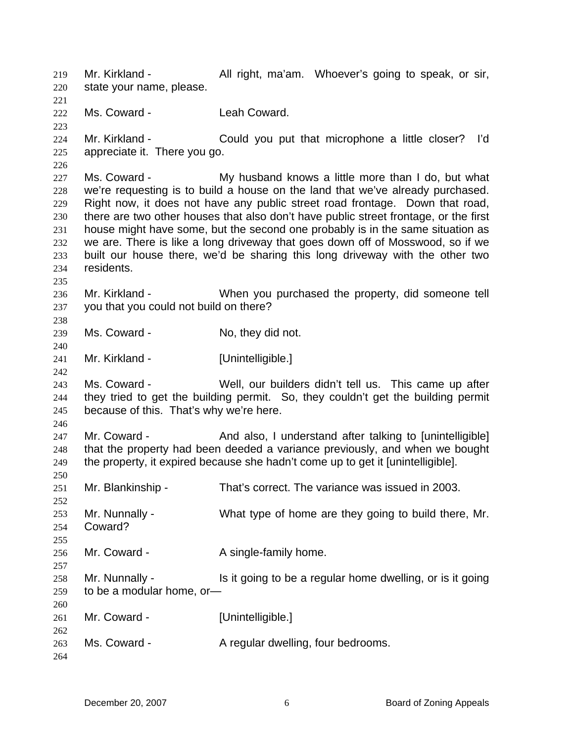Mr. Kirkland - All right, ma'am. Whoever's going to speak, or sir, state your name, please. 219 220 221 222 223 224 225 226 227 228 229 230 231 232 233 234 235 236 237 238 239 240 241 242 243 244 245 246 247 248 249 250 251 252 253 254 255 256 257 258 259 260 261 262 263 264 Ms. Coward - Leah Coward. Mr. Kirkland - Could you put that microphone a little closer? I'd appreciate it. There you go. Ms. Coward - My husband knows a little more than I do, but what we're requesting is to build a house on the land that we've already purchased. Right now, it does not have any public street road frontage. Down that road, there are two other houses that also don't have public street frontage, or the first house might have some, but the second one probably is in the same situation as we are. There is like a long driveway that goes down off of Mosswood, so if we built our house there, we'd be sharing this long driveway with the other two residents. Mr. Kirkland - When you purchased the property, did someone tell you that you could not build on there? Ms. Coward - No, they did not. Mr. Kirkland - [Unintelligible.] Ms. Coward - Well, our builders didn't tell us. This came up after they tried to get the building permit. So, they couldn't get the building permit because of this. That's why we're here. Mr. Coward - And also, I understand after talking to [unintelligible] that the property had been deeded a variance previously, and when we bought the property, it expired because she hadn't come up to get it [unintelligible]. Mr. Blankinship - That's correct. The variance was issued in 2003. Mr. Nunnally - What type of home are they going to build there, Mr. Coward? Mr. Coward - The A single-family home. Mr. Nunnally - Is it going to be a regular home dwelling, or is it going to be a modular home, or— Mr. Coward - [Unintelligible.] Ms. Coward - A regular dwelling, four bedrooms.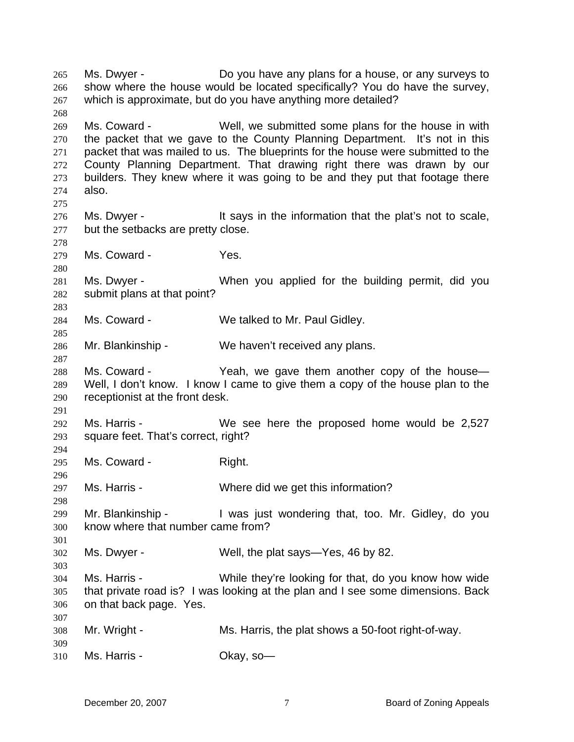Ms. Dwyer - Do you have any plans for a house, or any surveys to show where the house would be located specifically? You do have the survey, which is approximate, but do you have anything more detailed? 265 266 267 268 269 270 271 272 273 274 275 276 277 278 279 280 281 282 283 284 285 286 287 288 289 290 291 292 293 294 295 296 297 298 299 300 301 302 303 304 305 306 307 308 309 310 Ms. Coward - Well, we submitted some plans for the house in with the packet that we gave to the County Planning Department. It's not in this packet that was mailed to us. The blueprints for the house were submitted to the County Planning Department. That drawing right there was drawn by our builders. They knew where it was going to be and they put that footage there also. Ms. Dwyer - It says in the information that the plat's not to scale, but the setbacks are pretty close. Ms. Coward - The Yes. Ms. Dwyer - When you applied for the building permit, did you submit plans at that point? Ms. Coward - We talked to Mr. Paul Gidley. Mr. Blankinship - We haven't received any plans. Ms. Coward - Yeah, we gave them another copy of the house— Well, I don't know. I know I came to give them a copy of the house plan to the receptionist at the front desk. Ms. Harris - We see here the proposed home would be 2,527 square feet. That's correct, right? Ms. Coward - Right. Ms. Harris - Where did we get this information? Mr. Blankinship - Twas just wondering that, too. Mr. Gidley, do you know where that number came from? Ms. Dwyer - Well, the plat says—Yes, 46 by 82. Ms. Harris - While they're looking for that, do you know how wide that private road is? I was looking at the plan and I see some dimensions. Back on that back page. Yes. Mr. Wright - Ms. Harris, the plat shows a 50-foot right-of-way. Ms. Harris - Chay, so-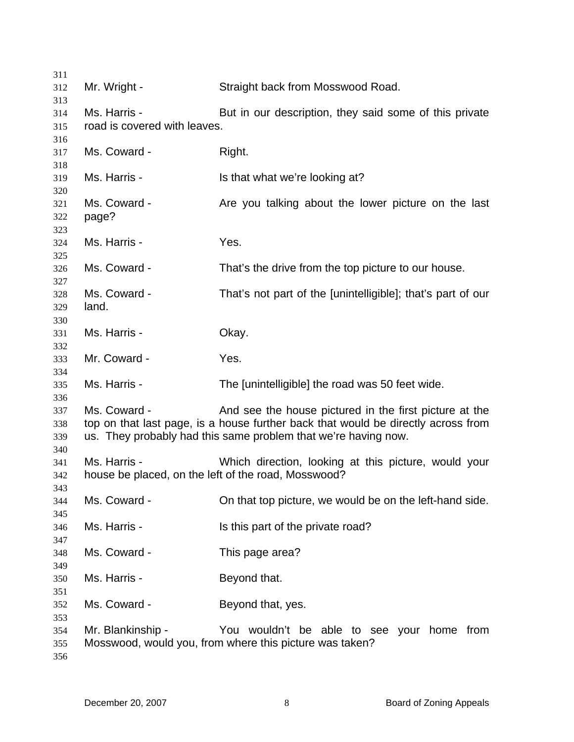| 311        |                                                     |                                                                                   |
|------------|-----------------------------------------------------|-----------------------------------------------------------------------------------|
| 312        | Mr. Wright -                                        | Straight back from Mosswood Road.                                                 |
| 313        |                                                     |                                                                                   |
| 314        | Ms. Harris -                                        | But in our description, they said some of this private                            |
| 315        | road is covered with leaves.                        |                                                                                   |
| 316        |                                                     |                                                                                   |
| 317        | Ms. Coward -                                        | Right.                                                                            |
| 318        |                                                     |                                                                                   |
| 319        | Ms. Harris -                                        | Is that what we're looking at?                                                    |
| 320        |                                                     |                                                                                   |
| 321        | Ms. Coward -                                        | Are you talking about the lower picture on the last                               |
| 322        | page?                                               |                                                                                   |
| 323        |                                                     |                                                                                   |
| 324        | Ms. Harris -                                        | Yes.                                                                              |
| 325        |                                                     |                                                                                   |
| 326        | Ms. Coward -                                        | That's the drive from the top picture to our house.                               |
| 327        |                                                     |                                                                                   |
| 328        | Ms. Coward -                                        | That's not part of the [unintelligible]; that's part of our                       |
| 329        | land.                                               |                                                                                   |
| 330        |                                                     |                                                                                   |
| 331        | Ms. Harris -                                        | Okay.                                                                             |
| 332        |                                                     |                                                                                   |
| 333        | Mr. Coward -                                        | Yes.                                                                              |
| 334        | Ms. Harris -                                        |                                                                                   |
| 335        |                                                     | The [unintelligible] the road was 50 feet wide.                                   |
| 336<br>337 | Ms. Coward -                                        | And see the house pictured in the first picture at the                            |
| 338        |                                                     | top on that last page, is a house further back that would be directly across from |
| 339        |                                                     | us. They probably had this same problem that we're having now.                    |
| 340        |                                                     |                                                                                   |
| 341        | Ms. Harris -                                        | Which direction, looking at this picture, would your                              |
| 342        | house be placed, on the left of the road, Mosswood? |                                                                                   |
| 343        |                                                     |                                                                                   |
| 344        | Ms. Coward -                                        | On that top picture, we would be on the left-hand side.                           |
| 345        |                                                     |                                                                                   |
| 346        | Ms. Harris -                                        | Is this part of the private road?                                                 |
| 347        |                                                     |                                                                                   |
| 348        | Ms. Coward -                                        | This page area?                                                                   |
| 349        |                                                     |                                                                                   |
| 350        | Ms. Harris -                                        | Beyond that.                                                                      |
| 351        |                                                     |                                                                                   |
| 352        | Ms. Coward -                                        | Beyond that, yes.                                                                 |
| 353        |                                                     |                                                                                   |
| 354        | Mr. Blankinship -                                   | You wouldn't be able to see your home from                                        |
| 355        |                                                     | Mosswood, would you, from where this picture was taken?                           |
|            |                                                     |                                                                                   |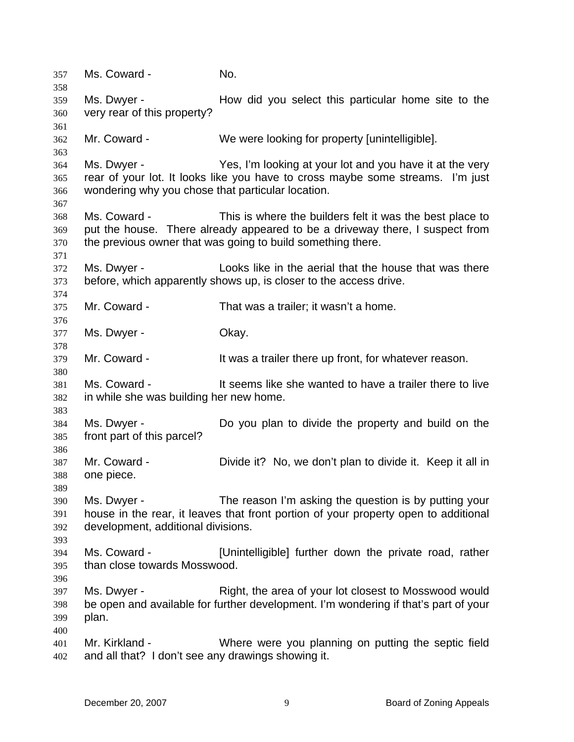357 Ms. Coward - No. 358 359 360 361 362 363 364 365 366 367 368 369 370 371 372 373 374 375 376 377 378 379 380 381 382 383 384 385 386 387 388 389 390 391 392 393 394 395 396 397 398 399 400 401 402 Ms. Dwyer - How did you select this particular home site to the very rear of this property? Mr. Coward - We were looking for property [unintelligible]. Ms. Dwyer - Yes, I'm looking at your lot and you have it at the very rear of your lot. It looks like you have to cross maybe some streams. I'm just wondering why you chose that particular location. Ms. Coward - This is where the builders felt it was the best place to put the house. There already appeared to be a driveway there, I suspect from the previous owner that was going to build something there. Ms. Dwyer - Looks like in the aerial that the house that was there before, which apparently shows up, is closer to the access drive. Mr. Coward - That was a trailer; it wasn't a home. Ms. Dwyer - Chay. Mr. Coward - The Musta trailer there up front, for whatever reason. Ms. Coward - It seems like she wanted to have a trailer there to live in while she was building her new home. Ms. Dwyer - Do you plan to divide the property and build on the front part of this parcel? Mr. Coward - Divide it? No, we don't plan to divide it. Keep it all in one piece. Ms. Dwyer - The reason I'm asking the question is by putting your house in the rear, it leaves that front portion of your property open to additional development, additional divisions. Ms. Coward - [Unintelligible] further down the private road, rather than close towards Mosswood. Ms. Dwyer - Right, the area of your lot closest to Mosswood would be open and available for further development. I'm wondering if that's part of your plan. Mr. Kirkland - Where were you planning on putting the septic field and all that? I don't see any drawings showing it.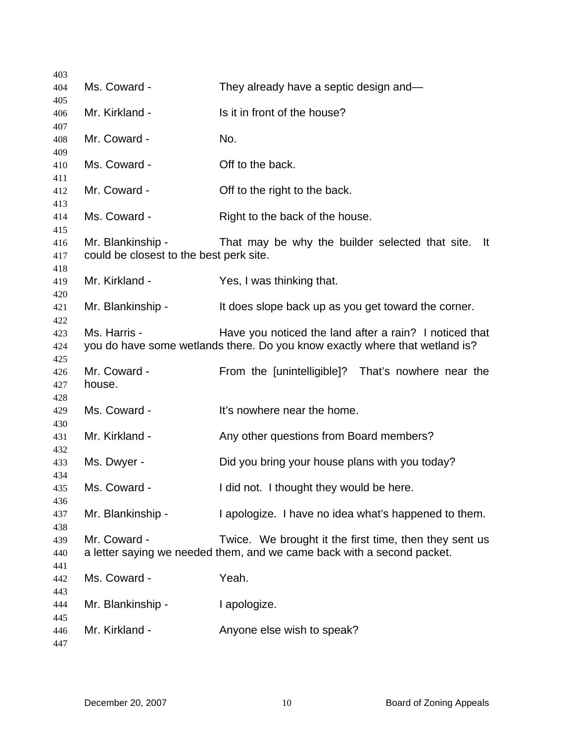| 403               |                                                              |                                                                                                                                       |
|-------------------|--------------------------------------------------------------|---------------------------------------------------------------------------------------------------------------------------------------|
| 404               | Ms. Coward -                                                 | They already have a septic design and-                                                                                                |
| 405<br>406        | Mr. Kirkland -                                               | Is it in front of the house?                                                                                                          |
| 407<br>408        | Mr. Coward -                                                 | No.                                                                                                                                   |
| 409               |                                                              |                                                                                                                                       |
| 410               | Ms. Coward -                                                 | Off to the back.                                                                                                                      |
| 411<br>412        | Mr. Coward -                                                 | Off to the right to the back.                                                                                                         |
| 413<br>414<br>415 | Ms. Coward -                                                 | Right to the back of the house.                                                                                                       |
| 416<br>417        | Mr. Blankinship -<br>could be closest to the best perk site. | That may be why the builder selected that site.<br>-lt                                                                                |
| 418<br>419<br>420 | Mr. Kirkland -                                               | Yes, I was thinking that.                                                                                                             |
| 421<br>422        | Mr. Blankinship -                                            | It does slope back up as you get toward the corner.                                                                                   |
| 423<br>424        | Ms. Harris -                                                 | Have you noticed the land after a rain? I noticed that<br>you do have some wetlands there. Do you know exactly where that wetland is? |
| 425<br>426<br>427 | Mr. Coward -<br>house.                                       | From the [unintelligible]? That's nowhere near the                                                                                    |
| 428<br>429<br>430 | Ms. Coward -                                                 | It's nowhere near the home.                                                                                                           |
| 431<br>432        | Mr. Kirkland -                                               | Any other questions from Board members?                                                                                               |
| 433<br>434        | Ms. Dwyer -                                                  | Did you bring your house plans with you today?                                                                                        |
| 435               | Ms. Coward -                                                 | I did not. I thought they would be here.                                                                                              |
| 436<br>437        | Mr. Blankinship -                                            | I apologize. I have no idea what's happened to them.                                                                                  |
| 438<br>439<br>440 | Mr. Coward -                                                 | Twice. We brought it the first time, then they sent us<br>a letter saying we needed them, and we came back with a second packet.      |
| 441<br>442        | Ms. Coward -                                                 | Yeah.                                                                                                                                 |
| 443<br>444<br>445 | Mr. Blankinship -                                            | I apologize.                                                                                                                          |
| 446<br>447        | Mr. Kirkland -                                               | Anyone else wish to speak?                                                                                                            |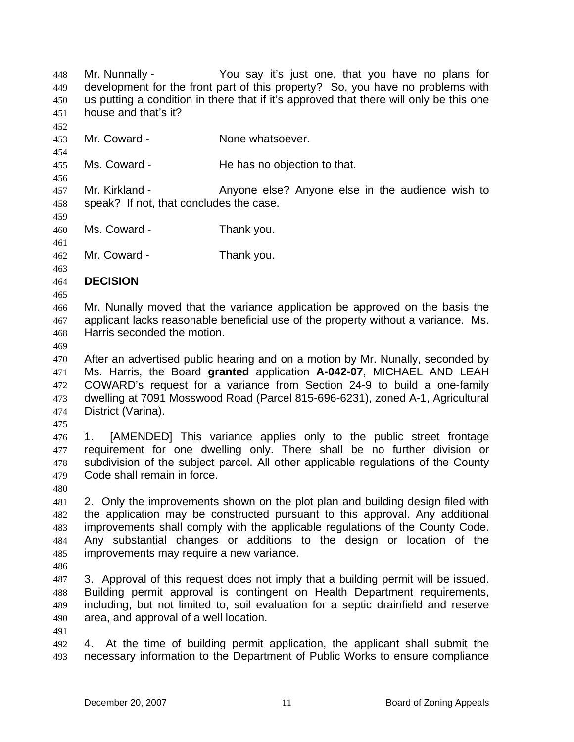Mr. Nunnally - You say it's just one, that you have no plans for development for the front part of this property? So, you have no problems with us putting a condition in there that if it's approved that there will only be this one house and that's it? 448 449 450 451 452 453 454 455 456 457 458 459 460 461 462 463 464 465 466 467 468 469 470 471 472 473 474 475 476 477 478 479 480 481 482 483 484 485 486 487 488 489 490 491 492 493 Mr. Coward - **None whatsoever.** Ms. Coward - The has no objection to that. Mr. Kirkland - The Anyone else? Anyone else in the audience wish to speak? If not, that concludes the case. Ms. Coward - Thank you. Mr. Coward - Thank you. **DECISION**  Mr. Nunally moved that the variance application be approved on the basis the applicant lacks reasonable beneficial use of the property without a variance. Ms. Harris seconded the motion. After an advertised public hearing and on a motion by Mr. Nunally, seconded by Ms. Harris, the Board **granted** application **A-042-07**, MICHAEL AND LEAH COWARD's request for a variance from Section 24-9 to build a one-family dwelling at 7091 Mosswood Road (Parcel 815-696-6231), zoned A-1, Agricultural District (Varina). 1. [AMENDED] This variance applies only to the public street frontage requirement for one dwelling only. There shall be no further division or subdivision of the subject parcel. All other applicable regulations of the County Code shall remain in force. 2. Only the improvements shown on the plot plan and building design filed with the application may be constructed pursuant to this approval. Any additional improvements shall comply with the applicable regulations of the County Code. Any substantial changes or additions to the design or location of the improvements may require a new variance. 3. Approval of this request does not imply that a building permit will be issued. Building permit approval is contingent on Health Department requirements, including, but not limited to, soil evaluation for a septic drainfield and reserve area, and approval of a well location. 4. At the time of building permit application, the applicant shall submit the necessary information to the Department of Public Works to ensure compliance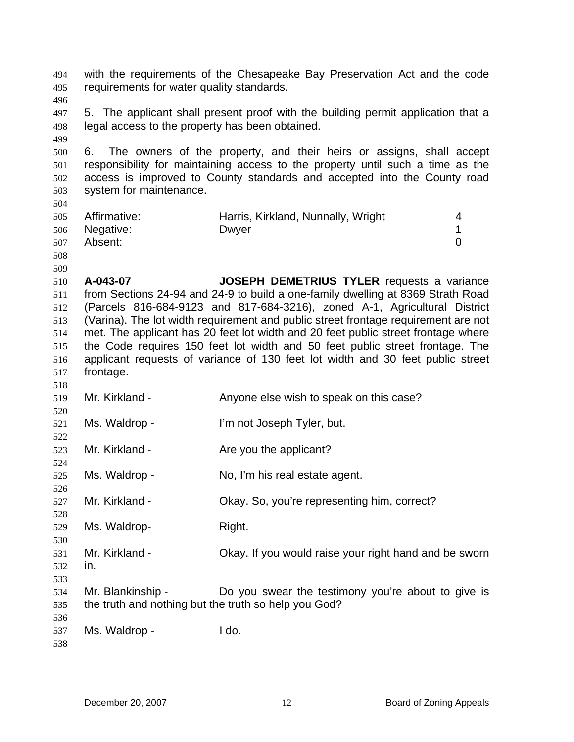with the requirements of the Chesapeake Bay Preservation Act and the code requirements for water quality standards. 494 495 496 497 498 499 500 501 502 503 504 505 506 507 508 509 510 511 512 513 514 515 516 517 518 519 520 521 522 523 524 525 526 527 528 529 530 531 532 533 534 535 536 537 538 5. The applicant shall present proof with the building permit application that a legal access to the property has been obtained. 6. The owners of the property, and their heirs or assigns, shall accept responsibility for maintaining access to the property until such a time as the access is improved to County standards and accepted into the County road system for maintenance. Affirmative: Harris, Kirkland, Nunnally, Wright 4 Negative: Dwyer 2008 Dwyer 2009 1 Absent: 0 **A-043-07 JOSEPH DEMETRIUS TYLER** requests a variance from Sections 24-94 and 24-9 to build a one-family dwelling at 8369 Strath Road (Parcels 816-684-9123 and 817-684-3216), zoned A-1, Agricultural District (Varina). The lot width requirement and public street frontage requirement are not met. The applicant has 20 feet lot width and 20 feet public street frontage where the Code requires 150 feet lot width and 50 feet public street frontage. The applicant requests of variance of 130 feet lot width and 30 feet public street frontage. Mr. Kirkland - Anyone else wish to speak on this case? Ms. Waldrop - I'm not Joseph Tyler, but. Mr. Kirkland - The you the applicant? Ms. Waldrop - No, I'm his real estate agent. Mr. Kirkland - Chay. So, you're representing him, correct? Ms. Waldrop- Right. Mr. Kirkland - Chay. If you would raise your right hand and be sworn in. Mr. Blankinship - Do you swear the testimony you're about to give is the truth and nothing but the truth so help you God? Ms. Waldrop - The I do.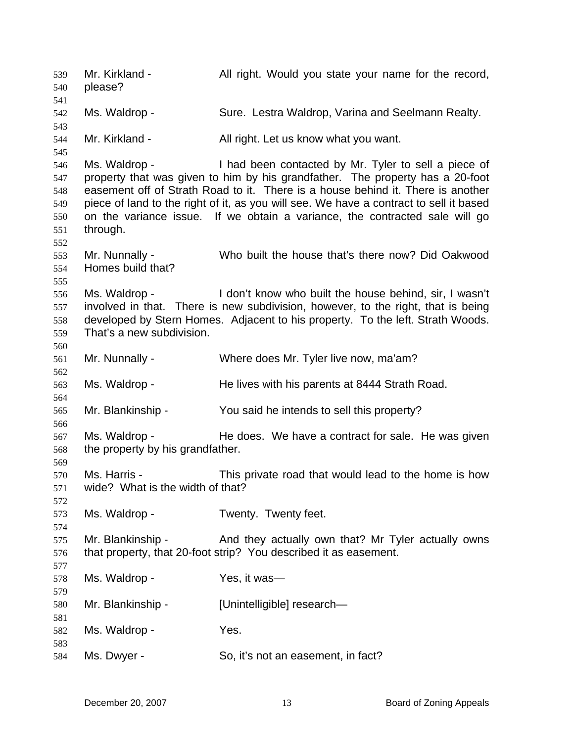Mr. Kirkland - All right. Would you state your name for the record, please? 539 540 541 542 543 544 545 546 547 548 549 550 551 552 553 554 555 556 557 558 559 560 561 562 563 564 565 566 567 568 569 570 571 572 573 574 575 576 577 578 579 580 581 582 583 584 Ms. Waldrop - Sure. Lestra Waldrop, Varina and Seelmann Realty. Mr. Kirkland - All right. Let us know what you want. Ms. Waldrop - Thad been contacted by Mr. Tyler to sell a piece of property that was given to him by his grandfather. The property has a 20-foot easement off of Strath Road to it. There is a house behind it. There is another piece of land to the right of it, as you will see. We have a contract to sell it based on the variance issue. If we obtain a variance, the contracted sale will go through. Mr. Nunnally - Who built the house that's there now? Did Oakwood Homes build that? Ms. Waldrop - The don't know who built the house behind, sir, I wasn't involved in that. There is new subdivision, however, to the right, that is being developed by Stern Homes. Adjacent to his property. To the left. Strath Woods. That's a new subdivision. Mr. Nunnally - Where does Mr. Tyler live now, ma'am? Ms. Waldrop - He lives with his parents at 8444 Strath Road. Mr. Blankinship - You said he intends to sell this property? Ms. Waldrop - The does. We have a contract for sale. He was given the property by his grandfather. Ms. Harris - This private road that would lead to the home is how wide? What is the width of that? Ms. Waldrop - Twenty. Twenty feet. Mr. Blankinship - And they actually own that? Mr Tyler actually owns that property, that 20-foot strip? You described it as easement. Ms. Waldrop - Yes, it was— Mr. Blankinship - [Unintelligible] research— Ms. Waldrop - The Yes. Ms. Dwyer - So, it's not an easement, in fact?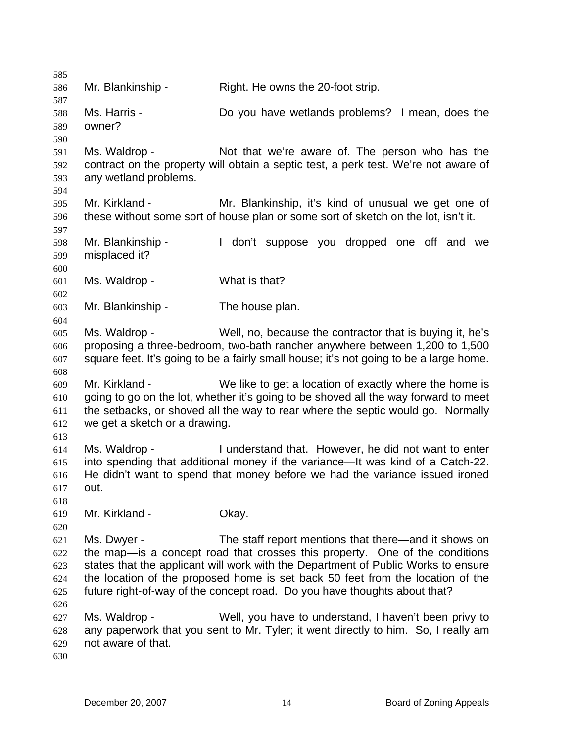585 586 587 588 589 590 591 592 593 594 595 596 597 598 599 600 601 602 603 604 605 606 607 608 609 610 611 612 613 614 615 616 617 618 619 620 621 622 623 624 625 626 627 628 629 630 Mr. Blankinship - Right. He owns the 20-foot strip. Ms. Harris - **Do you have wetlands problems?** I mean, does the owner? Ms. Waldrop - Not that we're aware of. The person who has the contract on the property will obtain a septic test, a perk test. We're not aware of any wetland problems. Mr. Kirkland - Mr. Blankinship, it's kind of unusual we get one of these without some sort of house plan or some sort of sketch on the lot, isn't it. Mr. Blankinship - The don't suppose you dropped one off and we misplaced it? Ms. Waldrop - What is that? Mr. Blankinship - The house plan. Ms. Waldrop - Well, no, because the contractor that is buying it, he's proposing a three-bedroom, two-bath rancher anywhere between 1,200 to 1,500 square feet. It's going to be a fairly small house; it's not going to be a large home. Mr. Kirkland - We like to get a location of exactly where the home is going to go on the lot, whether it's going to be shoved all the way forward to meet the setbacks, or shoved all the way to rear where the septic would go. Normally we get a sketch or a drawing. Ms. Waldrop - I understand that. However, he did not want to enter into spending that additional money if the variance—It was kind of a Catch-22. He didn't want to spend that money before we had the variance issued ironed out. Mr. Kirkland - **Okay.** Ms. Dwyer - The staff report mentions that there—and it shows on the map—is a concept road that crosses this property. One of the conditions states that the applicant will work with the Department of Public Works to ensure the location of the proposed home is set back 50 feet from the location of the future right-of-way of the concept road. Do you have thoughts about that? Ms. Waldrop - Well, you have to understand, I haven't been privy to any paperwork that you sent to Mr. Tyler; it went directly to him. So, I really am not aware of that.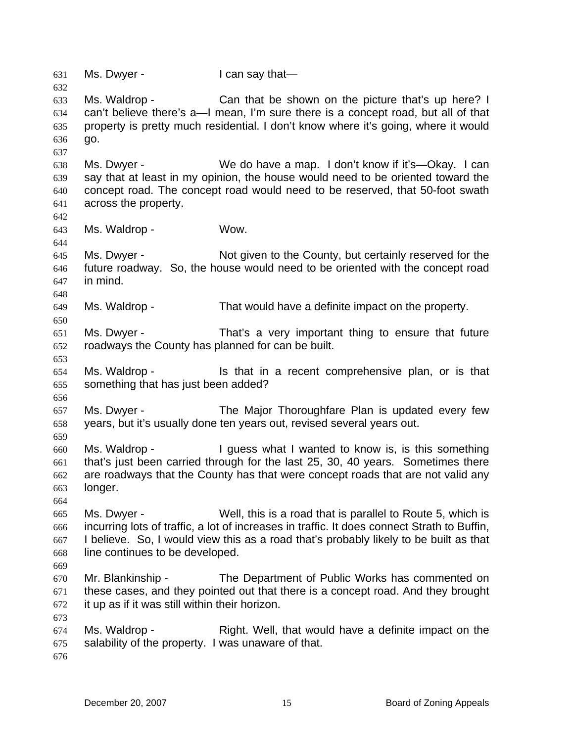631 Ms. Dwyer - I can say that— 632 633 634 635 636 637 638 639 640 641 642 643 644 645 646 647 648 649 650 651 652 653 654 655 656 657 658 659 660 661 662 663 664 665 666 667 668 669 670 671 672 673 674 675 676 Ms. Waldrop - The Can that be shown on the picture that's up here? I can't believe there's a—I mean, I'm sure there is a concept road, but all of that property is pretty much residential. I don't know where it's going, where it would go. Ms. Dwyer - We do have a map. I don't know if it's—Okay. I can say that at least in my opinion, the house would need to be oriented toward the concept road. The concept road would need to be reserved, that 50-foot swath across the property. Ms. Waldrop - Wow. Ms. Dwyer - Not given to the County, but certainly reserved for the future roadway. So, the house would need to be oriented with the concept road in mind. Ms. Waldrop - That would have a definite impact on the property. Ms. Dwyer - That's a very important thing to ensure that future roadways the County has planned for can be built. Ms. Waldrop - Is that in a recent comprehensive plan, or is that something that has just been added? Ms. Dwyer - The Major Thoroughfare Plan is updated every few years, but it's usually done ten years out, revised several years out. Ms. Waldrop - The Unit of States what I wanted to know is, is this something that's just been carried through for the last 25, 30, 40 years. Sometimes there are roadways that the County has that were concept roads that are not valid any longer. Ms. Dwyer - Well, this is a road that is parallel to Route 5, which is incurring lots of traffic, a lot of increases in traffic. It does connect Strath to Buffin, I believe. So, I would view this as a road that's probably likely to be built as that line continues to be developed. Mr. Blankinship - The Department of Public Works has commented on these cases, and they pointed out that there is a concept road. And they brought it up as if it was still within their horizon. Ms. Waldrop - The Right. Well, that would have a definite impact on the salability of the property. I was unaware of that.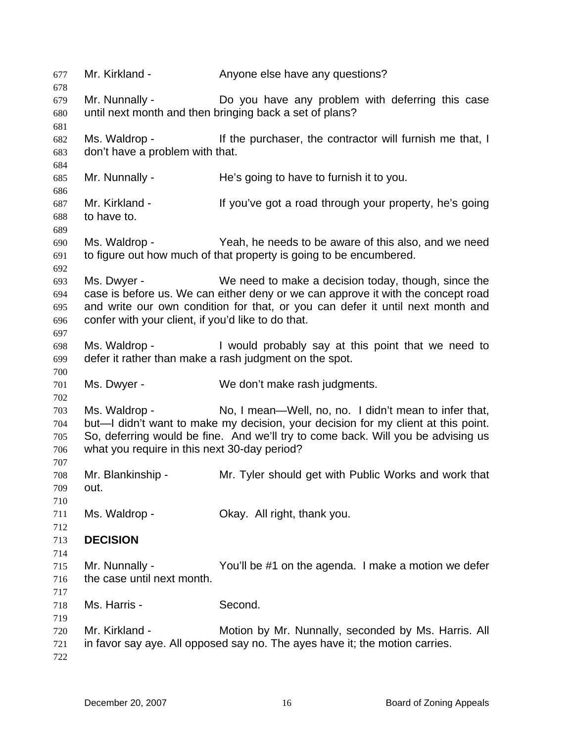Mr. Kirkland - Anyone else have any questions? Mr. Nunnally - Do you have any problem with deferring this case until next month and then bringing back a set of plans? Ms. Waldrop - If the purchaser, the contractor will furnish me that, I don't have a problem with that. Mr. Nunnally - He's going to have to furnish it to you. Mr. Kirkland - The State of the University of the Mr. Kirkland - If you've got a road through your property, he's going to have to. Ms. Waldrop - The Yeah, he needs to be aware of this also, and we need to figure out how much of that property is going to be encumbered. Ms. Dwyer - We need to make a decision today, though, since the case is before us. We can either deny or we can approve it with the concept road and write our own condition for that, or you can defer it until next month and confer with your client, if you'd like to do that. Ms. Waldrop - I would probably say at this point that we need to defer it rather than make a rash judgment on the spot. Ms. Dwyer - We don't make rash judgments. Ms. Waldrop - No, I mean—Well, no, no. I didn't mean to infer that, but—I didn't want to make my decision, your decision for my client at this point. So, deferring would be fine. And we'll try to come back. Will you be advising us what you require in this next 30-day period? Mr. Blankinship - Mr. Tyler should get with Public Works and work that out. Ms. Waldrop - Ckay. All right, thank you. **DECISION**  Mr. Nunnally - The You'll be #1 on the agenda. I make a motion we defer the case until next month. Ms. Harris - Second. Mr. Kirkland - Motion by Mr. Nunnally, seconded by Ms. Harris. All in favor say aye. All opposed say no. The ayes have it; the motion carries.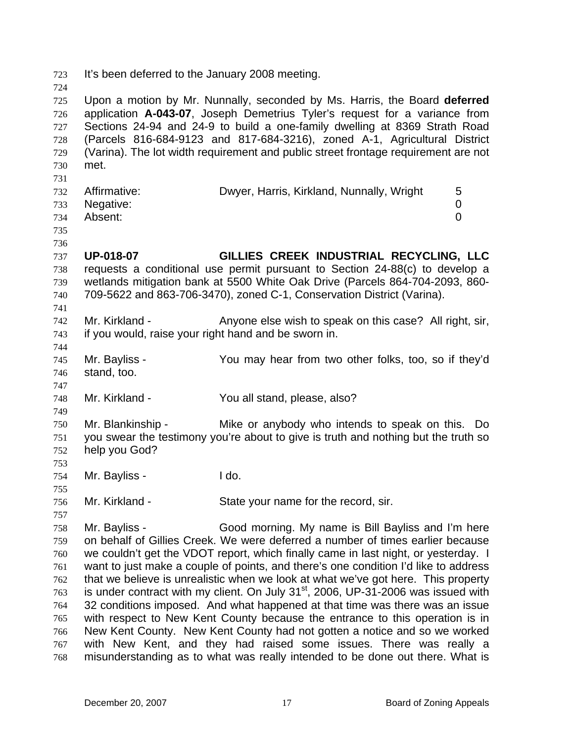723 It's been deferred to the January 2008 meeting.

724 725 726 727 728 729 730 731 732 733 734 735 736 737 738 739 740 741 742 743 744 745 746 747 748 749 750 751 752 753 754 755 756 757 758 759 760 761 762 763 764 765 766 767 768 Upon a motion by Mr. Nunnally, seconded by Ms. Harris, the Board **deferred** application **A-043-07**, Joseph Demetrius Tyler's request for a variance from Sections 24-94 and 24-9 to build a one-family dwelling at 8369 Strath Road (Parcels 816-684-9123 and 817-684-3216), zoned A-1, Agricultural District (Varina). The lot width requirement and public street frontage requirement are not met. Affirmative: Dwyer, Harris, Kirkland, Nunnally, Wright 5 Negative: 0 Absent: 0 **UP-018-07 GILLIES CREEK INDUSTRIAL RECYCLING, LLC** requests a conditional use permit pursuant to Section 24-88(c) to develop a wetlands mitigation bank at 5500 White Oak Drive (Parcels 864-704-2093, 860- 709-5622 and 863-706-3470), zoned C-1, Conservation District (Varina). Mr. Kirkland - Anyone else wish to speak on this case? All right, sir, if you would, raise your right hand and be sworn in. Mr. Bayliss - You may hear from two other folks, too, so if they'd stand, too. Mr. Kirkland - The You all stand, please, also? Mr. Blankinship - Mike or anybody who intends to speak on this. Do you swear the testimony you're about to give is truth and nothing but the truth so help you God? Mr. Bayliss - I do. Mr. Kirkland - State your name for the record, sir. Mr. Bayliss - Good morning. My name is Bill Bayliss and I'm here on behalf of Gillies Creek. We were deferred a number of times earlier because we couldn't get the VDOT report, which finally came in last night, or yesterday. I want to just make a couple of points, and there's one condition I'd like to address that we believe is unrealistic when we look at what we've got here. This property is under contract with my client. On July  $31<sup>st</sup>$ , 2006, UP-31-2006 was issued with 32 conditions imposed. And what happened at that time was there was an issue with respect to New Kent County because the entrance to this operation is in New Kent County. New Kent County had not gotten a notice and so we worked with New Kent, and they had raised some issues. There was really a misunderstanding as to what was really intended to be done out there. What is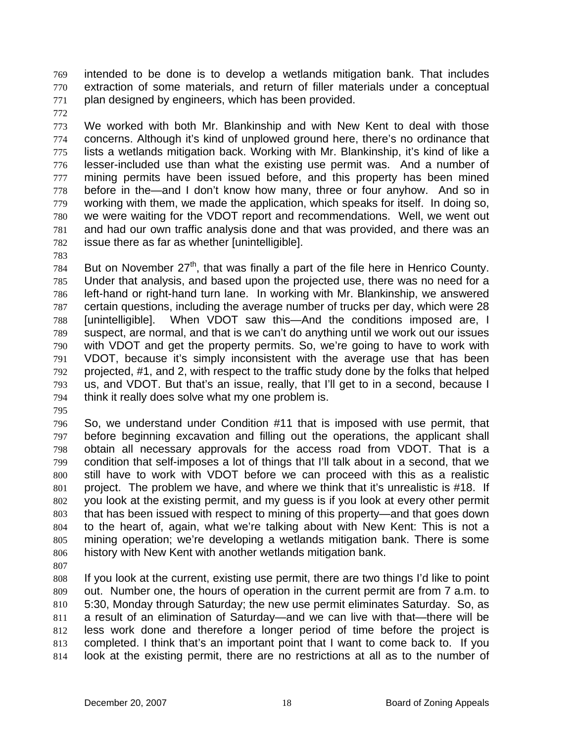intended to be done is to develop a wetlands mitigation bank. That includes extraction of some materials, and return of filler materials under a conceptual plan designed by engineers, which has been provided. 769 770 771

772

773 774 775 776 777 778 779 780 781 782 We worked with both Mr. Blankinship and with New Kent to deal with those concerns. Although it's kind of unplowed ground here, there's no ordinance that lists a wetlands mitigation back. Working with Mr. Blankinship, it's kind of like a lesser-included use than what the existing use permit was. And a number of mining permits have been issued before, and this property has been mined before in the—and I don't know how many, three or four anyhow. And so in working with them, we made the application, which speaks for itself. In doing so, we were waiting for the VDOT report and recommendations. Well, we went out and had our own traffic analysis done and that was provided, and there was an issue there as far as whether [unintelligible].

783

784 785 786 787 788 789 790 791 792 793 794 But on November  $27<sup>th</sup>$ , that was finally a part of the file here in Henrico County. Under that analysis, and based upon the projected use, there was no need for a left-hand or right-hand turn lane. In working with Mr. Blankinship, we answered certain questions, including the average number of trucks per day, which were 28 [unintelligible]. When VDOT saw this—And the conditions imposed are, I suspect, are normal, and that is we can't do anything until we work out our issues with VDOT and get the property permits. So, we're going to have to work with VDOT, because it's simply inconsistent with the average use that has been projected, #1, and 2, with respect to the traffic study done by the folks that helped us, and VDOT. But that's an issue, really, that I'll get to in a second, because I think it really does solve what my one problem is.

795

796 797 798 799 800 801 802 803 804 805 806 So, we understand under Condition #11 that is imposed with use permit, that before beginning excavation and filling out the operations, the applicant shall obtain all necessary approvals for the access road from VDOT. That is a condition that self-imposes a lot of things that I'll talk about in a second, that we still have to work with VDOT before we can proceed with this as a realistic project. The problem we have, and where we think that it's unrealistic is #18. If you look at the existing permit, and my guess is if you look at every other permit that has been issued with respect to mining of this property—and that goes down to the heart of, again, what we're talking about with New Kent: This is not a mining operation; we're developing a wetlands mitigation bank. There is some history with New Kent with another wetlands mitigation bank.

807

808 809 810 811 812 813 814 If you look at the current, existing use permit, there are two things I'd like to point out. Number one, the hours of operation in the current permit are from 7 a.m. to 5:30, Monday through Saturday; the new use permit eliminates Saturday. So, as a result of an elimination of Saturday—and we can live with that—there will be less work done and therefore a longer period of time before the project is completed. I think that's an important point that I want to come back to. If you look at the existing permit, there are no restrictions at all as to the number of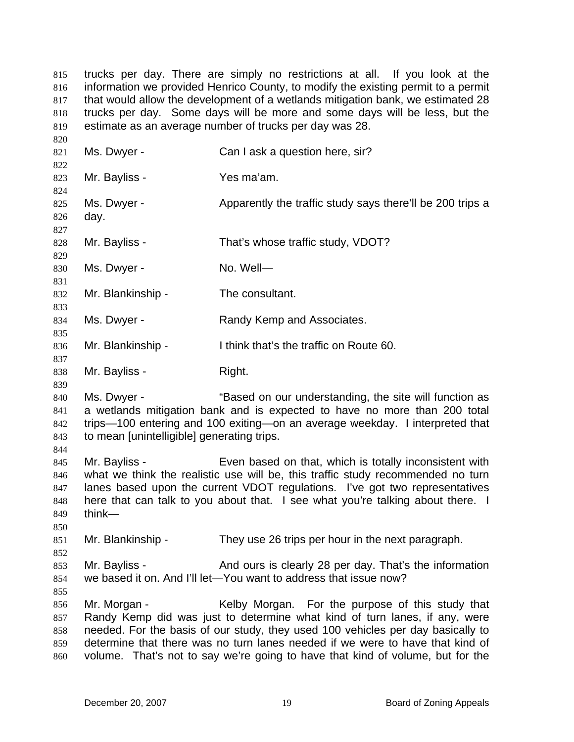trucks per day. There are simply no restrictions at all. If you look at the information we provided Henrico County, to modify the existing permit to a permit that would allow the development of a wetlands mitigation bank, we estimated 28 trucks per day. Some days will be more and some days will be less, but the estimate as an average number of trucks per day was 28. 815 816 817 818 819

820 821 822 823 824 825 826 827 828 829 830 831 832 833 834 835 836 837 838 839 840 841 842 843 844 845 846 847 848 849 850 851 852 853 854 855 856 857 858 859 860 Ms. Dwyer - Can I ask a question here, sir? Mr. Bayliss - Yes ma'am. Ms. Dwyer - Apparently the traffic study says there'll be 200 trips a day. Mr. Bayliss - That's whose traffic study, VDOT? Ms. Dwyer - No. Well-Mr. Blankinship - The consultant. Ms. Dwyer - Randy Kemp and Associates. Mr. Blankinship - I think that's the traffic on Route 60. Mr. Bayliss - Right. Ms. Dwyer - "Based on our understanding, the site will function as a wetlands mitigation bank and is expected to have no more than 200 total trips—100 entering and 100 exiting—on an average weekday. I interpreted that to mean [unintelligible] generating trips. Mr. Bayliss - Even based on that, which is totally inconsistent with what we think the realistic use will be, this traffic study recommended no turn lanes based upon the current VDOT regulations. I've got two representatives here that can talk to you about that. I see what you're talking about there. I think— Mr. Blankinship - They use 26 trips per hour in the next paragraph. Mr. Bayliss - And ours is clearly 28 per day. That's the information we based it on. And I'll let—You want to address that issue now? Mr. Morgan - Kelby Morgan. For the purpose of this study that Randy Kemp did was just to determine what kind of turn lanes, if any, were needed. For the basis of our study, they used 100 vehicles per day basically to determine that there was no turn lanes needed if we were to have that kind of volume. That's not to say we're going to have that kind of volume, but for the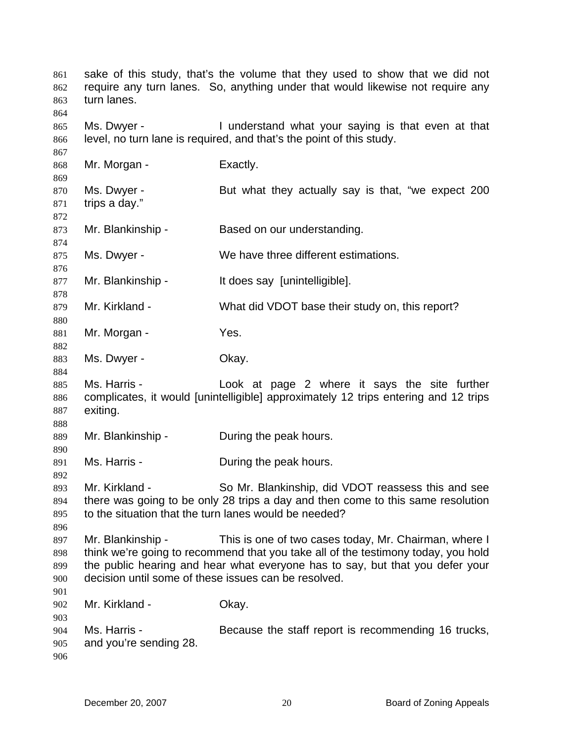sake of this study, that's the volume that they used to show that we did not require any turn lanes. So, anything under that would likewise not require any turn lanes. Ms. Dwyer - I understand what your saying is that even at that level, no turn lane is required, and that's the point of this study. Mr. Morgan - Exactly. Ms. Dwyer - But what they actually say is that, "we expect 200 trips a day." Mr. Blankinship - Based on our understanding. Ms. Dwyer - We have three different estimations. Mr. Blankinship - It does say [unintelligible]. Mr. Kirkland - What did VDOT base their study on, this report? Mr. Morgan - Yes. Ms. Dwyer - Chay. Ms. Harris - The Look at page 2 where it says the site further complicates, it would [unintelligible] approximately 12 trips entering and 12 trips exiting. Mr. Blankinship - During the peak hours. Ms. Harris - The During the peak hours. Mr. Kirkland - So Mr. Blankinship, did VDOT reassess this and see there was going to be only 28 trips a day and then come to this same resolution to the situation that the turn lanes would be needed? Mr. Blankinship - This is one of two cases today, Mr. Chairman, where I think we're going to recommend that you take all of the testimony today, you hold the public hearing and hear what everyone has to say, but that you defer your decision until some of these issues can be resolved. Mr. Kirkland - **Okay.** Ms. Harris - Because the staff report is recommending 16 trucks, and you're sending 28.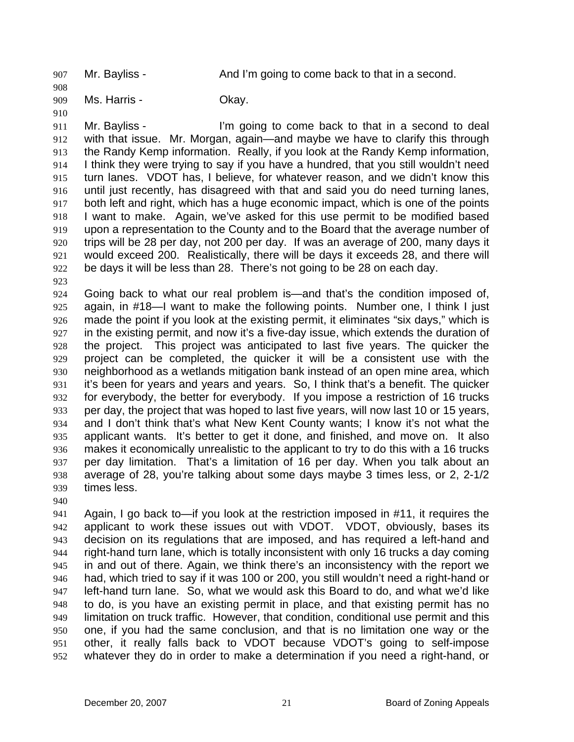907 Mr. Bayliss - And I'm going to come back to that in a second.

909 Ms. Harris - Chay.

911 912 913 914 915 916 917 918 919 920 921 922 Mr. Bayliss - I'm going to come back to that in a second to deal with that issue. Mr. Morgan, again—and maybe we have to clarify this through the Randy Kemp information. Really, if you look at the Randy Kemp information, I think they were trying to say if you have a hundred, that you still wouldn't need turn lanes. VDOT has, I believe, for whatever reason, and we didn't know this until just recently, has disagreed with that and said you do need turning lanes, both left and right, which has a huge economic impact, which is one of the points I want to make. Again, we've asked for this use permit to be modified based upon a representation to the County and to the Board that the average number of trips will be 28 per day, not 200 per day. If was an average of 200, many days it would exceed 200. Realistically, there will be days it exceeds 28, and there will be days it will be less than 28. There's not going to be 28 on each day.

923

908

910

924 925 926 927 928 929 930 931 932 933 934 935 936 937 938 939 Going back to what our real problem is—and that's the condition imposed of, again, in #18—I want to make the following points. Number one, I think I just made the point if you look at the existing permit, it eliminates "six days," which is in the existing permit, and now it's a five-day issue, which extends the duration of the project. This project was anticipated to last five years. The quicker the project can be completed, the quicker it will be a consistent use with the neighborhood as a wetlands mitigation bank instead of an open mine area, which it's been for years and years and years. So, I think that's a benefit. The quicker for everybody, the better for everybody. If you impose a restriction of 16 trucks per day, the project that was hoped to last five years, will now last 10 or 15 years, and I don't think that's what New Kent County wants; I know it's not what the applicant wants. It's better to get it done, and finished, and move on. It also makes it economically unrealistic to the applicant to try to do this with a 16 trucks per day limitation. That's a limitation of 16 per day. When you talk about an average of 28, you're talking about some days maybe 3 times less, or 2, 2-1/2 times less.

940

941 942 943 944 945 946 947 948 949 950 951 952 Again, I go back to—if you look at the restriction imposed in #11, it requires the applicant to work these issues out with VDOT. VDOT, obviously, bases its decision on its regulations that are imposed, and has required a left-hand and right-hand turn lane, which is totally inconsistent with only 16 trucks a day coming in and out of there. Again, we think there's an inconsistency with the report we had, which tried to say if it was 100 or 200, you still wouldn't need a right-hand or left-hand turn lane. So, what we would ask this Board to do, and what we'd like to do, is you have an existing permit in place, and that existing permit has no limitation on truck traffic. However, that condition, conditional use permit and this one, if you had the same conclusion, and that is no limitation one way or the other, it really falls back to VDOT because VDOT's going to self-impose whatever they do in order to make a determination if you need a right-hand, or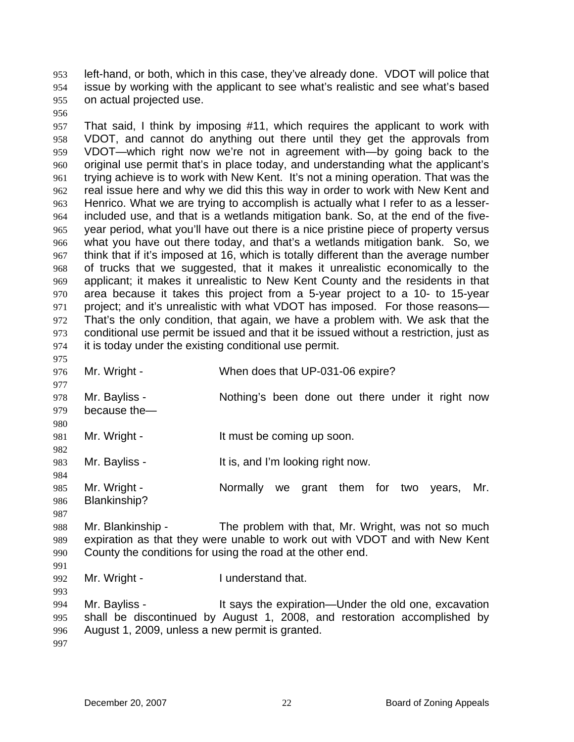left-hand, or both, which in this case, they've already done. VDOT will police that issue by working with the applicant to see what's realistic and see what's based on actual projected use. 953 954 955

956

957 958 959 960 961 962 963 964 965 966 967 968 969 970 971 972 973 974 975 That said, I think by imposing #11, which requires the applicant to work with VDOT, and cannot do anything out there until they get the approvals from VDOT—which right now we're not in agreement with—by going back to the original use permit that's in place today, and understanding what the applicant's trying achieve is to work with New Kent. It's not a mining operation. That was the real issue here and why we did this this way in order to work with New Kent and Henrico. What we are trying to accomplish is actually what I refer to as a lesserincluded use, and that is a wetlands mitigation bank. So, at the end of the fiveyear period, what you'll have out there is a nice pristine piece of property versus what you have out there today, and that's a wetlands mitigation bank. So, we think that if it's imposed at 16, which is totally different than the average number of trucks that we suggested, that it makes it unrealistic economically to the applicant; it makes it unrealistic to New Kent County and the residents in that area because it takes this project from a 5-year project to a 10- to 15-year project; and it's unrealistic with what VDOT has imposed. For those reasons— That's the only condition, that again, we have a problem with. We ask that the conditional use permit be issued and that it be issued without a restriction, just as it is today under the existing conditional use permit.

976 Mr. Wright - When does that UP-031-06 expire?

978 979 Mr. Bayliss - Nothing's been done out there under it right now because the—

981 Mr. Wright - The It must be coming up soon.

983 Mr. Bayliss - The Music State of the It is, and I'm looking right now.

985 986 Mr. Wright - The Mormally we grant them for two years, Mr. Blankinship?

987

977

980

982

984

988 989 990 Mr. Blankinship - The problem with that, Mr. Wright, was not so much expiration as that they were unable to work out with VDOT and with New Kent County the conditions for using the road at the other end.

991

993

992 Mr. Wright - The I understand that.

994 995 996 997 Mr. Bayliss - The Stays the expiration—Under the old one, excavation shall be discontinued by August 1, 2008, and restoration accomplished by August 1, 2009, unless a new permit is granted.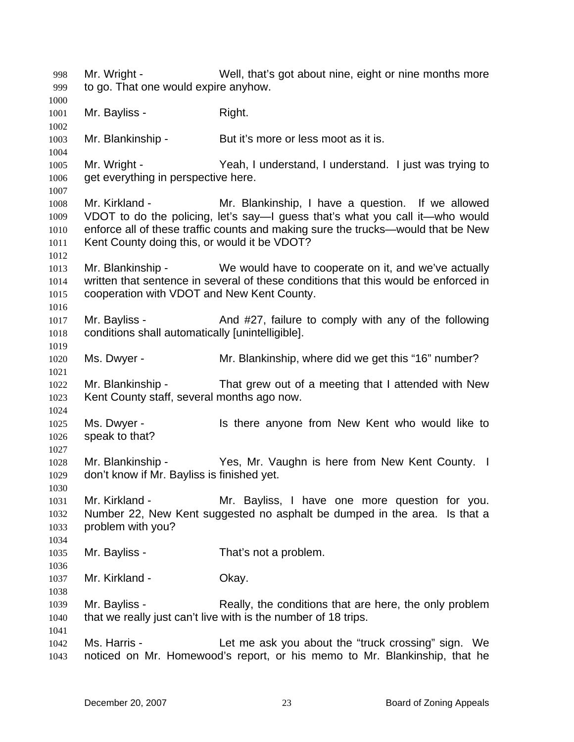Mr. Wright - Well, that's got about nine, eight or nine months more to go. That one would expire anyhow. 998 999 1000 1001 1002 1003 1004 1005 1006 1007 1008 1009 1010 1011 1012 1013 1014 1015 1016 1017 1018 1019 1020 1021 1022 1023 1024 1025 1026 1027 1028 1029 1030 1031 1032 1033 1034 1035 1036 1037 1038 1039 1040 1041 1042 1043 Mr. Bayliss - Right. Mr. Blankinship - But it's more or less moot as it is. Mr. Wright - Yeah, I understand, I understand. I just was trying to get everything in perspective here. Mr. Kirkland - The Mr. Blankinship, I have a question. If we allowed VDOT to do the policing, let's say—I guess that's what you call it—who would enforce all of these traffic counts and making sure the trucks—would that be New Kent County doing this, or would it be VDOT? Mr. Blankinship - We would have to cooperate on it, and we've actually written that sentence in several of these conditions that this would be enforced in cooperation with VDOT and New Kent County. Mr. Bayliss - And #27, failure to comply with any of the following conditions shall automatically [unintelligible]. Ms. Dwyer - Mr. Blankinship, where did we get this "16" number? Mr. Blankinship - That grew out of a meeting that I attended with New Kent County staff, several months ago now. Ms. Dwyer - Is there anyone from New Kent who would like to speak to that? Mr. Blankinship - Yes, Mr. Vaughn is here from New Kent County. I don't know if Mr. Bayliss is finished yet. Mr. Kirkland - The Mr. Bayliss, I have one more question for you. Number 22, New Kent suggested no asphalt be dumped in the area. Is that a problem with you? Mr. Bayliss - That's not a problem. Mr. Kirkland - **Okay.** Mr. Bayliss - Really, the conditions that are here, the only problem that we really just can't live with is the number of 18 trips. Ms. Harris - The Let me ask you about the "truck crossing" sign. We noticed on Mr. Homewood's report, or his memo to Mr. Blankinship, that he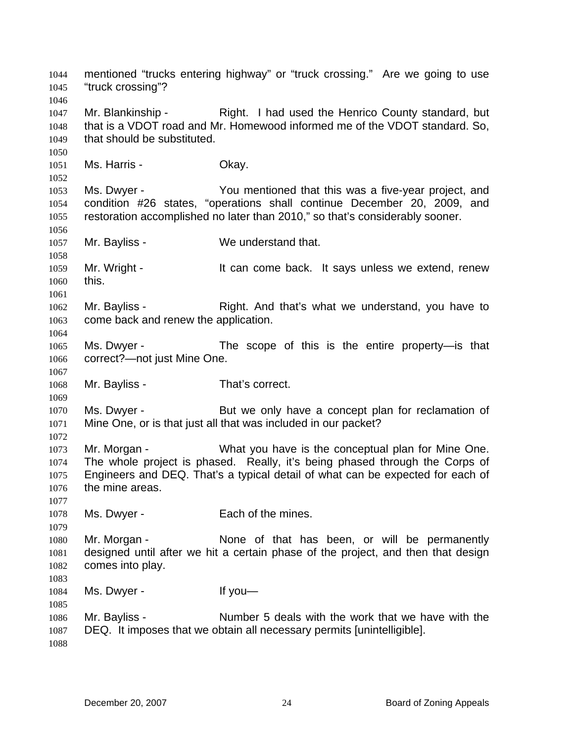mentioned "trucks entering highway" or "truck crossing." Are we going to use "truck crossing"? 1044 1045 1046 1047 1048 1049 1050 1051 1052 1053 1054 1055 1056 1057 1058 1059 1060 1061 1062 1063 1064 1065 1066 1067 1068 1069 1070 1071 1072 1073 1074 1075 1076 1077 1078 1079 1080 1081 1082 1083 1084 1085 1086 1087 1088 Mr. Blankinship - Right. I had used the Henrico County standard, but that is a VDOT road and Mr. Homewood informed me of the VDOT standard. So, that should be substituted. Ms. Harris - Chay. Ms. Dwyer - The You mentioned that this was a five-year project, and condition #26 states, "operations shall continue December 20, 2009, and restoration accomplished no later than 2010," so that's considerably sooner. Mr. Bayliss - We understand that. Mr. Wright - It can come back. It says unless we extend, renew this. Mr. Bayliss - Right. And that's what we understand, you have to come back and renew the application. Ms. Dwyer - The scope of this is the entire property-is that correct?—not just Mine One. Mr. Bayliss - That's correct. Ms. Dwyer - But we only have a concept plan for reclamation of Mine One, or is that just all that was included in our packet? Mr. Morgan - What you have is the conceptual plan for Mine One. The whole project is phased. Really, it's being phased through the Corps of Engineers and DEQ. That's a typical detail of what can be expected for each of the mine areas. Ms. Dwyer - Each of the mines. Mr. Morgan - The None of that has been, or will be permanently designed until after we hit a certain phase of the project, and then that design comes into play. Ms. Dwyer - If you — Mr. Bayliss - Number 5 deals with the work that we have with the DEQ. It imposes that we obtain all necessary permits [unintelligible].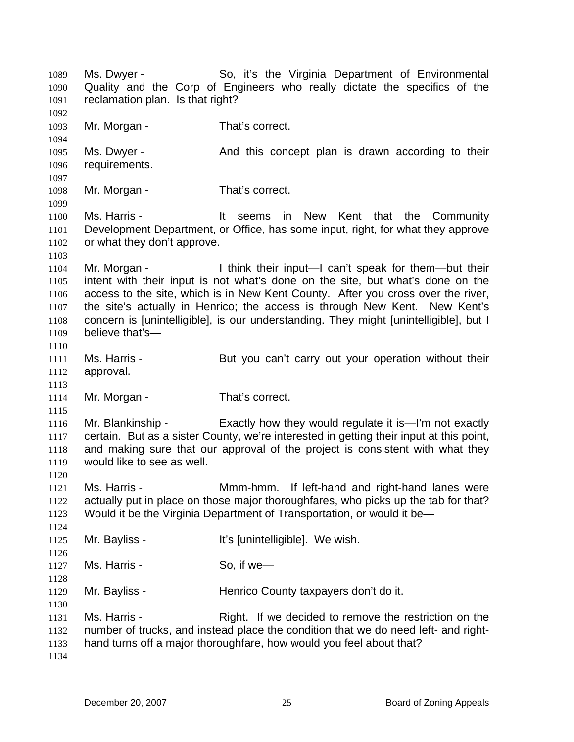Ms. Dwyer - So, it's the Virginia Department of Environmental Quality and the Corp of Engineers who really dictate the specifics of the reclamation plan. Is that right? 1089 1090 1091 1092 1093 1094 1095 1096 1097 1098 1099 1100 1101 1102 1103 1104 1105 1106 1107 1108 1109 1110 1111 1112 1113 1114 1115 1116 1117 1118 1119 1120 1121 1122 1123 1124 1125 1126 1127 1128 1129 1130 1131 1132 1133 1134 Mr. Morgan - That's correct. Ms. Dwyer - The And this concept plan is drawn according to their requirements. Mr. Morgan - That's correct. Ms. Harris - The Music Hill seems in New Kent that the Community Development Department, or Office, has some input, right, for what they approve or what they don't approve. Mr. Morgan - I think their input—I can't speak for them—but their intent with their input is not what's done on the site, but what's done on the access to the site, which is in New Kent County. After you cross over the river, the site's actually in Henrico; the access is through New Kent. New Kent's concern is [unintelligible], is our understanding. They might [unintelligible], but I believe that's— Ms. Harris - **But you can't carry out your operation without their** approval. Mr. Morgan - That's correct. Mr. Blankinship - Exactly how they would regulate it is—I'm not exactly certain. But as a sister County, we're interested in getting their input at this point, and making sure that our approval of the project is consistent with what they would like to see as well. Ms. Harris - Mmm-hmm. If left-hand and right-hand lanes were actually put in place on those major thoroughfares, who picks up the tab for that? Would it be the Virginia Department of Transportation, or would it be— Mr. Bayliss - It's [unintelligible]. We wish. Ms. Harris - So, if we Mr. Bayliss - Thenrico County taxpayers don't do it. Ms. Harris - **Right.** If we decided to remove the restriction on the number of trucks, and instead place the condition that we do need left- and righthand turns off a major thoroughfare, how would you feel about that?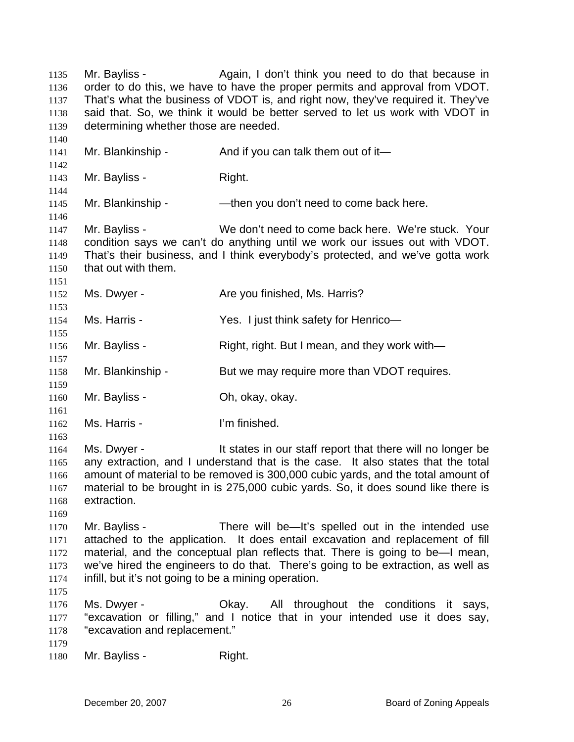Mr. Bayliss - Again, I don't think you need to do that because in order to do this, we have to have the proper permits and approval from VDOT. That's what the business of VDOT is, and right now, they've required it. They've said that. So, we think it would be better served to let us work with VDOT in determining whether those are needed. 1135 1136 1137 1138 1139 1140 1141 1142 1143 1144 1145 1146 1147 1148 1149 1150 1151 1152 1153 1154 1155 1156 1157 1158 1159 1160 1161 1162 1163 1164 1165 1166 1167 1168 1169 1170 1171 1172 1173 1174 1175 1176 1177 1178 1179 1180 Mr. Blankinship -  $\mu$  And if you can talk them out of it— Mr. Bayliss - Right. Mr. Blankinship - — — — — then you don't need to come back here. Mr. Bayliss - We don't need to come back here. We're stuck. Your condition says we can't do anything until we work our issues out with VDOT. That's their business, and I think everybody's protected, and we've gotta work that out with them. Ms. Dwyer - Are you finished, Ms. Harris? Ms. Harris - Yes. I just think safety for Henrico-Mr. Bayliss - Right, right. But I mean, and they work with— Mr. Blankinship - But we may require more than VDOT requires. Mr. Bayliss - Ch, okay, okay. Ms. Harris - I'm finished. Ms. Dwyer - The states in our staff report that there will no longer be any extraction, and I understand that is the case. It also states that the total amount of material to be removed is 300,000 cubic yards, and the total amount of material to be brought in is 275,000 cubic yards. So, it does sound like there is extraction. Mr. Bayliss - There will be—It's spelled out in the intended use attached to the application. It does entail excavation and replacement of fill material, and the conceptual plan reflects that. There is going to be—I mean, we've hired the engineers to do that. There's going to be extraction, as well as infill, but it's not going to be a mining operation. Ms. Dwyer - Ckay. All throughout the conditions it says, "excavation or filling," and I notice that in your intended use it does say, "excavation and replacement." Mr. Bayliss - Right.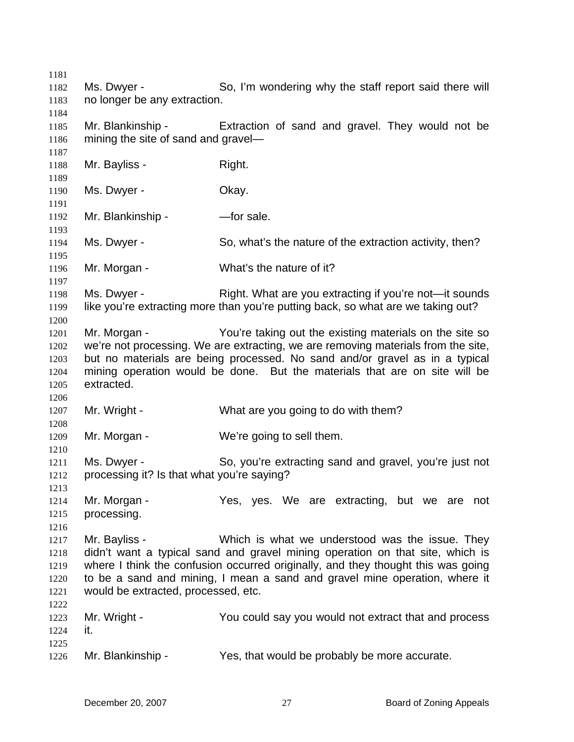| 1181 |                                            |                                                                                   |
|------|--------------------------------------------|-----------------------------------------------------------------------------------|
| 1182 | Ms. Dwyer -                                | So, I'm wondering why the staff report said there will                            |
| 1183 | no longer be any extraction.               |                                                                                   |
| 1184 |                                            |                                                                                   |
| 1185 | Mr. Blankinship -                          | Extraction of sand and gravel. They would not be                                  |
| 1186 | mining the site of sand and gravel—        |                                                                                   |
| 1187 |                                            |                                                                                   |
| 1188 | Mr. Bayliss -                              | Right.                                                                            |
| 1189 |                                            |                                                                                   |
| 1190 | Ms. Dwyer -                                | Okay.                                                                             |
| 1191 |                                            |                                                                                   |
| 1192 | Mr. Blankinship -                          | -for sale.                                                                        |
|      |                                            |                                                                                   |
| 1193 |                                            |                                                                                   |
| 1194 | Ms. Dwyer -                                | So, what's the nature of the extraction activity, then?                           |
| 1195 |                                            |                                                                                   |
| 1196 | Mr. Morgan -                               | What's the nature of it?                                                          |
| 1197 |                                            |                                                                                   |
| 1198 | Ms. Dwyer -                                | Right. What are you extracting if you're not—it sounds                            |
| 1199 |                                            | like you're extracting more than you're putting back, so what are we taking out?  |
| 1200 |                                            |                                                                                   |
| 1201 | Mr. Morgan -                               | You're taking out the existing materials on the site so                           |
| 1202 |                                            | we're not processing. We are extracting, we are removing materials from the site, |
| 1203 |                                            | but no materials are being processed. No sand and/or gravel as in a typical       |
| 1204 |                                            | mining operation would be done. But the materials that are on site will be        |
| 1205 | extracted.                                 |                                                                                   |
| 1206 |                                            |                                                                                   |
| 1207 | Mr. Wright -                               | What are you going to do with them?                                               |
| 1208 |                                            |                                                                                   |
| 1209 | Mr. Morgan -                               | We're going to sell them.                                                         |
| 1210 |                                            |                                                                                   |
| 1211 | Ms. Dwyer -                                | So, you're extracting sand and gravel, you're just not                            |
| 1212 | processing it? Is that what you're saying? |                                                                                   |
| 1213 |                                            |                                                                                   |
| 1214 | Mr. Morgan -                               | Yes, yes. We are extracting, but we are not                                       |
| 1215 | processing.                                |                                                                                   |
| 1216 |                                            |                                                                                   |
| 1217 | Mr. Bayliss -                              | Which is what we understood was the issue. They                                   |
| 1218 |                                            | didn't want a typical sand and gravel mining operation on that site, which is     |
| 1219 |                                            | where I think the confusion occurred originally, and they thought this was going  |
| 1220 |                                            | to be a sand and mining, I mean a sand and gravel mine operation, where it        |
| 1221 | would be extracted, processed, etc.        |                                                                                   |
| 1222 |                                            |                                                                                   |
| 1223 | Mr. Wright -                               | You could say you would not extract that and process                              |
| 1224 | it.                                        |                                                                                   |
| 1225 |                                            |                                                                                   |
| 1226 | Mr. Blankinship -                          | Yes, that would be probably be more accurate.                                     |
|      |                                            |                                                                                   |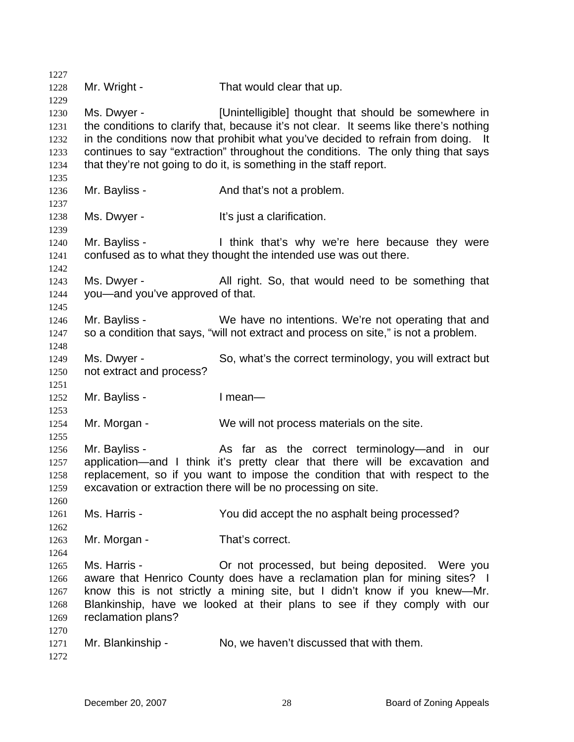1227 1228 1229 1230 1231 1232 1233 1234 1235 1236 1237 1238 1239 1240 1241 1242 1243 1244 1245 1246 1247 1248 1249 1250 1251 1252 1253 1254 1255 1256 1257 1258 1259 1260 1261 1262 1263 1264 1265 1266 1267 1268 1269 1270 1271 1272 Mr. Wright - That would clear that up. Ms. Dwyer - [Unintelligible] thought that should be somewhere in the conditions to clarify that, because it's not clear. It seems like there's nothing in the conditions now that prohibit what you've decided to refrain from doing. It continues to say "extraction" throughout the conditions. The only thing that says that they're not going to do it, is something in the staff report. Mr. Bayliss - The And that's not a problem. Ms. Dwyer - The Music of the It's just a clarification. Mr. Bayliss - Think that's why we're here because they were confused as to what they thought the intended use was out there. Ms. Dwyer - All right. So, that would need to be something that you—and you've approved of that. Mr. Bayliss - We have no intentions. We're not operating that and so a condition that says, "will not extract and process on site," is not a problem. Ms. Dwyer - So, what's the correct terminology, you will extract but not extract and process? Mr. Bayliss - I mean— Mr. Morgan - We will not process materials on the site. Mr. Bayliss - The As far as the correct terminology—and in our application—and I think it's pretty clear that there will be excavation and replacement, so if you want to impose the condition that with respect to the excavation or extraction there will be no processing on site. Ms. Harris - You did accept the no asphalt being processed? Mr. Morgan - That's correct. Ms. Harris - Or not processed, but being deposited. Were you aware that Henrico County does have a reclamation plan for mining sites? I know this is not strictly a mining site, but I didn't know if you knew—Mr. Blankinship, have we looked at their plans to see if they comply with our reclamation plans? Mr. Blankinship - No, we haven't discussed that with them.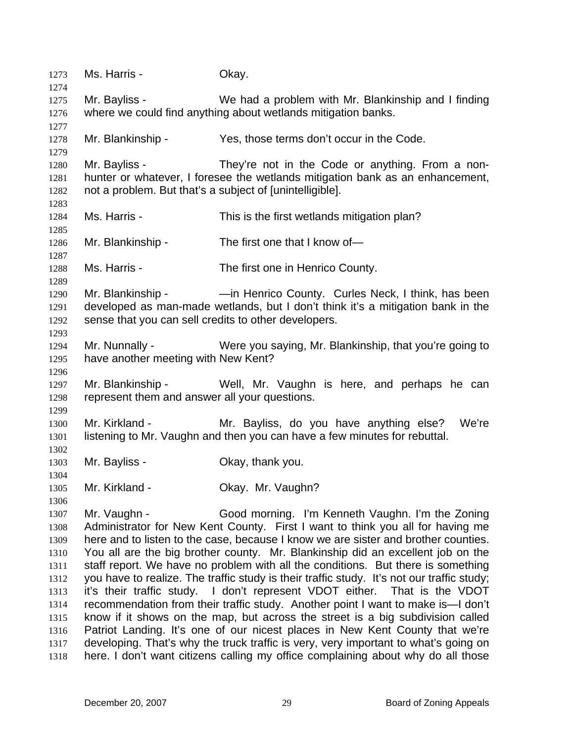1273 Ms. Harris - Okay. 1274 1275 1276 1277 1278 1279 1280 1281 1282 1283 1284 1285 1286 1287 1288 1289 1290 1291 1292 1293 1294 1295 1296 1297 1298 1299 1300 1301 1302 1303 1304 1305 1306 1307 1308 1309 1310 1311 1312 1313 1314 1315 1316 1317 1318 Mr. Bayliss - We had a problem with Mr. Blankinship and I finding where we could find anything about wetlands mitigation banks. Mr. Blankinship - Yes, those terms don't occur in the Code. Mr. Bayliss - They're not in the Code or anything. From a nonhunter or whatever, I foresee the wetlands mitigation bank as an enhancement, not a problem. But that's a subject of [unintelligible]. Ms. Harris - This is the first wetlands mitigation plan? Mr. Blankinship - The first one that I know of-Ms. Harris - The first one in Henrico County. Mr. Blankinship - —in Henrico County. Curles Neck, I think, has been developed as man-made wetlands, but I don't think it's a mitigation bank in the sense that you can sell credits to other developers. Mr. Nunnally - Were you saying, Mr. Blankinship, that you're going to have another meeting with New Kent? Mr. Blankinship - Well, Mr. Vaughn is here, and perhaps he can represent them and answer all your questions. Mr. Kirkland - Mr. Bayliss, do you have anything else? We're listening to Mr. Vaughn and then you can have a few minutes for rebuttal. Mr. Bayliss - Ckay, thank you. Mr. Kirkland - **Okay. Mr. Vaughn?** Mr. Vaughn - Good morning. I'm Kenneth Vaughn. I'm the Zoning Administrator for New Kent County. First I want to think you all for having me here and to listen to the case, because I know we are sister and brother counties. You all are the big brother county. Mr. Blankinship did an excellent job on the staff report. We have no problem with all the conditions. But there is something you have to realize. The traffic study is their traffic study. It's not our traffic study; it's their traffic study. I don't represent VDOT either. That is the VDOT recommendation from their traffic study. Another point I want to make is—I don't know if it shows on the map, but across the street is a big subdivision called Patriot Landing. It's one of our nicest places in New Kent County that we're developing. That's why the truck traffic is very, very important to what's going on here. I don't want citizens calling my office complaining about why do all those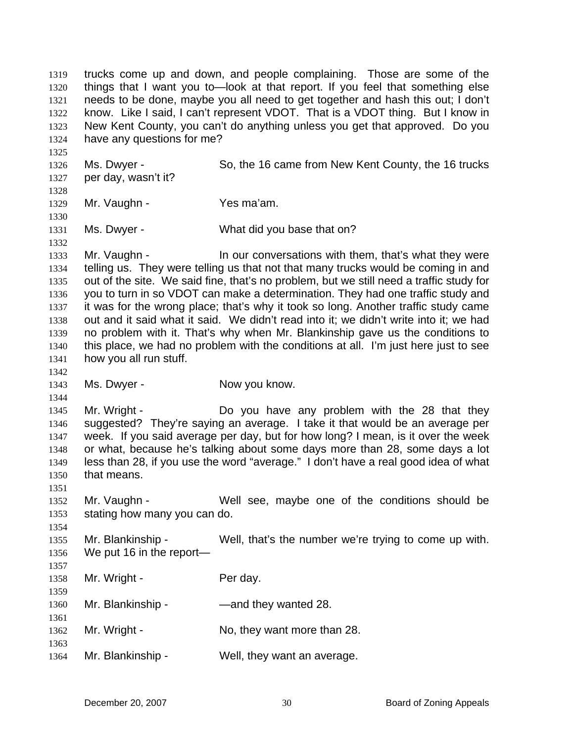trucks come up and down, and people complaining. Those are some of the things that I want you to—look at that report. If you feel that something else needs to be done, maybe you all need to get together and hash this out; I don't know. Like I said, I can't represent VDOT. That is a VDOT thing. But I know in New Kent County, you can't do anything unless you get that approved. Do you have any questions for me? 1319 1320 1321 1322 1323 1324 1325 1326 1327 1328 1329 1330 1331 1332 1333 1334 1335 1336 1337 1338 1339 1340 1341 1342 1343 1344 1345 1346 1347 1348 1349 1350 1351 1352 1353 1354 1355 1356 1357 1358 1359 1360 1361 1362 1363 1364 Ms. Dwyer - So, the 16 came from New Kent County, the 16 trucks per day, wasn't it? Mr. Vaughn - Yes ma'am. Ms. Dwyer - What did you base that on? Mr. Vaughn - The Surgen our conversations with them, that's what they were telling us. They were telling us that not that many trucks would be coming in and out of the site. We said fine, that's no problem, but we still need a traffic study for you to turn in so VDOT can make a determination. They had one traffic study and it was for the wrong place; that's why it took so long. Another traffic study came out and it said what it said. We didn't read into it; we didn't write into it; we had no problem with it. That's why when Mr. Blankinship gave us the conditions to this place, we had no problem with the conditions at all. I'm just here just to see how you all run stuff. Ms. Dwyer - Now you know. Mr. Wright - The Do you have any problem with the 28 that they suggested? They're saying an average. I take it that would be an average per week. If you said average per day, but for how long? I mean, is it over the week or what, because he's talking about some days more than 28, some days a lot less than 28, if you use the word "average." I don't have a real good idea of what that means. Mr. Vaughn - Well see, maybe one of the conditions should be stating how many you can do. Mr. Blankinship - Well, that's the number we're trying to come up with. We put 16 in the report— Mr. Wright - Per day. Mr. Blankinship - — — — — and they wanted 28. Mr. Wright - No, they want more than 28. Mr. Blankinship - Well, they want an average.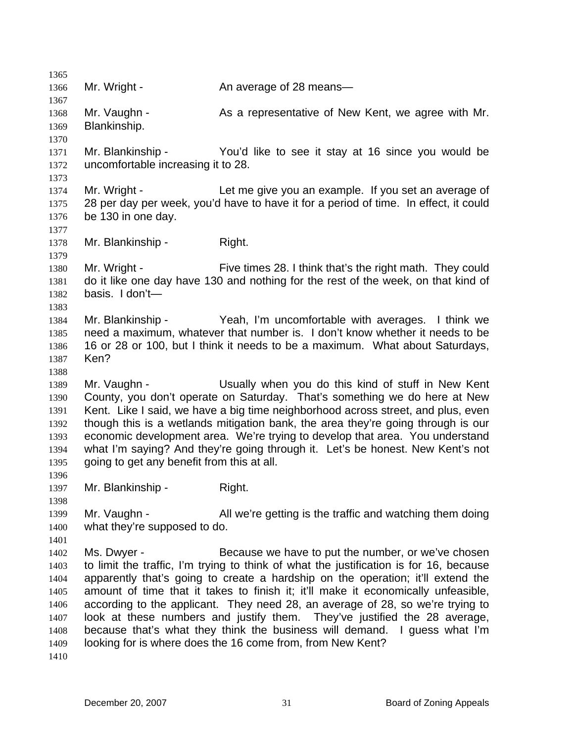1365 1366 1367 1368 1369 1370 1371 1372 1373 1374 1375 1376 1377 1378 1379 1380 1381 1382 1383 1384 1385 1386 1387 1388 1389 1390 1391 1392 1393 1394 1395 1396 1397 1398 1399 1400 1401 1402 1403 1404 1405 1406 1407 1408 1409 1410 Mr. Wright - An average of 28 means— Mr. Vaughn - As a representative of New Kent, we agree with Mr. Blankinship. Mr. Blankinship - You'd like to see it stay at 16 since you would be uncomfortable increasing it to 28. Mr. Wright - Let me give you an example. If you set an average of 28 per day per week, you'd have to have it for a period of time. In effect, it could be 130 in one day. Mr. Blankinship - Right. Mr. Wright - Five times 28. I think that's the right math. They could do it like one day have 130 and nothing for the rest of the week, on that kind of basis. I don't— Mr. Blankinship - Yeah, I'm uncomfortable with averages. I think we need a maximum, whatever that number is. I don't know whether it needs to be 16 or 28 or 100, but I think it needs to be a maximum. What about Saturdays, Ken? Mr. Vaughn - The Usually when you do this kind of stuff in New Kent County, you don't operate on Saturday. That's something we do here at New Kent. Like I said, we have a big time neighborhood across street, and plus, even though this is a wetlands mitigation bank, the area they're going through is our economic development area. We're trying to develop that area. You understand what I'm saying? And they're going through it. Let's be honest. New Kent's not going to get any benefit from this at all. Mr. Blankinship - Right. Mr. Vaughn - **All we're getting is the traffic and watching them doing** what they're supposed to do. Ms. Dwyer - Because we have to put the number, or we've chosen to limit the traffic, I'm trying to think of what the justification is for 16, because apparently that's going to create a hardship on the operation; it'll extend the amount of time that it takes to finish it; it'll make it economically unfeasible, according to the applicant. They need 28, an average of 28, so we're trying to look at these numbers and justify them. They've justified the 28 average, because that's what they think the business will demand. I guess what I'm looking for is where does the 16 come from, from New Kent?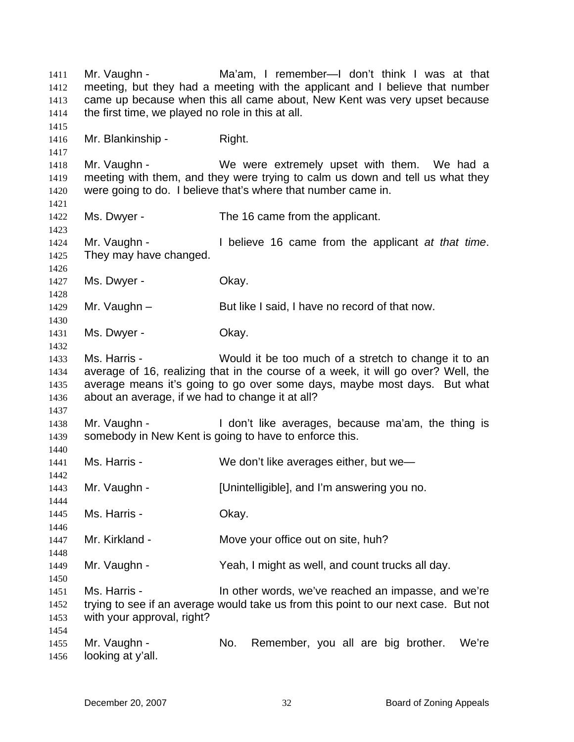Mr. Vaughn - Ma'am, I remember—I don't think I was at that meeting, but they had a meeting with the applicant and I believe that number came up because when this all came about, New Kent was very upset because the first time, we played no role in this at all. 1411 1412 1413 1414 1415 1416 1417 1418 1419 1420 1421 1422 1423 1424 1425 1426 1427 1428 1429 1430 1431 1432 1433 1434 1435 1436 1437 1438 1439 1440 1441 1442 1443 1444 1445 1446 1447 1448 1449 1450 1451 1452 1453 1454 1455 1456 Mr. Blankinship - Right. Mr. Vaughn - We were extremely upset with them. We had a meeting with them, and they were trying to calm us down and tell us what they were going to do. I believe that's where that number came in. Ms. Dwyer - The 16 came from the applicant. Mr. Vaughn - I believe 16 came from the applicant *at that time*. They may have changed. Ms. Dwyer - Chay. Mr. Vaughn – But like I said, I have no record of that now. Ms. Dwyer - Chay. Ms. Harris - Would it be too much of a stretch to change it to an average of 16, realizing that in the course of a week, it will go over? Well, the average means it's going to go over some days, maybe most days. But what about an average, if we had to change it at all? Mr. Vaughn - The I don't like averages, because ma'am, the thing is somebody in New Kent is going to have to enforce this. Ms. Harris - We don't like averages either, but we— Mr. Vaughn - [Unintelligible], and I'm answering you no. Ms. Harris - Ckay. Mr. Kirkland - **Move your office out on site, huh?** Mr. Vaughn - Yeah, I might as well, and count trucks all day. Ms. Harris - In other words, we've reached an impasse, and we're trying to see if an average would take us from this point to our next case. But not with your approval, right? Mr. Vaughn - No. Remember, you all are big brother. We're looking at y'all.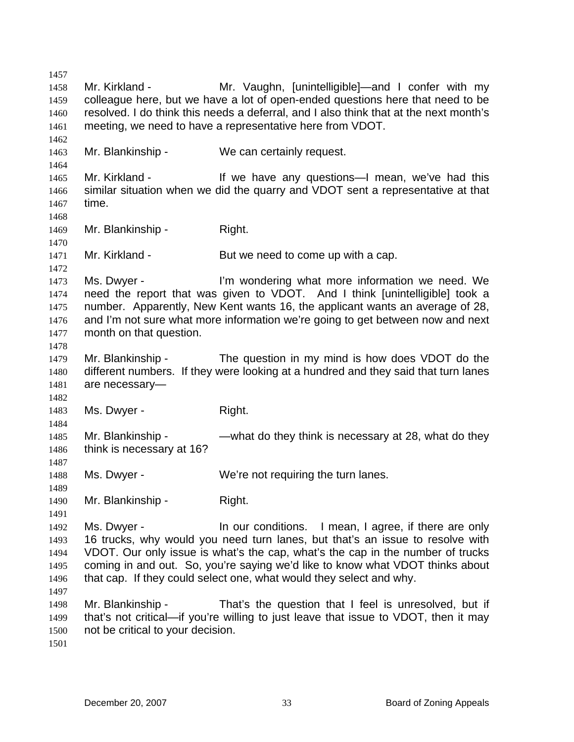1457 1458 1459 1460 1461 1462 1463 1464 1465 1466 1467 1468 1469 1470 1471 1472 1473 1474 1475 1476 1477 1478 1479 1480 1481 1482 1483 1484 1485 1486 1487 1488 1489 1490 1491 1492 1493 1494 1495 1496 1497 1498 1499 1500 1501 Mr. Kirkland - The Mr. Vaughn, [unintelligible]—and I confer with my colleague here, but we have a lot of open-ended questions here that need to be resolved. I do think this needs a deferral, and I also think that at the next month's meeting, we need to have a representative here from VDOT. Mr. Blankinship - We can certainly request. Mr. Kirkland - The Mr over any questions—I mean, we've had this similar situation when we did the quarry and VDOT sent a representative at that time. Mr. Blankinship - Right. Mr. Kirkland - But we need to come up with a cap. Ms. Dwyer - I'm wondering what more information we need. We need the report that was given to VDOT. And I think [unintelligible] took a number. Apparently, New Kent wants 16, the applicant wants an average of 28, and I'm not sure what more information we're going to get between now and next month on that question. Mr. Blankinship - The question in my mind is how does VDOT do the different numbers. If they were looking at a hundred and they said that turn lanes are necessary— Ms. Dwyer - Right. Mr. Blankinship - — — — what do they think is necessary at 28, what do they think is necessary at 16? Ms. Dwyer - We're not requiring the turn lanes. Mr. Blankinship - Right. Ms. Dwyer - In our conditions. I mean, I agree, if there are only 16 trucks, why would you need turn lanes, but that's an issue to resolve with VDOT. Our only issue is what's the cap, what's the cap in the number of trucks coming in and out. So, you're saying we'd like to know what VDOT thinks about that cap. If they could select one, what would they select and why. Mr. Blankinship - That's the question that I feel is unresolved, but if that's not critical—if you're willing to just leave that issue to VDOT, then it may not be critical to your decision.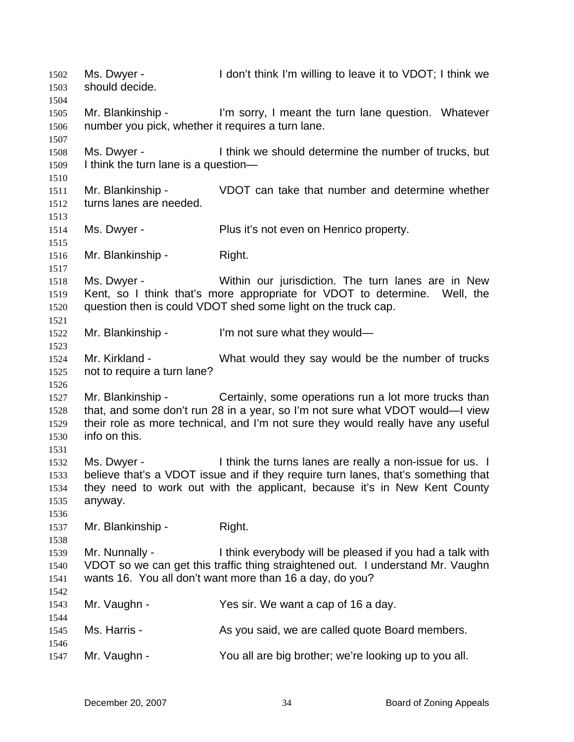Ms. Dwyer - I don't think I'm willing to leave it to VDOT; I think we should decide. 1502 1503 1504 1505 1506 1507 1508 1509 1510 1511 1512 1513 1514 1515 1516 1517 1518 1519 1520 1521 1522 1523 1524 1525 1526 1527 1528 1529 1530 1531 1532 1533 1534 1535 1536 1537 1538 1539 1540 1541 1542 1543 1544 1545 1546 1547 Mr. Blankinship - I'm sorry, I meant the turn lane question. Whatever number you pick, whether it requires a turn lane. Ms. Dwyer - I think we should determine the number of trucks, but I think the turn lane is a question— Mr. Blankinship - VDOT can take that number and determine whether turns lanes are needed. Ms. Dwyer - Plus it's not even on Henrico property. Mr. Blankinship - Right. Ms. Dwyer - Within our jurisdiction. The turn lanes are in New Kent, so I think that's more appropriate for VDOT to determine. Well, the question then is could VDOT shed some light on the truck cap. Mr. Blankinship - I'm not sure what they would— Mr. Kirkland - What would they say would be the number of trucks not to require a turn lane? Mr. Blankinship - Certainly, some operations run a lot more trucks than that, and some don't run 28 in a year, so I'm not sure what VDOT would—I view their role as more technical, and I'm not sure they would really have any useful info on this. Ms. Dwyer - Think the turns lanes are really a non-issue for us. I believe that's a VDOT issue and if they require turn lanes, that's something that they need to work out with the applicant, because it's in New Kent County anyway. Mr. Blankinship - Right. Mr. Nunnally - I think everybody will be pleased if you had a talk with VDOT so we can get this traffic thing straightened out. I understand Mr. Vaughn wants 16. You all don't want more than 16 a day, do you? Mr. Vaughn - Yes sir. We want a cap of 16 a day. Ms. Harris - As you said, we are called quote Board members. Mr. Vaughn - You all are big brother; we're looking up to you all.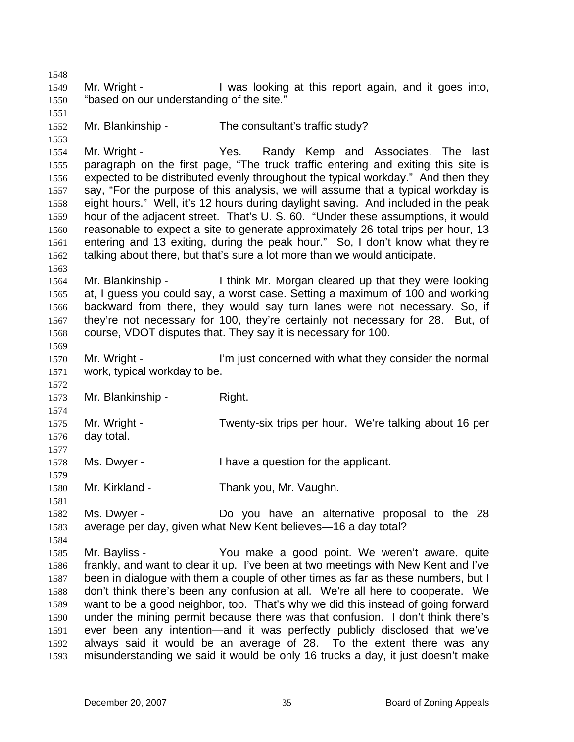1548 1549 1550 1551 1552 1553 1554 1555 1556 1557 1558 1559 1560 1561 1562 1563 1564 1565 1566 1567 1568 1569 1570 1571 1572 1573 1574 1575 1576 1577 1578 1579 1580 1581 1582 1583 1584 1585 1586 1587 1588 1589 1590 1591 1592 1593 Mr. Wright - I was looking at this report again, and it goes into, "based on our understanding of the site." Mr. Blankinship - The consultant's traffic study? Mr. Wright - Yes. Randy Kemp and Associates. The last paragraph on the first page, "The truck traffic entering and exiting this site is expected to be distributed evenly throughout the typical workday." And then they say, "For the purpose of this analysis, we will assume that a typical workday is eight hours." Well, it's 12 hours during daylight saving. And included in the peak hour of the adjacent street. That's U. S. 60. "Under these assumptions, it would reasonable to expect a site to generate approximately 26 total trips per hour, 13 entering and 13 exiting, during the peak hour." So, I don't know what they're talking about there, but that's sure a lot more than we would anticipate. Mr. Blankinship - I think Mr. Morgan cleared up that they were looking at, I guess you could say, a worst case. Setting a maximum of 100 and working backward from there, they would say turn lanes were not necessary. So, if they're not necessary for 100, they're certainly not necessary for 28. But, of course, VDOT disputes that. They say it is necessary for 100. Mr. Wright - I'm just concerned with what they consider the normal work, typical workday to be. Mr. Blankinship - Right. Mr. Wright - Twenty-six trips per hour. We're talking about 16 per day total. Ms. Dwyer - Thave a question for the applicant. Mr. Kirkland - Thank you, Mr. Vaughn. Ms. Dwyer - The Do you have an alternative proposal to the 28 average per day, given what New Kent believes—16 a day total? Mr. Bayliss - The You make a good point. We weren't aware, quite frankly, and want to clear it up. I've been at two meetings with New Kent and I've been in dialogue with them a couple of other times as far as these numbers, but I don't think there's been any confusion at all. We're all here to cooperate. We want to be a good neighbor, too. That's why we did this instead of going forward under the mining permit because there was that confusion. I don't think there's ever been any intention—and it was perfectly publicly disclosed that we've always said it would be an average of 28. To the extent there was any misunderstanding we said it would be only 16 trucks a day, it just doesn't make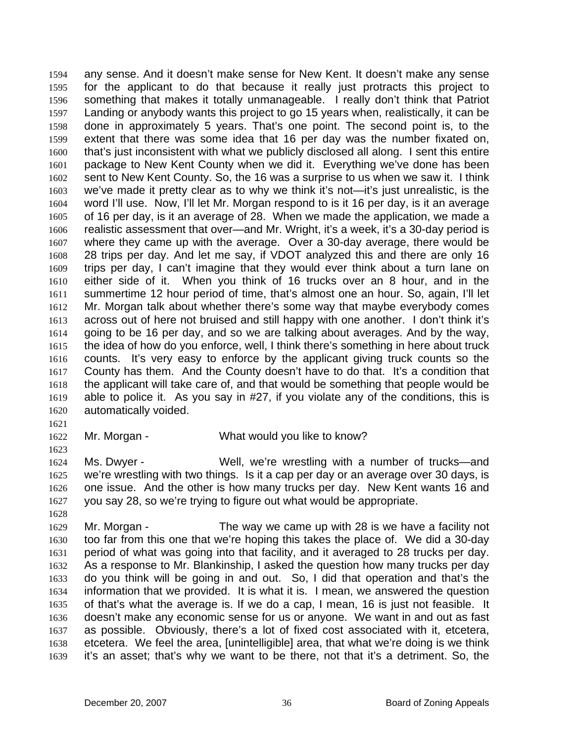any sense. And it doesn't make sense for New Kent. It doesn't make any sense for the applicant to do that because it really just protracts this project to something that makes it totally unmanageable. I really don't think that Patriot Landing or anybody wants this project to go 15 years when, realistically, it can be done in approximately 5 years. That's one point. The second point is, to the extent that there was some idea that 16 per day was the number fixated on, that's just inconsistent with what we publicly disclosed all along. I sent this entire package to New Kent County when we did it. Everything we've done has been sent to New Kent County. So, the 16 was a surprise to us when we saw it. I think we've made it pretty clear as to why we think it's not—it's just unrealistic, is the word I'll use. Now, I'll let Mr. Morgan respond to is it 16 per day, is it an average of 16 per day, is it an average of 28. When we made the application, we made a realistic assessment that over—and Mr. Wright, it's a week, it's a 30-day period is where they came up with the average. Over a 30-day average, there would be 28 trips per day. And let me say, if VDOT analyzed this and there are only 16 trips per day, I can't imagine that they would ever think about a turn lane on either side of it. When you think of 16 trucks over an 8 hour, and in the summertime 12 hour period of time, that's almost one an hour. So, again, I'll let Mr. Morgan talk about whether there's some way that maybe everybody comes across out of here not bruised and still happy with one another. I don't think it's going to be 16 per day, and so we are talking about averages. And by the way, the idea of how do you enforce, well, I think there's something in here about truck counts. It's very easy to enforce by the applicant giving truck counts so the County has them. And the County doesn't have to do that. It's a condition that the applicant will take care of, and that would be something that people would be able to police it. As you say in #27, if you violate any of the conditions, this is automatically voided. 1594 1595 1596 1597 1598 1599 1600 1601 1602 1603 1604 1605 1606 1607 1608 1609 1610 1611 1612 1613 1614 1615 1616 1617 1618 1619 1620

1621

1623

1628

1622 Mr. Morgan - What would you like to know?

1624 1625 1626 1627 Ms. Dwyer - Well, we're wrestling with a number of trucks—and we're wrestling with two things. Is it a cap per day or an average over 30 days, is one issue. And the other is how many trucks per day. New Kent wants 16 and you say 28, so we're trying to figure out what would be appropriate.

1629 1630 1631 1632 1633 1634 1635 1636 1637 1638 1639 Mr. Morgan - The way we came up with 28 is we have a facility not too far from this one that we're hoping this takes the place of. We did a 30-day period of what was going into that facility, and it averaged to 28 trucks per day. As a response to Mr. Blankinship, I asked the question how many trucks per day do you think will be going in and out. So, I did that operation and that's the information that we provided. It is what it is. I mean, we answered the question of that's what the average is. If we do a cap, I mean, 16 is just not feasible. It doesn't make any economic sense for us or anyone. We want in and out as fast as possible. Obviously, there's a lot of fixed cost associated with it, etcetera, etcetera. We feel the area, [unintelligible] area, that what we're doing is we think it's an asset; that's why we want to be there, not that it's a detriment. So, the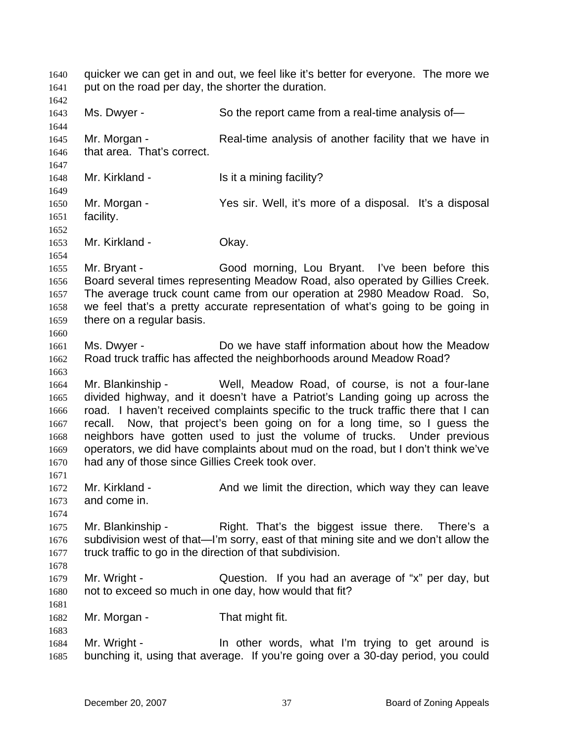quicker we can get in and out, we feel like it's better for everyone. The more we put on the road per day, the shorter the duration. 1641 1642 1643 1644 1645 1646 1647 1648 1649 1650 1651 1652 1653 1654 1655 1656 1657 1658 1659 1660 1661 1662 1663 1664 1665 1666 1667 1668 1669 1670 1671 1672 1673 1674 1675 1676 1677 1678 1679 1680 1681 1682 1683 1684 Ms. Dwyer - So the report came from a real-time analysis of-Mr. Morgan - Real-time analysis of another facility that we have in that area. That's correct. Mr. Kirkland - Is it a mining facility? Mr. Morgan - Yes sir. Well, it's more of a disposal. It's a disposal facility. Mr. Kirkland - **Okay.** Mr. Bryant - Good morning, Lou Bryant. I've been before this Board several times representing Meadow Road, also operated by Gillies Creek. The average truck count came from our operation at 2980 Meadow Road. So, we feel that's a pretty accurate representation of what's going to be going in there on a regular basis. Ms. Dwyer - The Meadow Do we have staff information about how the Meadow Road truck traffic has affected the neighborhoods around Meadow Road? Mr. Blankinship - Well, Meadow Road, of course, is not a four-lane divided highway, and it doesn't have a Patriot's Landing going up across the road. I haven't received complaints specific to the truck traffic there that I can recall. Now, that project's been going on for a long time, so I guess the neighbors have gotten used to just the volume of trucks. Under previous operators, we did have complaints about mud on the road, but I don't think we've had any of those since Gillies Creek took over. Mr. Kirkland - The And we limit the direction, which way they can leave and come in. Mr. Blankinship - That's the biggest issue there. There's a subdivision west of that—I'm sorry, east of that mining site and we don't allow the truck traffic to go in the direction of that subdivision. Mr. Wright - Question. If you had an average of "x" per day, but not to exceed so much in one day, how would that fit? Mr. Morgan - That might fit. Mr. Wright - The other words, what I'm trying to get around is

1685

1640

bunching it, using that average. If you're going over a 30-day period, you could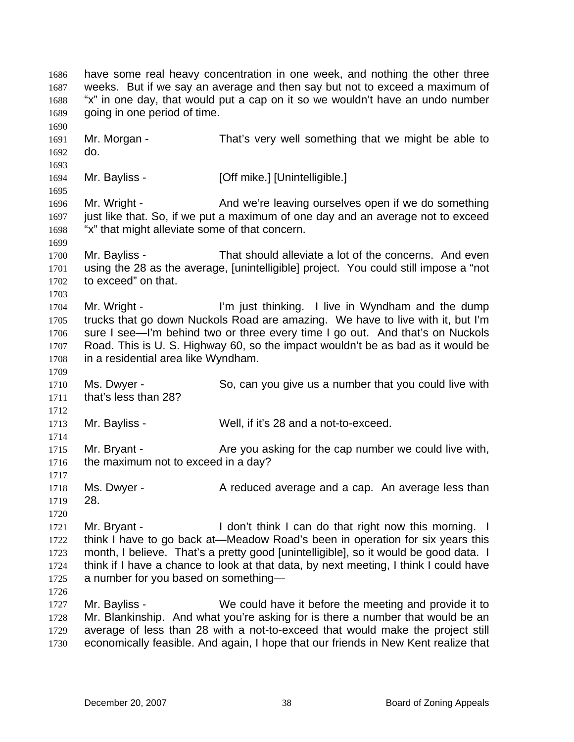have some real heavy concentration in one week, and nothing the other three weeks. But if we say an average and then say but not to exceed a maximum of "x" in one day, that would put a cap on it so we wouldn't have an undo number going in one period of time. 1686 1687 1688 1689 1690 1691 1692 1693 1694 1695 1696 1697 1698 1699 1700 1701 1702 1703 1704 1705 1706 1707 1708 1709 1710 1711 1712 1713 1714 1715 1716 1717 1718 1719 1720 1721 1722 1723 1724 1725 1726 1727 1728 1729 1730 Mr. Morgan - That's very well something that we might be able to do. Mr. Bayliss - [Off mike.] [Unintelligible.] Mr. Wright - And we're leaving ourselves open if we do something just like that. So, if we put a maximum of one day and an average not to exceed "x" that might alleviate some of that concern. Mr. Bayliss - That should alleviate a lot of the concerns. And even using the 28 as the average, [unintelligible] project. You could still impose a "not to exceed" on that. Mr. Wright - I'm just thinking. I live in Wyndham and the dump trucks that go down Nuckols Road are amazing. We have to live with it, but I'm sure I see—I'm behind two or three every time I go out. And that's on Nuckols Road. This is U. S. Highway 60, so the impact wouldn't be as bad as it would be in a residential area like Wyndham. Ms. Dwyer - So, can you give us a number that you could live with that's less than 28? Mr. Bayliss - Well, if it's 28 and a not-to-exceed. Mr. Bryant - Are you asking for the cap number we could live with, the maximum not to exceed in a day? Ms. Dwyer - A reduced average and a cap. An average less than 28. Mr. Bryant - The I don't think I can do that right now this morning. I think I have to go back at—Meadow Road's been in operation for six years this month, I believe. That's a pretty good [unintelligible], so it would be good data. I think if I have a chance to look at that data, by next meeting, I think I could have a number for you based on something— Mr. Bayliss - We could have it before the meeting and provide it to Mr. Blankinship. And what you're asking for is there a number that would be an average of less than 28 with a not-to-exceed that would make the project still economically feasible. And again, I hope that our friends in New Kent realize that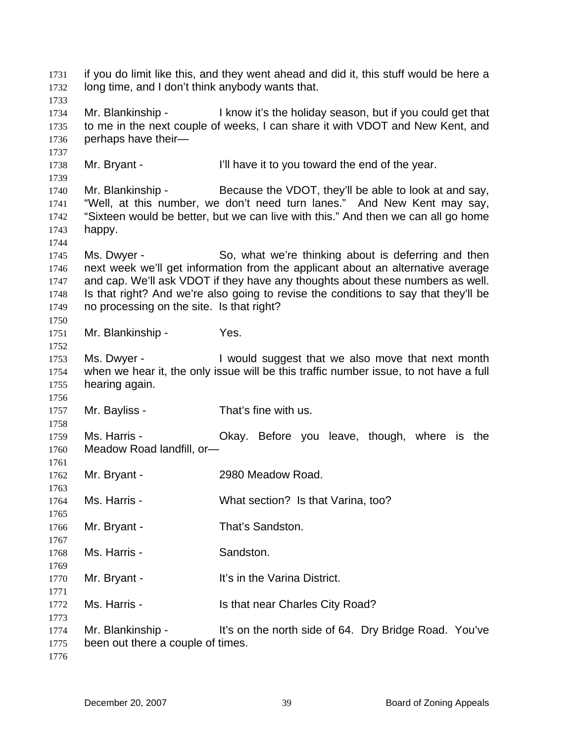if you do limit like this, and they went ahead and did it, this stuff would be here a long time, and I don't think anybody wants that. 1731 1732 1733 1734 1735 1736 1737 1738 1739 1740 1741 1742 1743 1744 1745 1746 1747 1748 1749 1750 1751 1752 1753 1754 1755 1756 1757 1758 1759 1760 1761 1762 1763 1764 1765 1766 1767 1768 1769 1770 1771 1772 1773 1774 1775 1776 Mr. Blankinship - I know it's the holiday season, but if you could get that to me in the next couple of weeks, I can share it with VDOT and New Kent, and perhaps have their— Mr. Bryant - I'll have it to you toward the end of the year. Mr. Blankinship - Because the VDOT, they'll be able to look at and say, "Well, at this number, we don't need turn lanes." And New Kent may say, "Sixteen would be better, but we can live with this." And then we can all go home happy. Ms. Dwyer - So, what we're thinking about is deferring and then next week we'll get information from the applicant about an alternative average and cap. We'll ask VDOT if they have any thoughts about these numbers as well. Is that right? And we're also going to revise the conditions to say that they'll be no processing on the site. Is that right? Mr. Blankinship - Yes. Ms. Dwyer - Twould suggest that we also move that next month when we hear it, the only issue will be this traffic number issue, to not have a full hearing again. Mr. Bayliss - That's fine with us. Ms. Harris - **CKAY.** Before you leave, though, where is the Meadow Road landfill, or— Mr. Bryant - 2980 Meadow Road. Ms. Harris - What section? Is that Varina, too? Mr. Bryant - That's Sandston. Ms. Harris - Sandston. Mr. Brvant - The Varina District. Ms. Harris - Is that near Charles City Road? Mr. Blankinship - It's on the north side of 64. Dry Bridge Road. You've been out there a couple of times.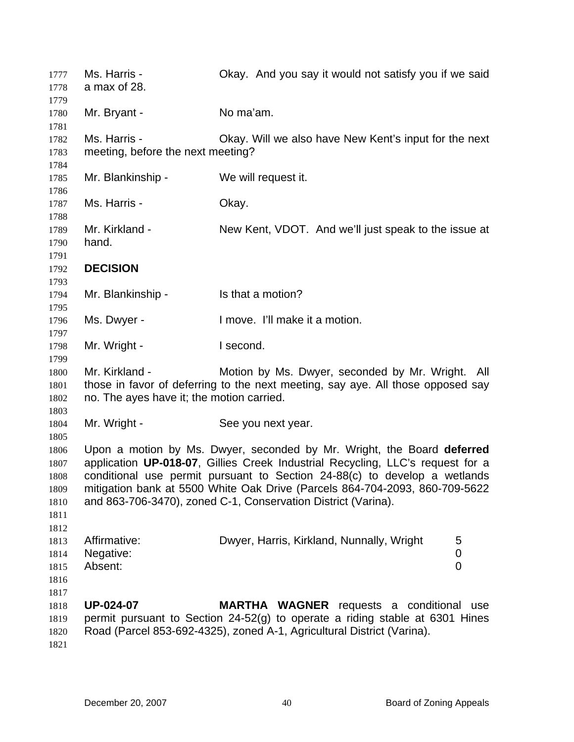| 1777<br>1778                                 | Ms. Harris -<br>a max of 28.                                                                                                                                                                                                                                                                                                                                                          | Okay. And you say it would not satisfy you if we said                                                                                                                                                 |     |
|----------------------------------------------|---------------------------------------------------------------------------------------------------------------------------------------------------------------------------------------------------------------------------------------------------------------------------------------------------------------------------------------------------------------------------------------|-------------------------------------------------------------------------------------------------------------------------------------------------------------------------------------------------------|-----|
| 1779<br>1780<br>1781                         | Mr. Bryant -                                                                                                                                                                                                                                                                                                                                                                          | No ma'am.                                                                                                                                                                                             |     |
| 1782<br>1783<br>1784                         | Ms. Harris -<br>meeting, before the next meeting?                                                                                                                                                                                                                                                                                                                                     | Okay. Will we also have New Kent's input for the next                                                                                                                                                 |     |
| 1785<br>1786                                 | Mr. Blankinship -                                                                                                                                                                                                                                                                                                                                                                     | We will request it.                                                                                                                                                                                   |     |
| 1787<br>1788                                 | Ms. Harris -                                                                                                                                                                                                                                                                                                                                                                          | Okay.                                                                                                                                                                                                 |     |
| 1789<br>1790                                 | Mr. Kirkland -<br>hand.                                                                                                                                                                                                                                                                                                                                                               | New Kent, VDOT. And we'll just speak to the issue at                                                                                                                                                  |     |
| 1791<br>1792<br>1793                         | <b>DECISION</b>                                                                                                                                                                                                                                                                                                                                                                       |                                                                                                                                                                                                       |     |
| 1794<br>1795                                 | Mr. Blankinship -                                                                                                                                                                                                                                                                                                                                                                     | Is that a motion?                                                                                                                                                                                     |     |
| 1796<br>1797                                 | Ms. Dwyer -                                                                                                                                                                                                                                                                                                                                                                           | I move. I'll make it a motion.                                                                                                                                                                        |     |
| 1798<br>1799                                 | Mr. Wright -                                                                                                                                                                                                                                                                                                                                                                          | I second.                                                                                                                                                                                             |     |
| 1800<br>1801<br>1802                         | Mr. Kirkland -<br>no. The ayes have it; the motion carried.                                                                                                                                                                                                                                                                                                                           | Motion by Ms. Dwyer, seconded by Mr. Wright.<br>those in favor of deferring to the next meeting, say aye. All those opposed say                                                                       | All |
| 1803<br>1804<br>1805                         | Mr. Wright -                                                                                                                                                                                                                                                                                                                                                                          | See you next year.                                                                                                                                                                                    |     |
| 1806<br>1807<br>1808<br>1809<br>1810<br>1811 | Upon a motion by Ms. Dwyer, seconded by Mr. Wright, the Board deferred<br>application UP-018-07, Gillies Creek Industrial Recycling, LLC's request for a<br>conditional use permit pursuant to Section 24-88(c) to develop a wetlands<br>mitigation bank at 5500 White Oak Drive (Parcels 864-704-2093, 860-709-5622<br>and 863-706-3470), zoned C-1, Conservation District (Varina). |                                                                                                                                                                                                       |     |
| 1812<br>1813<br>1814<br>1815<br>1816         | Affirmative:<br>Negative:<br>Absent:                                                                                                                                                                                                                                                                                                                                                  | Dwyer, Harris, Kirkland, Nunnally, Wright<br>5<br>$\boldsymbol{0}$<br>0                                                                                                                               |     |
| 1817<br>1818<br>1819<br>1820<br>1821         | <b>UP-024-07</b>                                                                                                                                                                                                                                                                                                                                                                      | <b>MARTHA WAGNER</b> requests a conditional<br>permit pursuant to Section 24-52(g) to operate a riding stable at 6301 Hines<br>Road (Parcel 853-692-4325), zoned A-1, Agricultural District (Varina). | use |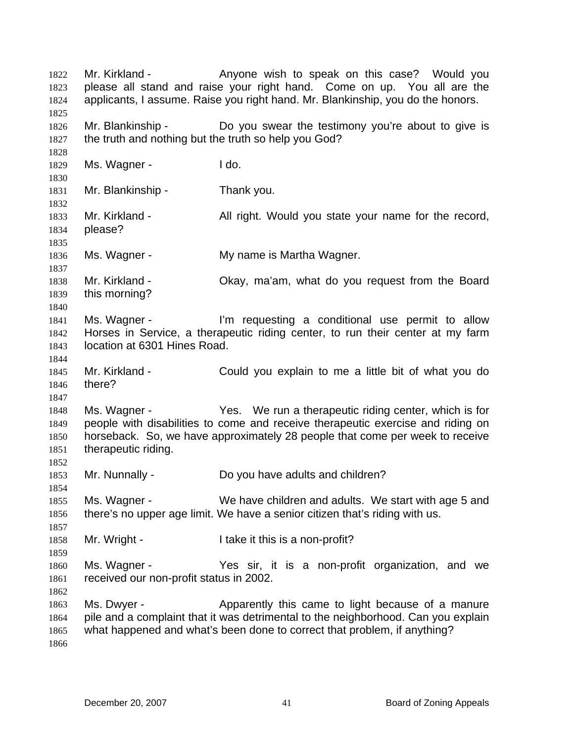Mr. Kirkland - The Anyone wish to speak on this case? Would you please all stand and raise your right hand. Come on up. You all are the applicants, I assume. Raise you right hand. Mr. Blankinship, you do the honors. 1822 1823 1824 1825 1826 1827 1828 1829 1830 1831 1832 1833 1834 1835 1836 1837 1838 1839 1840 1841 1842 1843 1844 1845 1846 1847 1848 1849 1850 1851 1852 1853 1854 1855 1856 1857 1858 1859 1860 1861 1862 1863 1864 1865 1866 Mr. Blankinship - The Do you swear the testimony you're about to give is the truth and nothing but the truth so help you God? Ms. Wagner - I do. Mr. Blankinship - Thank you. Mr. Kirkland - All right. Would you state your name for the record, please? Ms. Wagner - The My name is Martha Wagner. Mr. Kirkland - Okay, ma'am, what do you request from the Board this morning? Ms. Wagner - I'm requesting a conditional use permit to allow Horses in Service, a therapeutic riding center, to run their center at my farm location at 6301 Hines Road. Mr. Kirkland - Could you explain to me a little bit of what you do there? Ms. Wagner - Yes. We run a therapeutic riding center, which is for people with disabilities to come and receive therapeutic exercise and riding on horseback. So, we have approximately 28 people that come per week to receive therapeutic riding. Mr. Nunnally - Do you have adults and children? Ms. Wagner - We have children and adults. We start with age 5 and there's no upper age limit. We have a senior citizen that's riding with us. Mr. Wright - I take it this is a non-profit? Ms. Wagner - The Yes sir, it is a non-profit organization, and we received our non-profit status in 2002. Ms. Dwyer - Apparently this came to light because of a manure pile and a complaint that it was detrimental to the neighborhood. Can you explain what happened and what's been done to correct that problem, if anything?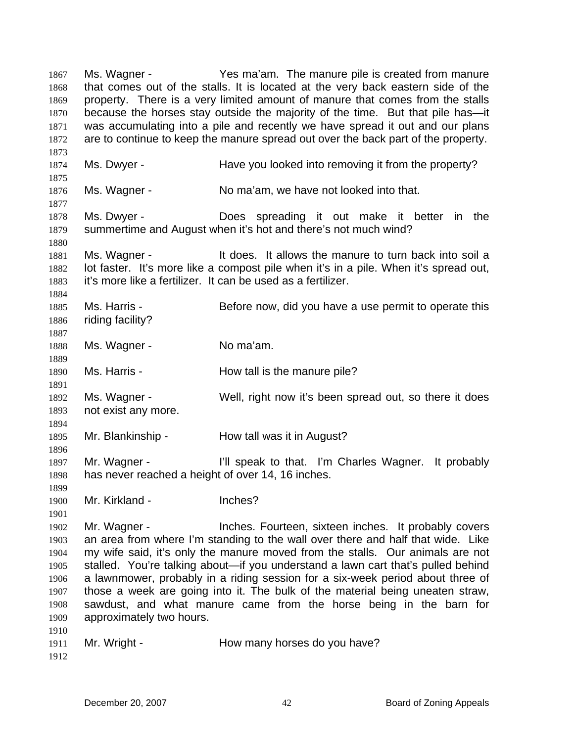Ms. Wagner - The ma'am. The manure pile is created from manure that comes out of the stalls. It is located at the very back eastern side of the property. There is a very limited amount of manure that comes from the stalls because the horses stay outside the majority of the time. But that pile has—it was accumulating into a pile and recently we have spread it out and our plans are to continue to keep the manure spread out over the back part of the property. 1867 1868 1869 1870 1871 1872 1873 1874 1875 1876 1877 1878 1879 1880 1881 1882 1883 1884 1885 1886 1887 1888 1889 1890 1891 1892 1893 1894 1895 1896 1897 1898 1899 1900 1901 1902 1903 1904 1905 1906 1907 1908 1909 1910 1911 1912 Ms. Dwyer - The Have you looked into removing it from the property? Ms. Wagner - No ma'am, we have not looked into that. Ms. Dwyer - The Does spreading it out make it better in the summertime and August when it's hot and there's not much wind? Ms. Wagner - The Mos. It allows the manure to turn back into soil a lot faster. It's more like a compost pile when it's in a pile. When it's spread out, it's more like a fertilizer. It can be used as a fertilizer. Ms. Harris - **Before now, did you have a use permit to operate this** riding facility? Ms. Wagner - No ma'am. Ms. Harris - The How tall is the manure pile? Ms. Wagner - Well, right now it's been spread out, so there it does not exist any more. Mr. Blankinship - How tall was it in August? Mr. Wagner - The I'll speak to that. I'm Charles Wagner. It probably has never reached a height of over 14, 16 inches. Mr. Kirkland - **Inches?** Mr. Wagner - Inches. Fourteen, sixteen inches. It probably covers an area from where I'm standing to the wall over there and half that wide. Like my wife said, it's only the manure moved from the stalls. Our animals are not stalled. You're talking about—if you understand a lawn cart that's pulled behind a lawnmower, probably in a riding session for a six-week period about three of those a week are going into it. The bulk of the material being uneaten straw, sawdust, and what manure came from the horse being in the barn for approximately two hours. Mr. Wright - **How many horses do you have?**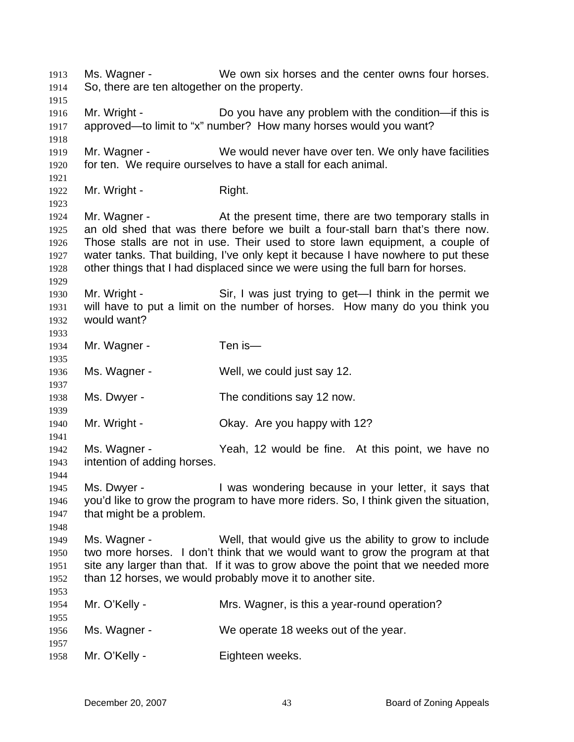Ms. Wagner - We own six horses and the center owns four horses. So, there are ten altogether on the property. 1913 1914 1915 1916 1917 1918 1919 1920 1921 1922 1923 1924 1925 1926 1927 1928 1929 1930 1931 1932 1933 1934 1935 1936 1937 1938 1939 1940 1941 1942 1943 1944 1945 1946 1947 1948 1949 1950 1951 1952 1953 1954 1955 1956 1957 1958 Mr. Wright - Do you have any problem with the condition—if this is approved—to limit to "x" number? How many horses would you want? Mr. Wagner - We would never have over ten. We only have facilities for ten. We require ourselves to have a stall for each animal. Mr. Wright - Right. Mr. Wagner - The At the present time, there are two temporary stalls in an old shed that was there before we built a four-stall barn that's there now. Those stalls are not in use. Their used to store lawn equipment, a couple of water tanks. That building, I've only kept it because I have nowhere to put these other things that I had displaced since we were using the full barn for horses. Mr. Wright - Sir, I was just trying to get—I think in the permit we will have to put a limit on the number of horses. How many do you think you would want? Mr. Wagner - Ten is-Ms. Wagner - Well, we could just say 12. Ms. Dwyer - The conditions say 12 now. Mr. Wright - Ckay. Are you happy with 12? Ms. Wagner - The Yeah, 12 would be fine. At this point, we have no intention of adding horses. Ms. Dwyer - The Mas wondering because in your letter, it says that you'd like to grow the program to have more riders. So, I think given the situation, that might be a problem. Ms. Wagner - Well, that would give us the ability to grow to include two more horses. I don't think that we would want to grow the program at that site any larger than that. If it was to grow above the point that we needed more than 12 horses, we would probably move it to another site. Mr. O'Kelly - Mrs. Wagner, is this a year-round operation? Ms. Wagner - We operate 18 weeks out of the year. Mr. O'Kelly - Eighteen weeks.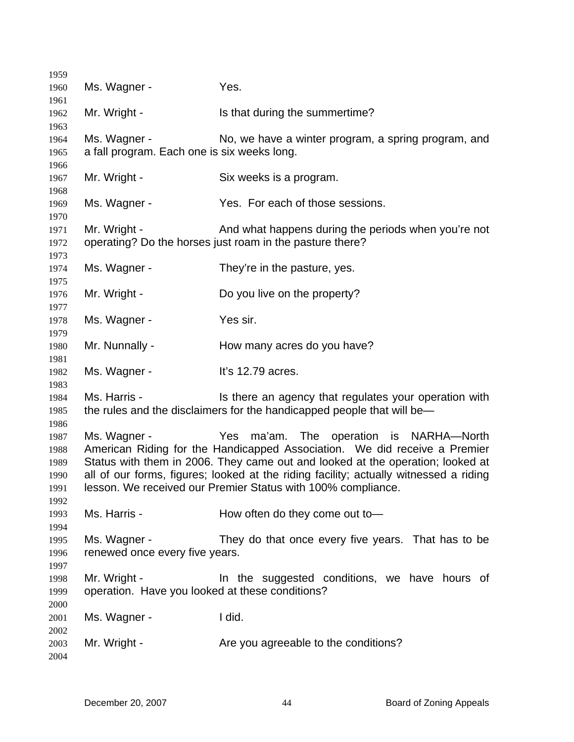| 1959                                 |                                                                                                                                                                                                                                                                                                                                                                                 |                                                                                                                                 |  |
|--------------------------------------|---------------------------------------------------------------------------------------------------------------------------------------------------------------------------------------------------------------------------------------------------------------------------------------------------------------------------------------------------------------------------------|---------------------------------------------------------------------------------------------------------------------------------|--|
| 1960<br>1961                         | Ms. Wagner -                                                                                                                                                                                                                                                                                                                                                                    | Yes.                                                                                                                            |  |
| 1962                                 | Mr. Wright -                                                                                                                                                                                                                                                                                                                                                                    | Is that during the summertime?                                                                                                  |  |
| 1963<br>1964<br>1965                 | Ms. Wagner -<br>a fall program. Each one is six weeks long.                                                                                                                                                                                                                                                                                                                     | No, we have a winter program, a spring program, and                                                                             |  |
| 1966<br>1967                         | Mr. Wright -                                                                                                                                                                                                                                                                                                                                                                    | Six weeks is a program.                                                                                                         |  |
| 1968<br>1969                         | Ms. Wagner -                                                                                                                                                                                                                                                                                                                                                                    | Yes. For each of those sessions.                                                                                                |  |
| 1970<br>1971<br>1972                 | Mr. Wright -                                                                                                                                                                                                                                                                                                                                                                    | And what happens during the periods when you're not<br>operating? Do the horses just roam in the pasture there?                 |  |
| 1973<br>1974                         | Ms. Wagner -                                                                                                                                                                                                                                                                                                                                                                    | They're in the pasture, yes.                                                                                                    |  |
| 1975<br>1976                         | Mr. Wright -                                                                                                                                                                                                                                                                                                                                                                    | Do you live on the property?                                                                                                    |  |
| 1977<br>1978                         | Ms. Wagner -                                                                                                                                                                                                                                                                                                                                                                    | Yes sir.                                                                                                                        |  |
| 1979<br>1980                         | Mr. Nunnally -                                                                                                                                                                                                                                                                                                                                                                  | How many acres do you have?                                                                                                     |  |
| 1981<br>1982                         | Ms. Wagner -                                                                                                                                                                                                                                                                                                                                                                    | It's 12.79 acres.                                                                                                               |  |
| 1983<br>1984<br>1985<br>1986         | Ms. Harris -                                                                                                                                                                                                                                                                                                                                                                    | Is there an agency that regulates your operation with<br>the rules and the disclaimers for the handicapped people that will be— |  |
| 1987<br>1988<br>1989<br>1990<br>1991 | Yes ma'am. The operation is NARHA-North<br>Ms. Wagner -<br>American Riding for the Handicapped Association. We did receive a Premier<br>Status with them in 2006. They came out and looked at the operation; looked at<br>all of our forms, figures; looked at the riding facility; actually witnessed a riding<br>lesson. We received our Premier Status with 100% compliance. |                                                                                                                                 |  |
| 1992<br>1993                         | Ms. Harris -                                                                                                                                                                                                                                                                                                                                                                    | How often do they come out to-                                                                                                  |  |
| 1994<br>1995<br>1996                 | Ms. Wagner -<br>renewed once every five years.                                                                                                                                                                                                                                                                                                                                  | They do that once every five years. That has to be                                                                              |  |
| 1997<br>1998<br>1999                 | Mr. Wright -<br>operation. Have you looked at these conditions?                                                                                                                                                                                                                                                                                                                 | In the suggested conditions, we have hours of                                                                                   |  |
| 2000<br>2001                         | Ms. Wagner -                                                                                                                                                                                                                                                                                                                                                                    | I did.                                                                                                                          |  |
| 2002<br>2003<br>2004                 | Mr. Wright -                                                                                                                                                                                                                                                                                                                                                                    | Are you agreeable to the conditions?                                                                                            |  |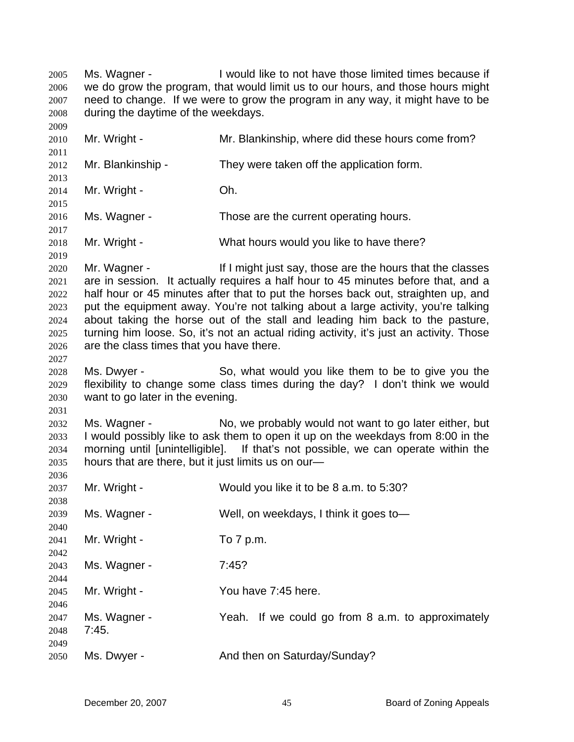Ms. Wagner - I would like to not have those limited times because if we do grow the program, that would limit us to our hours, and those hours might need to change. If we were to grow the program in any way, it might have to be during the daytime of the weekdays. 2005 2006 2007 2008 2009 2010 2011 2012 2013 2014 2015 2016 2017 2018 2019 2020 2021 2022 2023 2024 2025 2026 2027 2028 2029 2030 2031 2032 2033 2034 2035 2036 2037 2038 2039 2040 2041 2042 2043 2044 2045 2046 2047 2048 2049 2050 Mr. Wright - Mr. Blankinship, where did these hours come from? Mr. Blankinship - They were taken off the application form. Mr. Wright - Ch. Ms. Wagner - Those are the current operating hours. Mr. Wright - What hours would you like to have there? Mr. Wagner - If I might just say, those are the hours that the classes are in session. It actually requires a half hour to 45 minutes before that, and a half hour or 45 minutes after that to put the horses back out, straighten up, and put the equipment away. You're not talking about a large activity, you're talking about taking the horse out of the stall and leading him back to the pasture, turning him loose. So, it's not an actual riding activity, it's just an activity. Those are the class times that you have there. Ms. Dwyer - So, what would you like them to be to give you the flexibility to change some class times during the day? I don't think we would want to go later in the evening. Ms. Wagner - No, we probably would not want to go later either, but I would possibly like to ask them to open it up on the weekdays from 8:00 in the morning until [unintelligible]. If that's not possible, we can operate within the hours that are there, but it just limits us on our— Mr. Wright - Would you like it to be 8 a.m. to 5:30? Ms. Wagner - Well, on weekdays, I think it goes to — Mr. Wright - To 7 p.m. Ms. Wagner - 7:45? Mr. Wright - The You have 7:45 here. Ms. Wagner - The Yeah. If we could go from 8 a.m. to approximately 7:45. Ms. Dwyer - And then on Saturday/Sunday?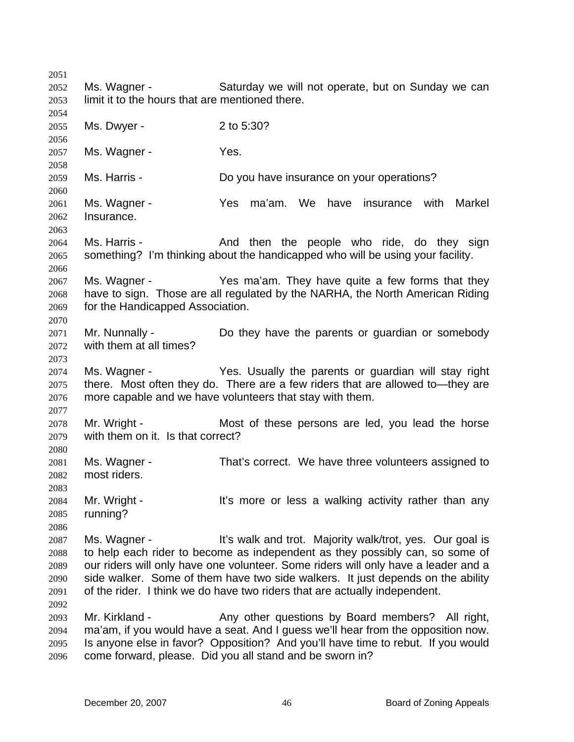2051 2052 2053 2054 2055 2056 2057 2058 2059 2060 2061 2062 2063 2064 2065 2066 2067 2068 2069 2070 2071 2072 2073 2074 2075 2076 2077 2078 2079 2080 2081 2082 2083 2084 2085 2086 2087 2088 2089 2090 2091 2092 2093 2094 2095 2096 Ms. Wagner - Saturday we will not operate, but on Sunday we can limit it to the hours that are mentioned there. Ms. Dwyer - 2 to 5:30? Ms. Wagner - The Yes. Ms. Harris - **Example 20 Find Constructs** Do you have insurance on your operations? Ms. Wagner - Yes ma'am. We have insurance with Markel Insurance. Ms. Harris - The And then the people who ride, do they sign something? I'm thinking about the handicapped who will be using your facility. Ms. Wagner - Yes ma'am. They have quite a few forms that they have to sign. Those are all regulated by the NARHA, the North American Riding for the Handicapped Association. Mr. Nunnally - Do they have the parents or guardian or somebody with them at all times? Ms. Wagner - The Yes. Usually the parents or guardian will stay right there. Most often they do. There are a few riders that are allowed to—they are more capable and we have volunteers that stay with them. Mr. Wright - Most of these persons are led, you lead the horse with them on it. Is that correct? Ms. Wagner - That's correct. We have three volunteers assigned to most riders. Mr. Wright - It's more or less a walking activity rather than any running? Ms. Wagner - The It's walk and trot. Majority walk/trot, yes. Our goal is to help each rider to become as independent as they possibly can, so some of our riders will only have one volunteer. Some riders will only have a leader and a side walker. Some of them have two side walkers. It just depends on the ability of the rider. I think we do have two riders that are actually independent. Mr. Kirkland - Any other questions by Board members? All right, ma'am, if you would have a seat. And I guess we'll hear from the opposition now. Is anyone else in favor? Opposition? And you'll have time to rebut. If you would come forward, please. Did you all stand and be sworn in?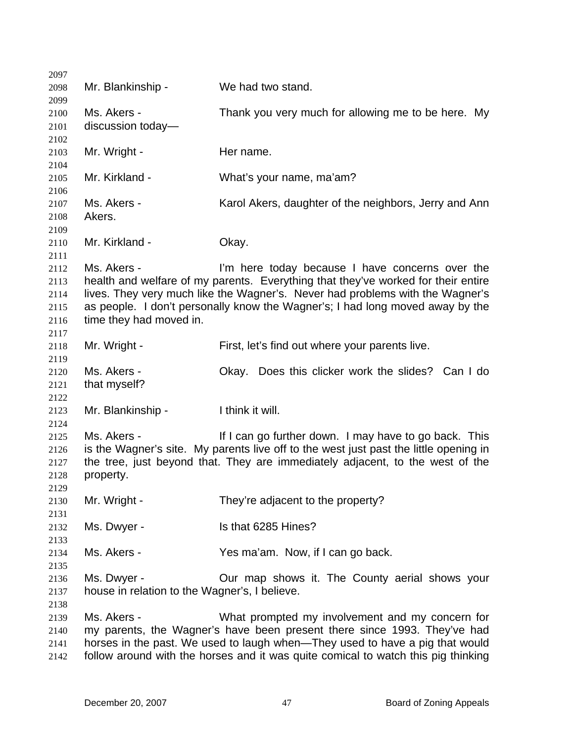| 2097         |                                                                                   |                                                                                       |  |
|--------------|-----------------------------------------------------------------------------------|---------------------------------------------------------------------------------------|--|
| 2098         | Mr. Blankinship -                                                                 | We had two stand.                                                                     |  |
| 2099         |                                                                                   |                                                                                       |  |
| 2100         | Ms. Akers -                                                                       | Thank you very much for allowing me to be here. My                                    |  |
| 2101         | discussion today-                                                                 |                                                                                       |  |
| 2102         |                                                                                   | Her name.                                                                             |  |
| 2103<br>2104 | Mr. Wright -                                                                      |                                                                                       |  |
| 2105         | Mr. Kirkland -                                                                    | What's your name, ma'am?                                                              |  |
| 2106<br>2107 | Ms. Akers -                                                                       | Karol Akers, daughter of the neighbors, Jerry and Ann                                 |  |
| 2108         | Akers.                                                                            |                                                                                       |  |
| 2109         |                                                                                   |                                                                                       |  |
| 2110         | Mr. Kirkland -                                                                    | Okay.                                                                                 |  |
| 2111         |                                                                                   |                                                                                       |  |
| 2112         | Ms. Akers -                                                                       | I'm here today because I have concerns over the                                       |  |
| 2113         |                                                                                   | health and welfare of my parents. Everything that they've worked for their entire     |  |
| 2114         |                                                                                   | lives. They very much like the Wagner's. Never had problems with the Wagner's         |  |
| 2115         |                                                                                   | as people. I don't personally know the Wagner's; I had long moved away by the         |  |
| 2116         | time they had moved in.                                                           |                                                                                       |  |
| 2117         |                                                                                   |                                                                                       |  |
| 2118         | Mr. Wright -                                                                      | First, let's find out where your parents live.                                        |  |
| 2119         |                                                                                   |                                                                                       |  |
| 2120         | Ms. Akers -                                                                       | Okay. Does this clicker work the slides? Can I do                                     |  |
| 2121         | that myself?                                                                      |                                                                                       |  |
| 2122         |                                                                                   |                                                                                       |  |
| 2123         | Mr. Blankinship -                                                                 | I think it will.                                                                      |  |
| 2124         |                                                                                   |                                                                                       |  |
| 2125         | Ms. Akers -                                                                       | If I can go further down. I may have to go back. This                                 |  |
| 2126         |                                                                                   | is the Wagner's site. My parents live off to the west just past the little opening in |  |
| 2127         |                                                                                   | the tree, just beyond that. They are immediately adjacent, to the west of the         |  |
| 2128         | property.                                                                         |                                                                                       |  |
| 2129         |                                                                                   |                                                                                       |  |
| 2130         | Mr. Wright -                                                                      | They're adjacent to the property?                                                     |  |
| 2131         |                                                                                   |                                                                                       |  |
| 2132         | Ms. Dwyer -                                                                       | Is that 6285 Hines?                                                                   |  |
| 2133         |                                                                                   |                                                                                       |  |
| 2134         | Ms. Akers -                                                                       | Yes ma'am. Now, if I can go back.                                                     |  |
| 2135         |                                                                                   |                                                                                       |  |
| 2136         | Ms. Dwyer -                                                                       | Our map shows it. The County aerial shows your                                        |  |
| 2137         | house in relation to the Wagner's, I believe.                                     |                                                                                       |  |
| 2138         |                                                                                   |                                                                                       |  |
| 2139         | Ms. Akers -                                                                       | What prompted my involvement and my concern for                                       |  |
| 2140         | my parents, the Wagner's have been present there since 1993. They've had          |                                                                                       |  |
| 2141         | horses in the past. We used to laugh when—They used to have a pig that would      |                                                                                       |  |
| 2142         | follow around with the horses and it was quite comical to watch this pig thinking |                                                                                       |  |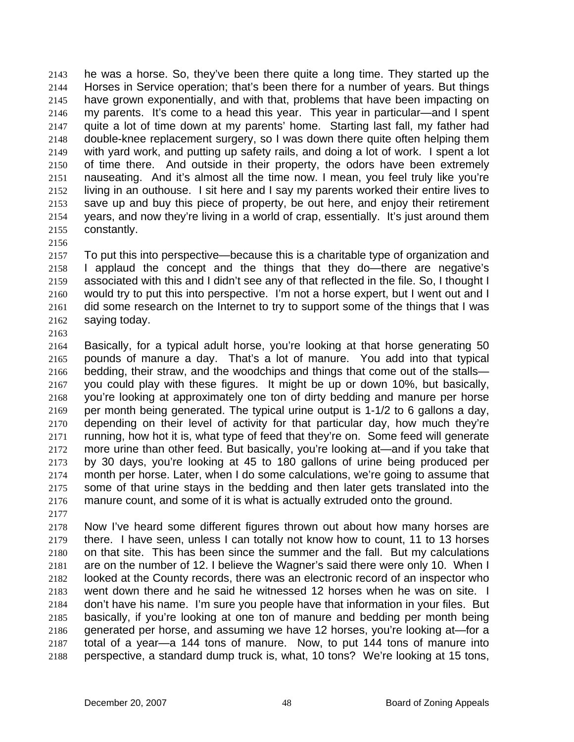he was a horse. So, they've been there quite a long time. They started up the Horses in Service operation; that's been there for a number of years. But things have grown exponentially, and with that, problems that have been impacting on my parents. It's come to a head this year. This year in particular—and I spent quite a lot of time down at my parents' home. Starting last fall, my father had double-knee replacement surgery, so I was down there quite often helping them with yard work, and putting up safety rails, and doing a lot of work. I spent a lot of time there. And outside in their property, the odors have been extremely nauseating. And it's almost all the time now. I mean, you feel truly like you're living in an outhouse. I sit here and I say my parents worked their entire lives to save up and buy this piece of property, be out here, and enjoy their retirement years, and now they're living in a world of crap, essentially. It's just around them constantly. 2143 2144 2145 2146 2147 2148 2149 2150 2151 2152 2153 2154 2155

2157 2158 2159 2160 2161 2162 To put this into perspective—because this is a charitable type of organization and I applaud the concept and the things that they do—there are negative's associated with this and I didn't see any of that reflected in the file. So, I thought I would try to put this into perspective. I'm not a horse expert, but I went out and I did some research on the Internet to try to support some of the things that I was saying today.

2163

2156

2164 2165 2166 2167 2168 2169 2170 2171 2172 2173 2174 2175 2176 Basically, for a typical adult horse, you're looking at that horse generating 50 pounds of manure a day. That's a lot of manure. You add into that typical bedding, their straw, and the woodchips and things that come out of the stalls you could play with these figures. It might be up or down 10%, but basically, you're looking at approximately one ton of dirty bedding and manure per horse per month being generated. The typical urine output is 1-1/2 to 6 gallons a day, depending on their level of activity for that particular day, how much they're running, how hot it is, what type of feed that they're on. Some feed will generate more urine than other feed. But basically, you're looking at—and if you take that by 30 days, you're looking at 45 to 180 gallons of urine being produced per month per horse. Later, when I do some calculations, we're going to assume that some of that urine stays in the bedding and then later gets translated into the manure count, and some of it is what is actually extruded onto the ground.

2177

2178 2179 2180 2181 2182 2183 2184 2185 2186 2187 2188 Now I've heard some different figures thrown out about how many horses are there. I have seen, unless I can totally not know how to count, 11 to 13 horses on that site. This has been since the summer and the fall. But my calculations are on the number of 12. I believe the Wagner's said there were only 10. When I looked at the County records, there was an electronic record of an inspector who went down there and he said he witnessed 12 horses when he was on site. I don't have his name. I'm sure you people have that information in your files. But basically, if you're looking at one ton of manure and bedding per month being generated per horse, and assuming we have 12 horses, you're looking at—for a total of a year—a 144 tons of manure. Now, to put 144 tons of manure into perspective, a standard dump truck is, what, 10 tons? We're looking at 15 tons,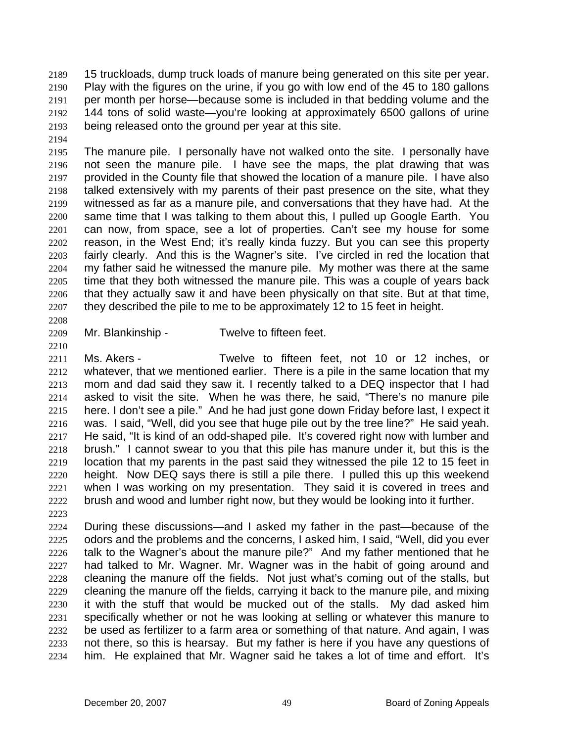15 truckloads, dump truck loads of manure being generated on this site per year. Play with the figures on the urine, if you go with low end of the 45 to 180 gallons per month per horse—because some is included in that bedding volume and the 144 tons of solid waste—you're looking at approximately 6500 gallons of urine being released onto the ground per year at this site. 2189 2190 2191 2192 2193

2194

2195 2196 2197 2198 2199 2200 2201 2202 2203 2204 2205 2206 2207 The manure pile. I personally have not walked onto the site. I personally have not seen the manure pile. I have see the maps, the plat drawing that was provided in the County file that showed the location of a manure pile. I have also talked extensively with my parents of their past presence on the site, what they witnessed as far as a manure pile, and conversations that they have had. At the same time that I was talking to them about this, I pulled up Google Earth. You can now, from space, see a lot of properties. Can't see my house for some reason, in the West End; it's really kinda fuzzy. But you can see this property fairly clearly. And this is the Wagner's site. I've circled in red the location that my father said he witnessed the manure pile. My mother was there at the same time that they both witnessed the manure pile. This was a couple of years back that they actually saw it and have been physically on that site. But at that time, they described the pile to me to be approximately 12 to 15 feet in height.

2208

2210

- 2209
- Mr. Blankinship Twelve to fifteen feet.

2211 2212 2213 2214 2215 2216 2217 2218 2219 2220 2221 2222 Ms. Akers - Twelve to fifteen feet, not 10 or 12 inches, or whatever, that we mentioned earlier. There is a pile in the same location that my mom and dad said they saw it. I recently talked to a DEQ inspector that I had asked to visit the site. When he was there, he said, "There's no manure pile here. I don't see a pile." And he had just gone down Friday before last, I expect it was. I said, "Well, did you see that huge pile out by the tree line?" He said yeah. He said, "It is kind of an odd-shaped pile. It's covered right now with lumber and brush." I cannot swear to you that this pile has manure under it, but this is the location that my parents in the past said they witnessed the pile 12 to 15 feet in height. Now DEQ says there is still a pile there. I pulled this up this weekend when I was working on my presentation. They said it is covered in trees and brush and wood and lumber right now, but they would be looking into it further.

2223

2224 2225 2226 2227 2228 2229 2230 2231 2232 2233 2234 During these discussions—and I asked my father in the past—because of the odors and the problems and the concerns, I asked him, I said, "Well, did you ever talk to the Wagner's about the manure pile?" And my father mentioned that he had talked to Mr. Wagner. Mr. Wagner was in the habit of going around and cleaning the manure off the fields. Not just what's coming out of the stalls, but cleaning the manure off the fields, carrying it back to the manure pile, and mixing it with the stuff that would be mucked out of the stalls. My dad asked him specifically whether or not he was looking at selling or whatever this manure to be used as fertilizer to a farm area or something of that nature. And again, I was not there, so this is hearsay. But my father is here if you have any questions of him. He explained that Mr. Wagner said he takes a lot of time and effort. It's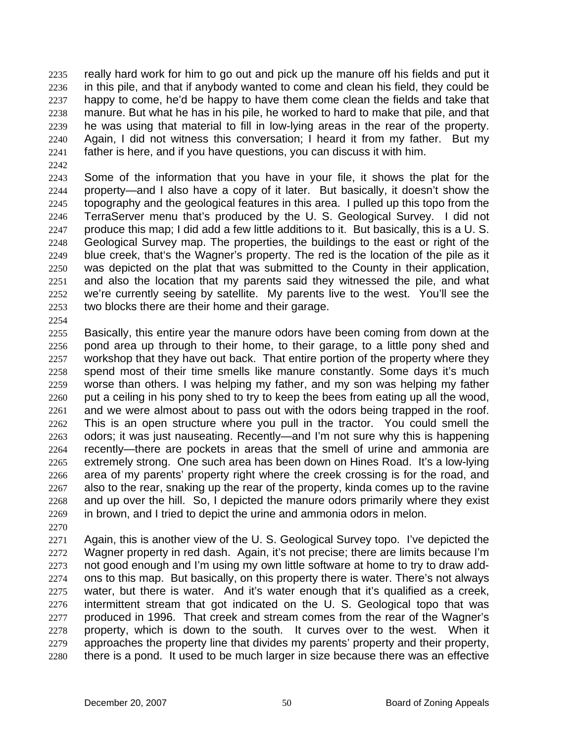really hard work for him to go out and pick up the manure off his fields and put it in this pile, and that if anybody wanted to come and clean his field, they could be happy to come, he'd be happy to have them come clean the fields and take that manure. But what he has in his pile, he worked to hard to make that pile, and that he was using that material to fill in low-lying areas in the rear of the property. Again, I did not witness this conversation; I heard it from my father. But my father is here, and if you have questions, you can discuss it with him. 2235 2236 2237 2238 2239 2240 2241

2242

2243 2244 2245 2246 2247 2248 2249 2250 2251 2252 2253 Some of the information that you have in your file, it shows the plat for the property—and I also have a copy of it later. But basically, it doesn't show the topography and the geological features in this area. I pulled up this topo from the TerraServer menu that's produced by the U. S. Geological Survey. I did not produce this map; I did add a few little additions to it. But basically, this is a U. S. Geological Survey map. The properties, the buildings to the east or right of the blue creek, that's the Wagner's property. The red is the location of the pile as it was depicted on the plat that was submitted to the County in their application, and also the location that my parents said they witnessed the pile, and what we're currently seeing by satellite. My parents live to the west. You'll see the two blocks there are their home and their garage.

- 2254
- 2255 2256 2257 2258 2259 2260 2261 2262 2263 2264 2265 2266 2267 2268 2269 Basically, this entire year the manure odors have been coming from down at the pond area up through to their home, to their garage, to a little pony shed and workshop that they have out back. That entire portion of the property where they spend most of their time smells like manure constantly. Some days it's much worse than others. I was helping my father, and my son was helping my father put a ceiling in his pony shed to try to keep the bees from eating up all the wood, and we were almost about to pass out with the odors being trapped in the roof. This is an open structure where you pull in the tractor. You could smell the odors; it was just nauseating. Recently—and I'm not sure why this is happening recently—there are pockets in areas that the smell of urine and ammonia are extremely strong. One such area has been down on Hines Road. It's a low-lying area of my parents' property right where the creek crossing is for the road, and also to the rear, snaking up the rear of the property, kinda comes up to the ravine and up over the hill. So, I depicted the manure odors primarily where they exist in brown, and I tried to depict the urine and ammonia odors in melon.
- 2270

2271 2272 2273 2274 2275 2276 2277 2278 2279 2280 Again, this is another view of the U. S. Geological Survey topo. I've depicted the Wagner property in red dash. Again, it's not precise; there are limits because I'm not good enough and I'm using my own little software at home to try to draw addons to this map. But basically, on this property there is water. There's not always water, but there is water. And it's water enough that it's qualified as a creek, intermittent stream that got indicated on the U. S. Geological topo that was produced in 1996. That creek and stream comes from the rear of the Wagner's property, which is down to the south. It curves over to the west. When it approaches the property line that divides my parents' property and their property, there is a pond. It used to be much larger in size because there was an effective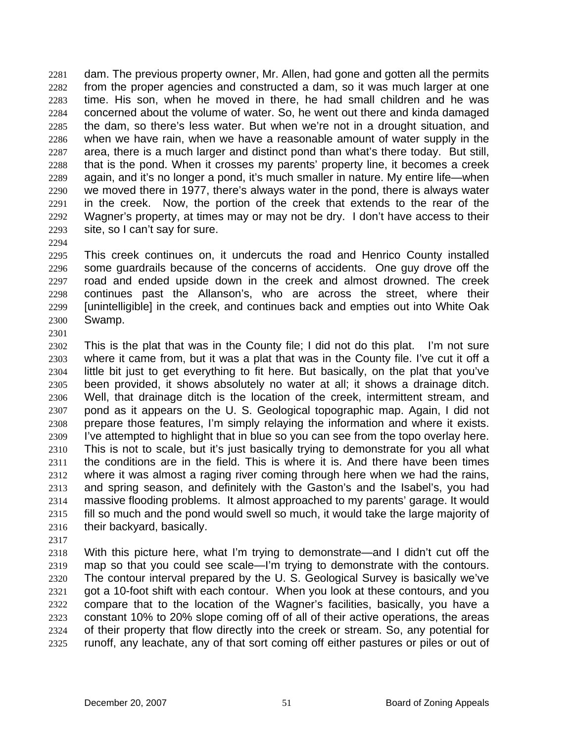dam. The previous property owner, Mr. Allen, had gone and gotten all the permits from the proper agencies and constructed a dam, so it was much larger at one time. His son, when he moved in there, he had small children and he was concerned about the volume of water. So, he went out there and kinda damaged the dam, so there's less water. But when we're not in a drought situation, and when we have rain, when we have a reasonable amount of water supply in the area, there is a much larger and distinct pond than what's there today. But still, that is the pond. When it crosses my parents' property line, it becomes a creek again, and it's no longer a pond, it's much smaller in nature. My entire life—when we moved there in 1977, there's always water in the pond, there is always water in the creek. Now, the portion of the creek that extends to the rear of the Wagner's property, at times may or may not be dry. I don't have access to their site, so I can't say for sure. 2281 2282 2283 2284 2285 2286 2287 2288 2289 2290 2291 2292 2293

- 2295 2296 2297 2298 2299 2300 This creek continues on, it undercuts the road and Henrico County installed some guardrails because of the concerns of accidents. One guy drove off the road and ended upside down in the creek and almost drowned. The creek continues past the Allanson's, who are across the street, where their [unintelligible] in the creek, and continues back and empties out into White Oak Swamp.
- 2302 2303 2304 2305 2306 2307 2308 2309 2310 2311 2312 2313 2314 2315 2316 This is the plat that was in the County file; I did not do this plat. I'm not sure where it came from, but it was a plat that was in the County file. I've cut it off a little bit just to get everything to fit here. But basically, on the plat that you've been provided, it shows absolutely no water at all; it shows a drainage ditch. Well, that drainage ditch is the location of the creek, intermittent stream, and pond as it appears on the U. S. Geological topographic map. Again, I did not prepare those features, I'm simply relaying the information and where it exists. I've attempted to highlight that in blue so you can see from the topo overlay here. This is not to scale, but it's just basically trying to demonstrate for you all what the conditions are in the field. This is where it is. And there have been times where it was almost a raging river coming through here when we had the rains, and spring season, and definitely with the Gaston's and the Isabel's, you had massive flooding problems. It almost approached to my parents' garage. It would fill so much and the pond would swell so much, it would take the large majority of their backyard, basically.
- 2317

2294

2301

2318 2319 2320 2321 2322 2323 2324 2325 With this picture here, what I'm trying to demonstrate—and I didn't cut off the map so that you could see scale—I'm trying to demonstrate with the contours. The contour interval prepared by the U. S. Geological Survey is basically we've got a 10-foot shift with each contour. When you look at these contours, and you compare that to the location of the Wagner's facilities, basically, you have a constant 10% to 20% slope coming off of all of their active operations, the areas of their property that flow directly into the creek or stream. So, any potential for runoff, any leachate, any of that sort coming off either pastures or piles or out of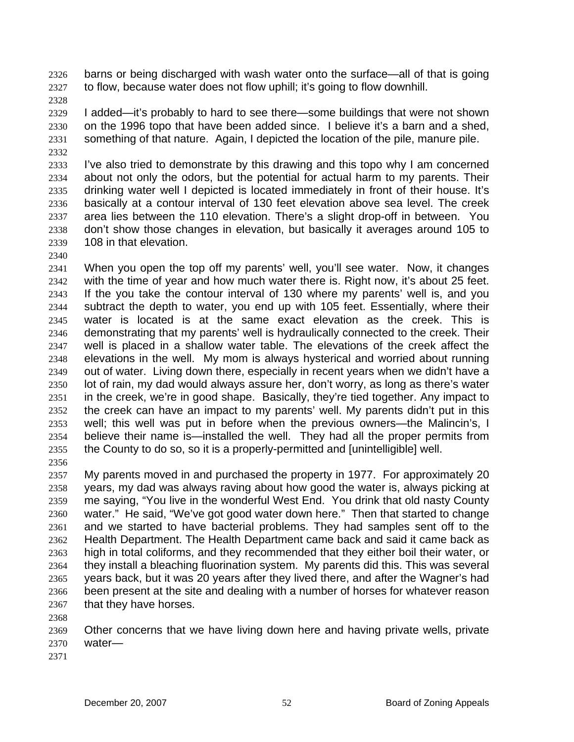barns or being discharged with wash water onto the surface—all of that is going to flow, because water does not flow uphill; it's going to flow downhill. 2326 2327

2328

2329 2330 2331 2332 I added—it's probably to hard to see there—some buildings that were not shown on the 1996 topo that have been added since. I believe it's a barn and a shed, something of that nature. Again, I depicted the location of the pile, manure pile.

2333 2334 2335 2336 2337 2338 2339 I've also tried to demonstrate by this drawing and this topo why I am concerned about not only the odors, but the potential for actual harm to my parents. Their drinking water well I depicted is located immediately in front of their house. It's basically at a contour interval of 130 feet elevation above sea level. The creek area lies between the 110 elevation. There's a slight drop-off in between. You don't show those changes in elevation, but basically it averages around 105 to 108 in that elevation.

2340

2341 2342 2343 2344 2345 2346 2347 2348 2349 2350 2351 2352 2353 2354 2355 When you open the top off my parents' well, you'll see water. Now, it changes with the time of year and how much water there is. Right now, it's about 25 feet. If the you take the contour interval of 130 where my parents' well is, and you subtract the depth to water, you end up with 105 feet. Essentially, where their water is located is at the same exact elevation as the creek. This is demonstrating that my parents' well is hydraulically connected to the creek. Their well is placed in a shallow water table. The elevations of the creek affect the elevations in the well. My mom is always hysterical and worried about running out of water. Living down there, especially in recent years when we didn't have a lot of rain, my dad would always assure her, don't worry, as long as there's water in the creek, we're in good shape. Basically, they're tied together. Any impact to the creek can have an impact to my parents' well. My parents didn't put in this well; this well was put in before when the previous owners—the Malincin's, I believe their name is—installed the well. They had all the proper permits from the County to do so, so it is a properly-permitted and [unintelligible] well.

2357 2358 2359 2360 2361 2362 2363 2364 2365 2366 2367 My parents moved in and purchased the property in 1977. For approximately 20 years, my dad was always raving about how good the water is, always picking at me saying, "You live in the wonderful West End. You drink that old nasty County water." He said, "We've got good water down here." Then that started to change and we started to have bacterial problems. They had samples sent off to the Health Department. The Health Department came back and said it came back as high in total coliforms, and they recommended that they either boil their water, or they install a bleaching fluorination system. My parents did this. This was several years back, but it was 20 years after they lived there, and after the Wagner's had been present at the site and dealing with a number of horses for whatever reason that they have horses.

2368

2356

2369 2370 Other concerns that we have living down here and having private wells, private water—

2371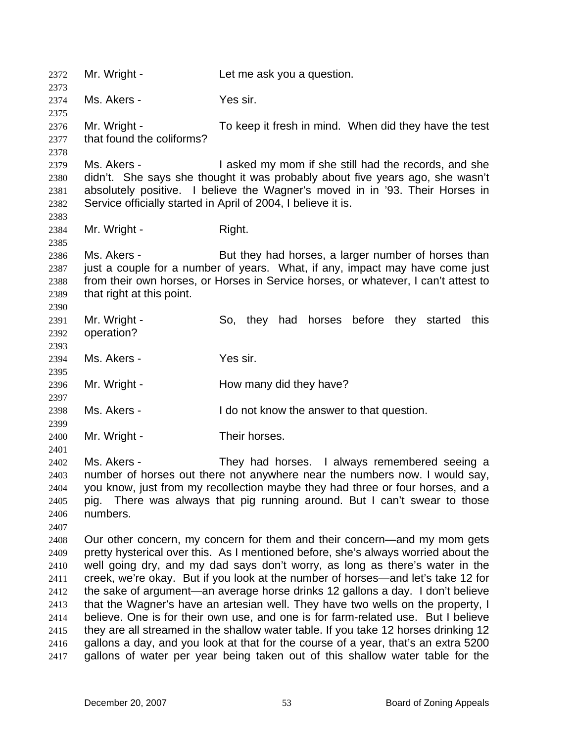2372 Mr. Wright - Let me ask you a question. 2373 2374 2375 2376 2377 2378 2379 2380 2381 2382 2383 2384 2385 2386 2387 2388 2389 2390 2391 2392 2393 2394 2395 2396 2397 2398 2399 2400 2401 2402 2403 2404 2405 2406 2407 2408 2409 2410 2411 2412 2413 2414 2415 2416 2417 Ms. Akers - Yes sir. Mr. Wright - To keep it fresh in mind. When did they have the test that found the coliforms? Ms. Akers - I asked my mom if she still had the records, and she didn't. She says she thought it was probably about five years ago, she wasn't absolutely positive. I believe the Wagner's moved in in '93. Their Horses in Service officially started in April of 2004, I believe it is. Mr. Wright - Right. Ms. Akers - But they had horses, a larger number of horses than just a couple for a number of years. What, if any, impact may have come just from their own horses, or Horses in Service horses, or whatever, I can't attest to that right at this point. Mr. Wright - So, they had horses before they started this operation? Ms. Akers - Yes sir. Mr. Wright - The How many did they have? Ms. Akers - The I do not know the answer to that question. Mr. Wright - Their horses. Ms. Akers - They had horses. I always remembered seeing a number of horses out there not anywhere near the numbers now. I would say, you know, just from my recollection maybe they had three or four horses, and a pig. There was always that pig running around. But I can't swear to those numbers. Our other concern, my concern for them and their concern—and my mom gets pretty hysterical over this. As I mentioned before, she's always worried about the well going dry, and my dad says don't worry, as long as there's water in the creek, we're okay. But if you look at the number of horses—and let's take 12 for the sake of argument—an average horse drinks 12 gallons a day. I don't believe that the Wagner's have an artesian well. They have two wells on the property, I believe. One is for their own use, and one is for farm-related use. But I believe they are all streamed in the shallow water table. If you take 12 horses drinking 12 gallons a day, and you look at that for the course of a year, that's an extra 5200 gallons of water per year being taken out of this shallow water table for the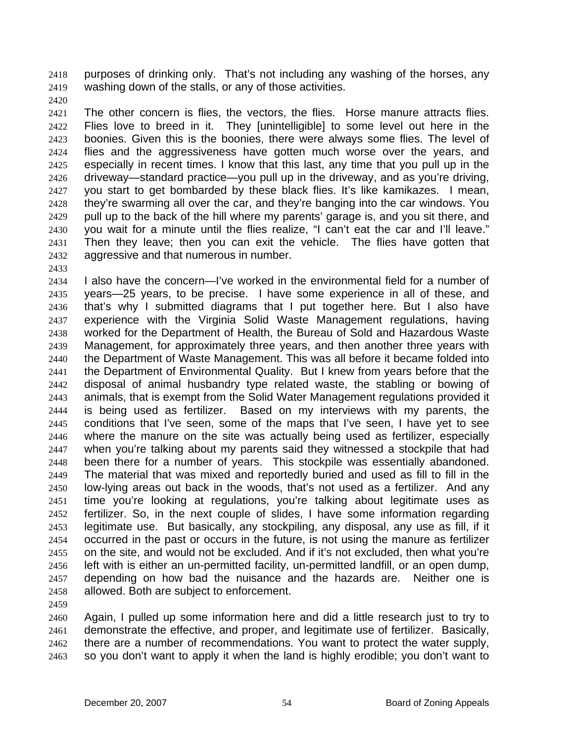purposes of drinking only. That's not including any washing of the horses, any washing down of the stalls, or any of those activities. 2418 2419

2420

2421 2422 2423 2424 2425 2426 2427 2428 2429 2430 2431 2432 The other concern is flies, the vectors, the flies. Horse manure attracts flies. Flies love to breed in it. They [unintelligible] to some level out here in the boonies. Given this is the boonies, there were always some flies. The level of flies and the aggressiveness have gotten much worse over the years, and especially in recent times. I know that this last, any time that you pull up in the driveway—standard practice—you pull up in the driveway, and as you're driving, you start to get bombarded by these black flies. It's like kamikazes. I mean, they're swarming all over the car, and they're banging into the car windows. You pull up to the back of the hill where my parents' garage is, and you sit there, and you wait for a minute until the flies realize, "I can't eat the car and I'll leave." Then they leave; then you can exit the vehicle. The flies have gotten that aggressive and that numerous in number.

2433

2434 2435 2436 2437 2438 2439 2440 2441 2442 2443 2444 2445 2446 2447 2448 2449 2450 2451 2452 2453 2454 2455 2456 2457 2458 I also have the concern—I've worked in the environmental field for a number of years—25 years, to be precise. I have some experience in all of these, and that's why I submitted diagrams that I put together here. But I also have experience with the Virginia Solid Waste Management regulations, having worked for the Department of Health, the Bureau of Sold and Hazardous Waste Management, for approximately three years, and then another three years with the Department of Waste Management. This was all before it became folded into the Department of Environmental Quality. But I knew from years before that the disposal of animal husbandry type related waste, the stabling or bowing of animals, that is exempt from the Solid Water Management regulations provided it is being used as fertilizer. Based on my interviews with my parents, the conditions that I've seen, some of the maps that I've seen, I have yet to see where the manure on the site was actually being used as fertilizer, especially when you're talking about my parents said they witnessed a stockpile that had been there for a number of years. This stockpile was essentially abandoned. The material that was mixed and reportedly buried and used as fill to fill in the low-lying areas out back in the woods, that's not used as a fertilizer. And any time you're looking at regulations, you're talking about legitimate uses as fertilizer. So, in the next couple of slides, I have some information regarding legitimate use. But basically, any stockpiling, any disposal, any use as fill, if it occurred in the past or occurs in the future, is not using the manure as fertilizer on the site, and would not be excluded. And if it's not excluded, then what you're left with is either an un-permitted facility, un-permitted landfill, or an open dump, depending on how bad the nuisance and the hazards are. Neither one is allowed. Both are subject to enforcement.

2459

2460 2461 2462 2463 Again, I pulled up some information here and did a little research just to try to demonstrate the effective, and proper, and legitimate use of fertilizer. Basically, there are a number of recommendations. You want to protect the water supply, so you don't want to apply it when the land is highly erodible; you don't want to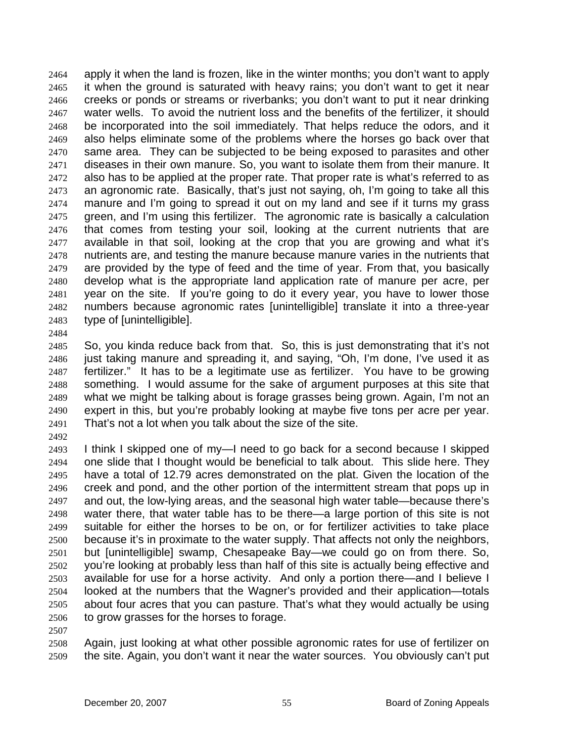apply it when the land is frozen, like in the winter months; you don't want to apply it when the ground is saturated with heavy rains; you don't want to get it near creeks or ponds or streams or riverbanks; you don't want to put it near drinking water wells. To avoid the nutrient loss and the benefits of the fertilizer, it should be incorporated into the soil immediately. That helps reduce the odors, and it also helps eliminate some of the problems where the horses go back over that same area. They can be subjected to be being exposed to parasites and other diseases in their own manure. So, you want to isolate them from their manure. It also has to be applied at the proper rate. That proper rate is what's referred to as an agronomic rate. Basically, that's just not saying, oh, I'm going to take all this manure and I'm going to spread it out on my land and see if it turns my grass green, and I'm using this fertilizer. The agronomic rate is basically a calculation that comes from testing your soil, looking at the current nutrients that are available in that soil, looking at the crop that you are growing and what it's nutrients are, and testing the manure because manure varies in the nutrients that are provided by the type of feed and the time of year. From that, you basically develop what is the appropriate land application rate of manure per acre, per year on the site. If you're going to do it every year, you have to lower those numbers because agronomic rates [unintelligible] translate it into a three-year type of [unintelligible]. 2464 2465 2466 2467 2468 2469 2470 2471 2472 2473 2474 2475 2476 2477 2478 2479 2480 2481 2482 2483

2484

2485 2486 2487 2488 2489 2490 2491 So, you kinda reduce back from that. So, this is just demonstrating that it's not just taking manure and spreading it, and saying, "Oh, I'm done, I've used it as fertilizer." It has to be a legitimate use as fertilizer. You have to be growing something. I would assume for the sake of argument purposes at this site that what we might be talking about is forage grasses being grown. Again, I'm not an expert in this, but you're probably looking at maybe five tons per acre per year. That's not a lot when you talk about the size of the site.

2492

2493 2494 2495 2496 2497 2498 2499 2500 2501 2502 2503 2504 2505 2506 2507 I think I skipped one of my—I need to go back for a second because I skipped one slide that I thought would be beneficial to talk about. This slide here. They have a total of 12.79 acres demonstrated on the plat. Given the location of the creek and pond, and the other portion of the intermittent stream that pops up in and out, the low-lying areas, and the seasonal high water table—because there's water there, that water table has to be there—a large portion of this site is not suitable for either the horses to be on, or for fertilizer activities to take place because it's in proximate to the water supply. That affects not only the neighbors, but [unintelligible] swamp, Chesapeake Bay—we could go on from there. So, you're looking at probably less than half of this site is actually being effective and available for use for a horse activity. And only a portion there—and I believe I looked at the numbers that the Wagner's provided and their application—totals about four acres that you can pasture. That's what they would actually be using to grow grasses for the horses to forage.

2508 2509 Again, just looking at what other possible agronomic rates for use of fertilizer on the site. Again, you don't want it near the water sources. You obviously can't put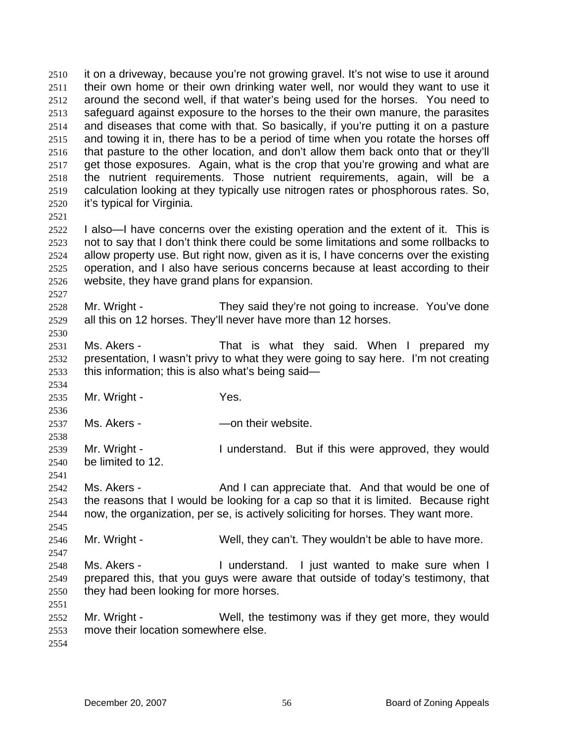it on a driveway, because you're not growing gravel. It's not wise to use it around their own home or their own drinking water well, nor would they want to use it around the second well, if that water's being used for the horses. You need to safeguard against exposure to the horses to the their own manure, the parasites and diseases that come with that. So basically, if you're putting it on a pasture and towing it in, there has to be a period of time when you rotate the horses off that pasture to the other location, and don't allow them back onto that or they'll get those exposures. Again, what is the crop that you're growing and what are the nutrient requirements. Those nutrient requirements, again, will be a calculation looking at they typically use nitrogen rates or phosphorous rates. So, it's typical for Virginia. 2510 2511 2512 2513 2514 2515 2516 2517 2518 2519 2520

2521

2527

2530

2534

2536

2538

2541

2545

2547

2522 2523 2524 2525 2526 I also—I have concerns over the existing operation and the extent of it. This is not to say that I don't think there could be some limitations and some rollbacks to allow property use. But right now, given as it is, I have concerns over the existing operation, and I also have serious concerns because at least according to their website, they have grand plans for expansion.

2528 2529 Mr. Wright - They said they're not going to increase. You've done all this on 12 horses. They'll never have more than 12 horses.

2531 2532 2533 Ms. Akers - That is what they said. When I prepared my presentation, I wasn't privy to what they were going to say here. I'm not creating this information; this is also what's being said—

2535 Mr. Wright - Yes.

2537 Ms. Akers - The Contheir website.

2539 2540 Mr. Wright - The Munderstand. But if this were approved, they would be limited to 12.

2542 2543 2544 Ms. Akers - The And I can appreciate that. And that would be one of the reasons that I would be looking for a cap so that it is limited. Because right now, the organization, per se, is actively soliciting for horses. They want more.

2546 Mr. Wright - Well, they can't. They wouldn't be able to have more.

2548 2549 2550 Ms. Akers - I understand. I just wanted to make sure when I prepared this, that you guys were aware that outside of today's testimony, that they had been looking for more horses.

2552 2553 Mr. Wright - Well, the testimony was if they get more, they would move their location somewhere else.

2554

2551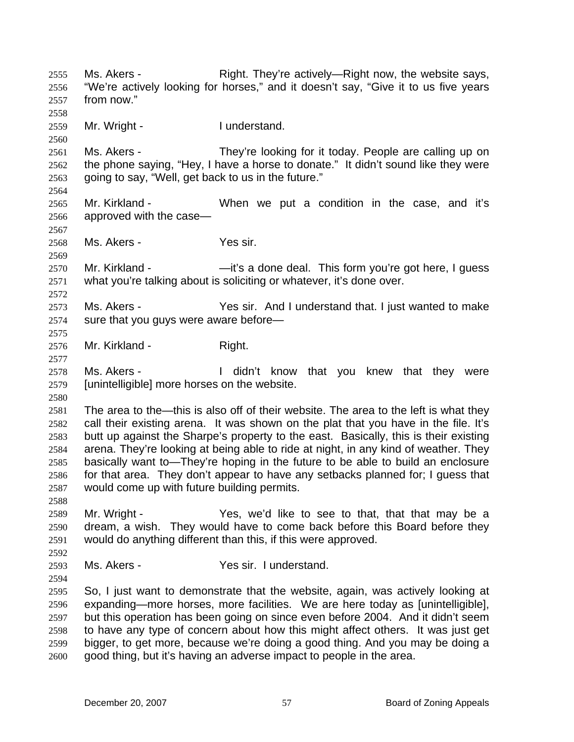Ms. Akers - They're actively—Right now, the website says, "We're actively looking for horses," and it doesn't say, "Give it to us five years from now." 2555 2556 2557 2558 2559 2560 2561 2562 2563 2564 2565 2566 2567 2568 2569 2570 2571 2572 2573 2574 2575 2576 2577 2578 2579 2580 2581 2582 2583 2584 2585 2586 2587 2588 2589 2590 2591 2592 2593 2594 2595 2596 2597 2598 2599 2600 Mr. Wright - The Munderstand. Ms. Akers - They're looking for it today. People are calling up on the phone saying, "Hey, I have a horse to donate." It didn't sound like they were going to say, "Well, get back to us in the future." Mr. Kirkland - When we put a condition in the case, and it's approved with the case— Ms. Akers - Yes sir. Mr. Kirkland - — —it's a done deal. This form you're got here, I guess what you're talking about is soliciting or whatever, it's done over. Ms. Akers - The Yes sir. And I understand that. I just wanted to make sure that you guys were aware before— Mr. Kirkland - Right. Ms. Akers - The didn't know that you knew that they were [unintelligible] more horses on the website. The area to the—this is also off of their website. The area to the left is what they call their existing arena. It was shown on the plat that you have in the file. It's butt up against the Sharpe's property to the east. Basically, this is their existing arena. They're looking at being able to ride at night, in any kind of weather. They basically want to—They're hoping in the future to be able to build an enclosure for that area. They don't appear to have any setbacks planned for; I guess that would come up with future building permits. Mr. Wright - Yes, we'd like to see to that, that that may be a dream, a wish. They would have to come back before this Board before they would do anything different than this, if this were approved. Ms. Akers - The Yes sir. I understand. So, I just want to demonstrate that the website, again, was actively looking at expanding—more horses, more facilities. We are here today as [unintelligible], but this operation has been going on since even before 2004. And it didn't seem to have any type of concern about how this might affect others. It was just get bigger, to get more, because we're doing a good thing. And you may be doing a good thing, but it's having an adverse impact to people in the area.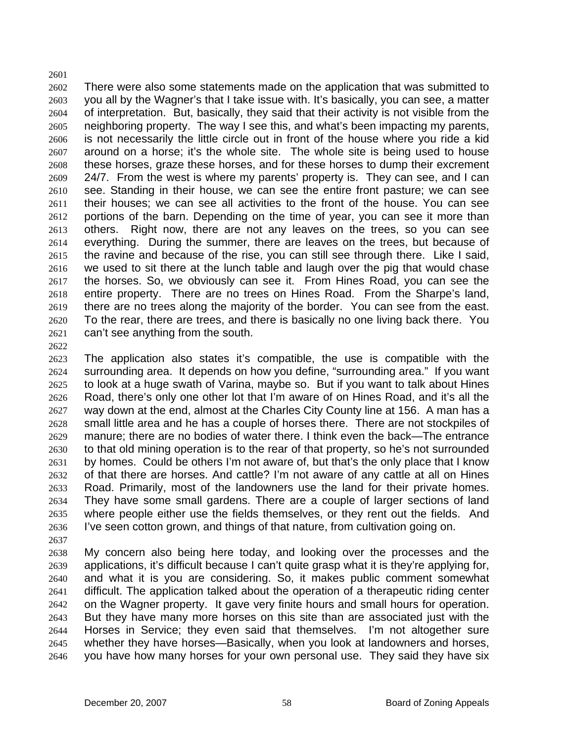2601 2602 2603 2604 2605 2606 2607 2608 2609 2610 2611 2612 2613 2614 2615 2616 2617 2618 2619 2620 2621 There were also some statements made on the application that was submitted to you all by the Wagner's that I take issue with. It's basically, you can see, a matter of interpretation. But, basically, they said that their activity is not visible from the neighboring property. The way I see this, and what's been impacting my parents, is not necessarily the little circle out in front of the house where you ride a kid around on a horse; it's the whole site. The whole site is being used to house these horses, graze these horses, and for these horses to dump their excrement 24/7. From the west is where my parents' property is. They can see, and I can see. Standing in their house, we can see the entire front pasture; we can see their houses; we can see all activities to the front of the house. You can see portions of the barn. Depending on the time of year, you can see it more than others. Right now, there are not any leaves on the trees, so you can see everything. During the summer, there are leaves on the trees, but because of the ravine and because of the rise, you can still see through there. Like I said, we used to sit there at the lunch table and laugh over the pig that would chase the horses. So, we obviously can see it. From Hines Road, you can see the entire property. There are no trees on Hines Road. From the Sharpe's land, there are no trees along the majority of the border. You can see from the east. To the rear, there are trees, and there is basically no one living back there. You can't see anything from the south.

2622

2623 2624 2625 2626 2627 2628 2629 2630 2631 2632 2633 2634 2635 2636 2637 The application also states it's compatible, the use is compatible with the surrounding area. It depends on how you define, "surrounding area." If you want to look at a huge swath of Varina, maybe so. But if you want to talk about Hines Road, there's only one other lot that I'm aware of on Hines Road, and it's all the way down at the end, almost at the Charles City County line at 156. A man has a small little area and he has a couple of horses there. There are not stockpiles of manure; there are no bodies of water there. I think even the back—The entrance to that old mining operation is to the rear of that property, so he's not surrounded by homes. Could be others I'm not aware of, but that's the only place that I know of that there are horses. And cattle? I'm not aware of any cattle at all on Hines Road. Primarily, most of the landowners use the land for their private homes. They have some small gardens. There are a couple of larger sections of land where people either use the fields themselves, or they rent out the fields. And I've seen cotton grown, and things of that nature, from cultivation going on.

2638 2639 2640 2641 2642 2643 2644 2645 2646 My concern also being here today, and looking over the processes and the applications, it's difficult because I can't quite grasp what it is they're applying for, and what it is you are considering. So, it makes public comment somewhat difficult. The application talked about the operation of a therapeutic riding center on the Wagner property. It gave very finite hours and small hours for operation. But they have many more horses on this site than are associated just with the Horses in Service; they even said that themselves. I'm not altogether sure whether they have horses—Basically, when you look at landowners and horses, you have how many horses for your own personal use. They said they have six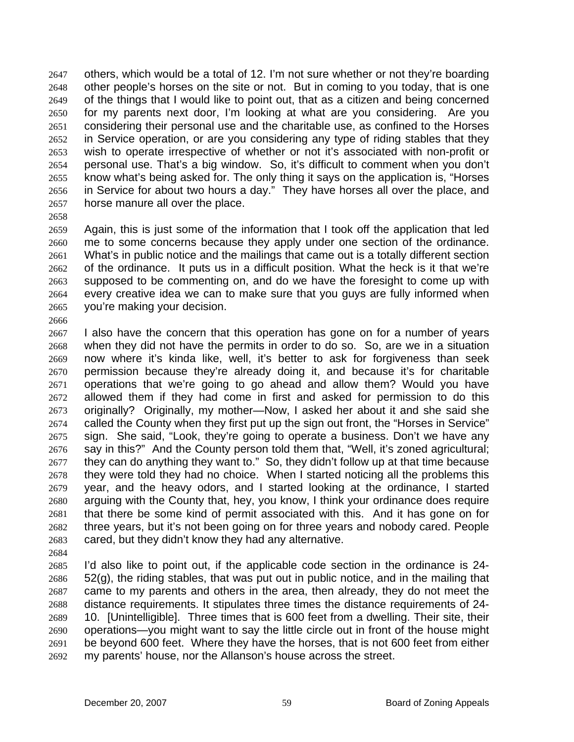others, which would be a total of 12. I'm not sure whether or not they're boarding other people's horses on the site or not. But in coming to you today, that is one of the things that I would like to point out, that as a citizen and being concerned for my parents next door, I'm looking at what are you considering. Are you considering their personal use and the charitable use, as confined to the Horses in Service operation, or are you considering any type of riding stables that they wish to operate irrespective of whether or not it's associated with non-profit or personal use. That's a big window. So, it's difficult to comment when you don't know what's being asked for. The only thing it says on the application is, "Horses in Service for about two hours a day." They have horses all over the place, and horse manure all over the place. 2647 2648 2649 2650 2651 2652 2653 2654 2655 2656 2657

2658

2666

2659 2660 2661 2662 2663 2664 2665 Again, this is just some of the information that I took off the application that led me to some concerns because they apply under one section of the ordinance. What's in public notice and the mailings that came out is a totally different section of the ordinance. It puts us in a difficult position. What the heck is it that we're supposed to be commenting on, and do we have the foresight to come up with every creative idea we can to make sure that you guys are fully informed when you're making your decision.

- 2667 2668 2669 2670 2671 2672 2673 2674 2675 2676 2677 2678 2679 2680 2681 2682 2683 I also have the concern that this operation has gone on for a number of years when they did not have the permits in order to do so. So, are we in a situation now where it's kinda like, well, it's better to ask for forgiveness than seek permission because they're already doing it, and because it's for charitable operations that we're going to go ahead and allow them? Would you have allowed them if they had come in first and asked for permission to do this originally? Originally, my mother—Now, I asked her about it and she said she called the County when they first put up the sign out front, the "Horses in Service" sign. She said, "Look, they're going to operate a business. Don't we have any say in this?" And the County person told them that, "Well, it's zoned agricultural; they can do anything they want to." So, they didn't follow up at that time because they were told they had no choice. When I started noticing all the problems this year, and the heavy odors, and I started looking at the ordinance, I started arguing with the County that, hey, you know, I think your ordinance does require that there be some kind of permit associated with this. And it has gone on for three years, but it's not been going on for three years and nobody cared. People cared, but they didn't know they had any alternative.
- 2684

2685 2686 2687 2688 2689 2690 2691 2692 I'd also like to point out, if the applicable code section in the ordinance is 24- 52(g), the riding stables, that was put out in public notice, and in the mailing that came to my parents and others in the area, then already, they do not meet the distance requirements. It stipulates three times the distance requirements of 24- 10. [Unintelligible]. Three times that is 600 feet from a dwelling. Their site, their operations—you might want to say the little circle out in front of the house might be beyond 600 feet. Where they have the horses, that is not 600 feet from either my parents' house, nor the Allanson's house across the street.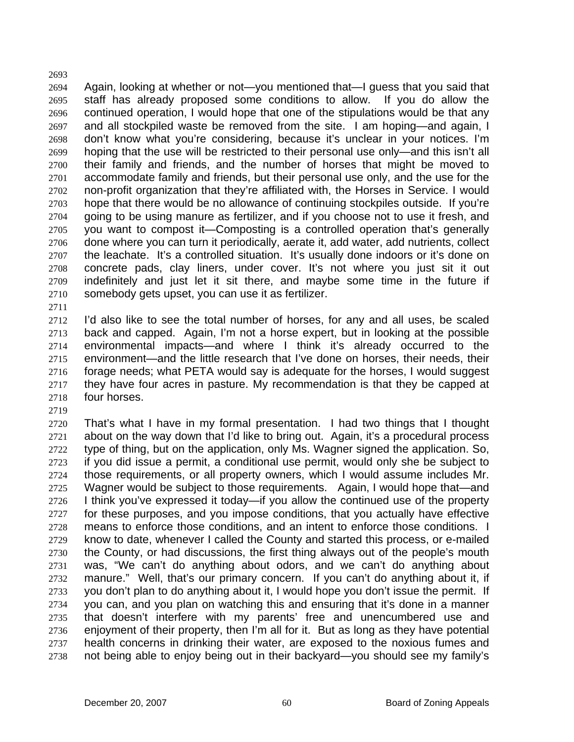2694 2695 2696 2697 2698 2699 2700 2701 2702 2703 2704 2705 2706 2707 2708 2709 2710 2711 Again, looking at whether or not—you mentioned that—I guess that you said that staff has already proposed some conditions to allow. If you do allow the continued operation, I would hope that one of the stipulations would be that any and all stockpiled waste be removed from the site. I am hoping—and again, I don't know what you're considering, because it's unclear in your notices. I'm hoping that the use will be restricted to their personal use only—and this isn't all their family and friends, and the number of horses that might be moved to accommodate family and friends, but their personal use only, and the use for the non-profit organization that they're affiliated with, the Horses in Service. I would hope that there would be no allowance of continuing stockpiles outside. If you're going to be using manure as fertilizer, and if you choose not to use it fresh, and you want to compost it—Composting is a controlled operation that's generally done where you can turn it periodically, aerate it, add water, add nutrients, collect the leachate. It's a controlled situation. It's usually done indoors or it's done on concrete pads, clay liners, under cover. It's not where you just sit it out indefinitely and just let it sit there, and maybe some time in the future if somebody gets upset, you can use it as fertilizer.

2712 2713 2714 2715 2716 2717 2718 I'd also like to see the total number of horses, for any and all uses, be scaled back and capped. Again, I'm not a horse expert, but in looking at the possible environmental impacts—and where I think it's already occurred to the environment—and the little research that I've done on horses, their needs, their forage needs; what PETA would say is adequate for the horses, I would suggest they have four acres in pasture. My recommendation is that they be capped at four horses.

2719

2693

2720 2721 2722 2723 2724 2725 2726 2727 2728 2729 2730 2731 2732 2733 2734 2735 2736 2737 2738 That's what I have in my formal presentation. I had two things that I thought about on the way down that I'd like to bring out. Again, it's a procedural process type of thing, but on the application, only Ms. Wagner signed the application. So, if you did issue a permit, a conditional use permit, would only she be subject to those requirements, or all property owners, which I would assume includes Mr. Wagner would be subject to those requirements. Again, I would hope that—and I think you've expressed it today—if you allow the continued use of the property for these purposes, and you impose conditions, that you actually have effective means to enforce those conditions, and an intent to enforce those conditions. I know to date, whenever I called the County and started this process, or e-mailed the County, or had discussions, the first thing always out of the people's mouth was, "We can't do anything about odors, and we can't do anything about manure." Well, that's our primary concern. If you can't do anything about it, if you don't plan to do anything about it, I would hope you don't issue the permit. If you can, and you plan on watching this and ensuring that it's done in a manner that doesn't interfere with my parents' free and unencumbered use and enjoyment of their property, then I'm all for it. But as long as they have potential health concerns in drinking their water, are exposed to the noxious fumes and not being able to enjoy being out in their backyard—you should see my family's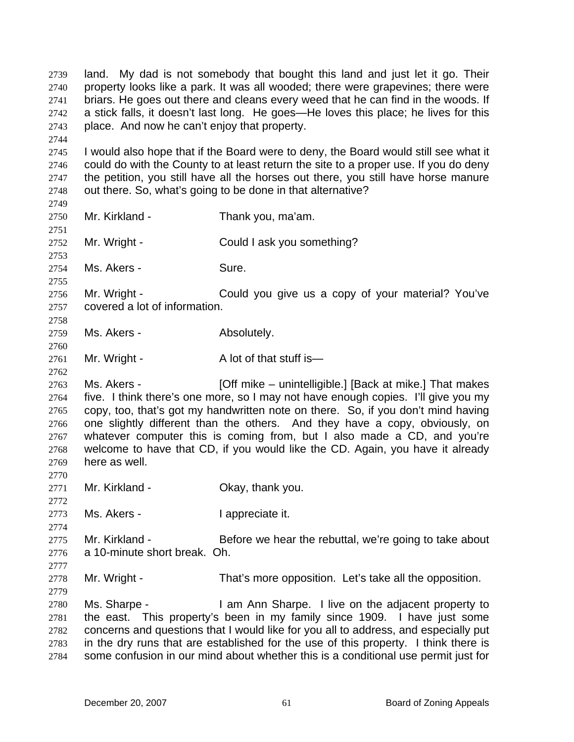land. My dad is not somebody that bought this land and just let it go. Their property looks like a park. It was all wooded; there were grapevines; there were briars. He goes out there and cleans every weed that he can find in the woods. If a stick falls, it doesn't last long. He goes—He loves this place; he lives for this place. And now he can't enjoy that property. 2739 2740 2741 2742 2743 2744 2745 2746 2747 2748 2749 2750 2751 2752 I would also hope that if the Board were to deny, the Board would still see what it could do with the County to at least return the site to a proper use. If you do deny the petition, you still have all the horses out there, you still have horse manure out there. So, what's going to be done in that alternative? Mr. Kirkland - Thank you, ma'am. Mr. Wright - Could I ask you something?

2753 2754

2760

2762

2772

2774

2777

2779

2755 Ms. Akers - Sure.

2756 2757 2758 Mr. Wright - Could you give us a copy of your material? You've covered a lot of information.

2759 Ms. Akers - The Absolutely.

2761 Mr. Wright - A lot of that stuff is—

2763 2764 2765 2766 2767 2768 2769 2770 Ms. Akers - **[Off mike – unintelligible.]** [Back at mike.] That makes five. I think there's one more, so I may not have enough copies. I'll give you my copy, too, that's got my handwritten note on there. So, if you don't mind having one slightly different than the others. And they have a copy, obviously, on whatever computer this is coming from, but I also made a CD, and you're welcome to have that CD, if you would like the CD. Again, you have it already here as well.

- 2771 Mr. Kirkland - Chay, thank you.
- 2773 Ms. Akers - The I appreciate it.

2775 2776 Mr. Kirkland - Before we hear the rebuttal, we're going to take about a 10-minute short break. Oh.

2778 Mr. Wright - That's more opposition. Let's take all the opposition.

2780 2781 2782 2783 2784 Ms. Sharpe - I am Ann Sharpe. I live on the adjacent property to the east. This property's been in my family since 1909. I have just some concerns and questions that I would like for you all to address, and especially put in the dry runs that are established for the use of this property. I think there is some confusion in our mind about whether this is a conditional use permit just for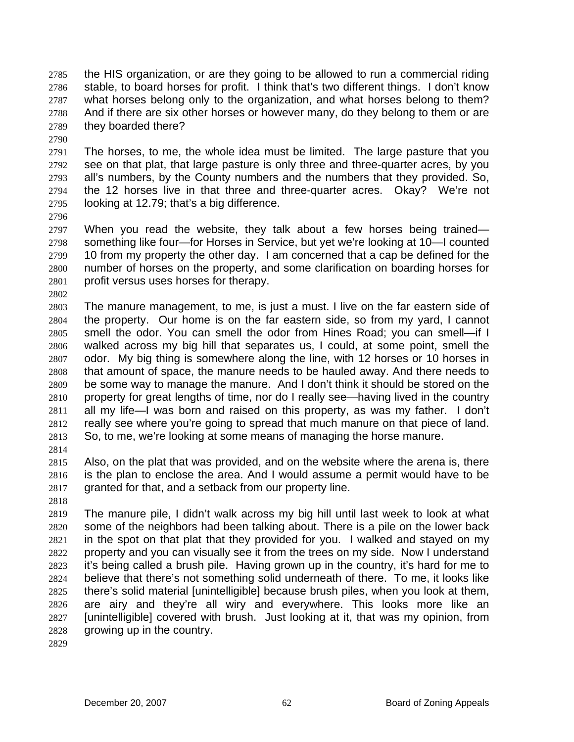the HIS organization, or are they going to be allowed to run a commercial riding stable, to board horses for profit. I think that's two different things. I don't know what horses belong only to the organization, and what horses belong to them? And if there are six other horses or however many, do they belong to them or are they boarded there? 2785 2786 2787 2788 2789

2790

2791 2792 2793 2794 2795 The horses, to me, the whole idea must be limited. The large pasture that you see on that plat, that large pasture is only three and three-quarter acres, by you all's numbers, by the County numbers and the numbers that they provided. So, the 12 horses live in that three and three-quarter acres. Okay? We're not looking at 12.79; that's a big difference.

2796

2797 2798 2799 2800 2801 When you read the website, they talk about a few horses being trained something like four—for Horses in Service, but yet we're looking at 10—I counted 10 from my property the other day. I am concerned that a cap be defined for the number of horses on the property, and some clarification on boarding horses for profit versus uses horses for therapy.

- 2802
- 2803 2804 2805 2806 2807 2808 2809 2810 2811 2812 2813 The manure management, to me, is just a must. I live on the far eastern side of the property. Our home is on the far eastern side, so from my yard, I cannot smell the odor. You can smell the odor from Hines Road; you can smell—if I walked across my big hill that separates us, I could, at some point, smell the odor. My big thing is somewhere along the line, with 12 horses or 10 horses in that amount of space, the manure needs to be hauled away. And there needs to be some way to manage the manure. And I don't think it should be stored on the property for great lengths of time, nor do I really see—having lived in the country all my life—I was born and raised on this property, as was my father. I don't really see where you're going to spread that much manure on that piece of land. So, to me, we're looking at some means of managing the horse manure.
- 2814

2815 2816 2817 Also, on the plat that was provided, and on the website where the arena is, there is the plan to enclose the area. And I would assume a permit would have to be granted for that, and a setback from our property line.

2818

2819 2820 2821 2822 2823 2824 2825 2826 2827 2828 The manure pile, I didn't walk across my big hill until last week to look at what some of the neighbors had been talking about. There is a pile on the lower back in the spot on that plat that they provided for you. I walked and stayed on my property and you can visually see it from the trees on my side. Now I understand it's being called a brush pile. Having grown up in the country, it's hard for me to believe that there's not something solid underneath of there. To me, it looks like there's solid material [unintelligible] because brush piles, when you look at them, are airy and they're all wiry and everywhere. This looks more like an [unintelligible] covered with brush. Just looking at it, that was my opinion, from growing up in the country.

2829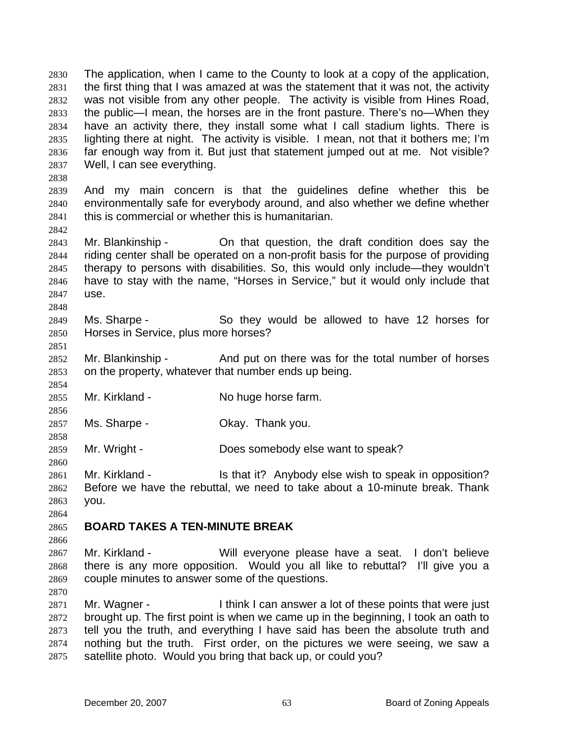The application, when I came to the County to look at a copy of the application, the first thing that I was amazed at was the statement that it was not, the activity was not visible from any other people. The activity is visible from Hines Road, the public—I mean, the horses are in the front pasture. There's no—When they have an activity there, they install some what I call stadium lights. There is lighting there at night. The activity is visible. I mean, not that it bothers me; I'm far enough way from it. But just that statement jumped out at me. Not visible? Well, I can see everything. 2830 2831 2832 2833 2834 2835 2836 2837

2839 2840 2841 And my main concern is that the guidelines define whether this be environmentally safe for everybody around, and also whether we define whether this is commercial or whether this is humanitarian.

2843 2844 2845 2846 2847 Mr. Blankinship - The On that question, the draft condition does say the riding center shall be operated on a non-profit basis for the purpose of providing therapy to persons with disabilities. So, this would only include—they wouldn't have to stay with the name, "Horses in Service," but it would only include that use.

2849 2850 Ms. Sharpe - So they would be allowed to have 12 horses for Horses in Service, plus more horses?

2852 2853 Mr. Blankinship - And put on there was for the total number of horses on the property, whatever that number ends up being.

2855 Mr. Kirkland - No huge horse farm.

2857 Ms. Sharpe - Chay. Thank you.

2859 Mr. Wright - Does somebody else want to speak?

2861 2862 2863 Mr. Kirkland - The State it? Anybody else wish to speak in opposition? Before we have the rebuttal, we need to take about a 10-minute break. Thank you.

2864

2838

2842

2848

2851

2854

2856

2858

2860

## 2865 **BOARD TAKES A TEN-MINUTE BREAK**

2866

2867 2868 2869 Mr. Kirkland - Will everyone please have a seat. I don't believe there is any more opposition. Would you all like to rebuttal? I'll give you a couple minutes to answer some of the questions.

2870

2871 2872 2873 2874 2875 Mr. Wagner - I think I can answer a lot of these points that were just brought up. The first point is when we came up in the beginning, I took an oath to tell you the truth, and everything I have said has been the absolute truth and nothing but the truth. First order, on the pictures we were seeing, we saw a satellite photo. Would you bring that back up, or could you?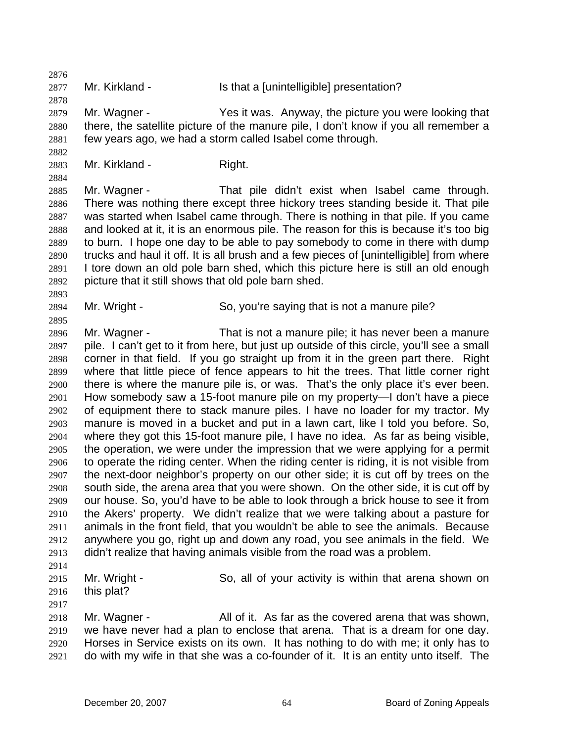2876 2877 2878 2879 2880 2881 2882 2883 2884 2885 2886 2887 2888 2889 2890 2891 2892 2893 2894 2895 2896 2897 2898 2899 2900 2901 2902 2903 2904 2905 2906 2907 2908 2909 2910 2911 2912 2913 2914 2915 2916 2917 2918 2919 2920 2921 Mr. Kirkland - Is that a [unintelligible] presentation? Mr. Wagner - Yes it was. Anyway, the picture you were looking that there, the satellite picture of the manure pile, I don't know if you all remember a few years ago, we had a storm called Isabel come through. Mr. Kirkland - Right. Mr. Wagner - That pile didn't exist when Isabel came through. There was nothing there except three hickory trees standing beside it. That pile was started when Isabel came through. There is nothing in that pile. If you came and looked at it, it is an enormous pile. The reason for this is because it's too big to burn. I hope one day to be able to pay somebody to come in there with dump trucks and haul it off. It is all brush and a few pieces of [unintelligible] from where I tore down an old pole barn shed, which this picture here is still an old enough picture that it still shows that old pole barn shed. Mr. Wright - So, you're saying that is not a manure pile? Mr. Wagner - That is not a manure pile; it has never been a manure pile. I can't get to it from here, but just up outside of this circle, you'll see a small corner in that field. If you go straight up from it in the green part there. Right where that little piece of fence appears to hit the trees. That little corner right there is where the manure pile is, or was. That's the only place it's ever been. How somebody saw a 15-foot manure pile on my property—I don't have a piece of equipment there to stack manure piles. I have no loader for my tractor. My manure is moved in a bucket and put in a lawn cart, like I told you before. So, where they got this 15-foot manure pile, I have no idea. As far as being visible, the operation, we were under the impression that we were applying for a permit to operate the riding center. When the riding center is riding, it is not visible from the next-door neighbor's property on our other side; it is cut off by trees on the south side, the arena area that you were shown. On the other side, it is cut off by our house. So, you'd have to be able to look through a brick house to see it from the Akers' property. We didn't realize that we were talking about a pasture for animals in the front field, that you wouldn't be able to see the animals. Because anywhere you go, right up and down any road, you see animals in the field. We didn't realize that having animals visible from the road was a problem. Mr. Wright - So, all of your activity is within that arena shown on this plat? Mr. Wagner - **All of it.** As far as the covered arena that was shown, we have never had a plan to enclose that arena. That is a dream for one day. Horses in Service exists on its own. It has nothing to do with me; it only has to do with my wife in that she was a co-founder of it. It is an entity unto itself. The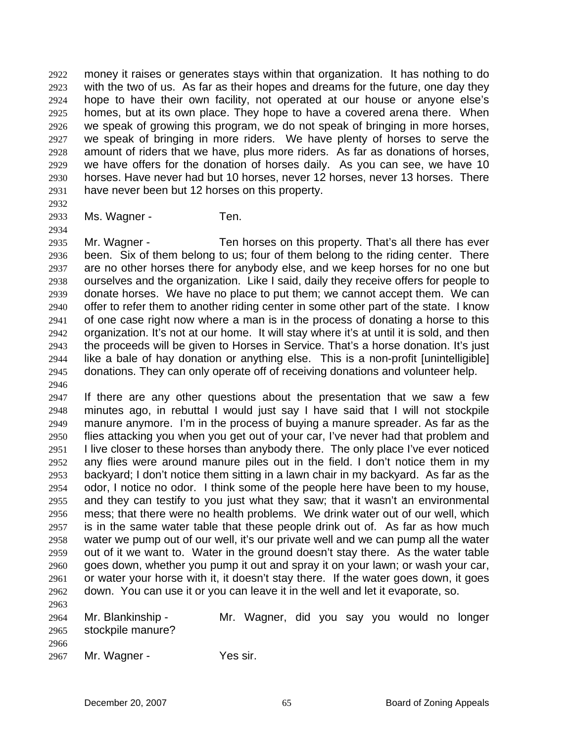money it raises or generates stays within that organization. It has nothing to do with the two of us. As far as their hopes and dreams for the future, one day they hope to have their own facility, not operated at our house or anyone else's homes, but at its own place. They hope to have a covered arena there. When we speak of growing this program, we do not speak of bringing in more horses, we speak of bringing in more riders. We have plenty of horses to serve the amount of riders that we have, plus more riders. As far as donations of horses, we have offers for the donation of horses daily. As you can see, we have 10 horses. Have never had but 10 horses, never 12 horses, never 13 horses. There have never been but 12 horses on this property. 2922 2923 2924 2925 2926 2927 2928 2929 2930 2931

2932 2933

2934

Ms. Wagner - Ten.

2935 2936 2937 2938 2939 2940 2941 2942 2943 2944 2945 2946 Mr. Wagner - Ten horses on this property. That's all there has ever been. Six of them belong to us; four of them belong to the riding center. There are no other horses there for anybody else, and we keep horses for no one but ourselves and the organization. Like I said, daily they receive offers for people to donate horses. We have no place to put them; we cannot accept them. We can offer to refer them to another riding center in some other part of the state. I know of one case right now where a man is in the process of donating a horse to this organization. It's not at our home. It will stay where it's at until it is sold, and then the proceeds will be given to Horses in Service. That's a horse donation. It's just like a bale of hay donation or anything else. This is a non-profit [unintelligible] donations. They can only operate off of receiving donations and volunteer help.

2947 2948 2949 2950 2951 2952 2953 2954 2955 2956 2957 2958 2959 2960 2961 2962 If there are any other questions about the presentation that we saw a few minutes ago, in rebuttal I would just say I have said that I will not stockpile manure anymore. I'm in the process of buying a manure spreader. As far as the flies attacking you when you get out of your car, I've never had that problem and I live closer to these horses than anybody there. The only place I've ever noticed any flies were around manure piles out in the field. I don't notice them in my backyard; I don't notice them sitting in a lawn chair in my backyard. As far as the odor, I notice no odor. I think some of the people here have been to my house, and they can testify to you just what they saw; that it wasn't an environmental mess; that there were no health problems. We drink water out of our well, which is in the same water table that these people drink out of. As far as how much water we pump out of our well, it's our private well and we can pump all the water out of it we want to. Water in the ground doesn't stay there. As the water table goes down, whether you pump it out and spray it on your lawn; or wash your car, or water your horse with it, it doesn't stay there. If the water goes down, it goes down. You can use it or you can leave it in the well and let it evaporate, so.

2963

2964 2965 Mr. Blankinship - Mr. Wagner, did you say you would no longer stockpile manure?

2966

2967 Mr. Wagner - Yes sir.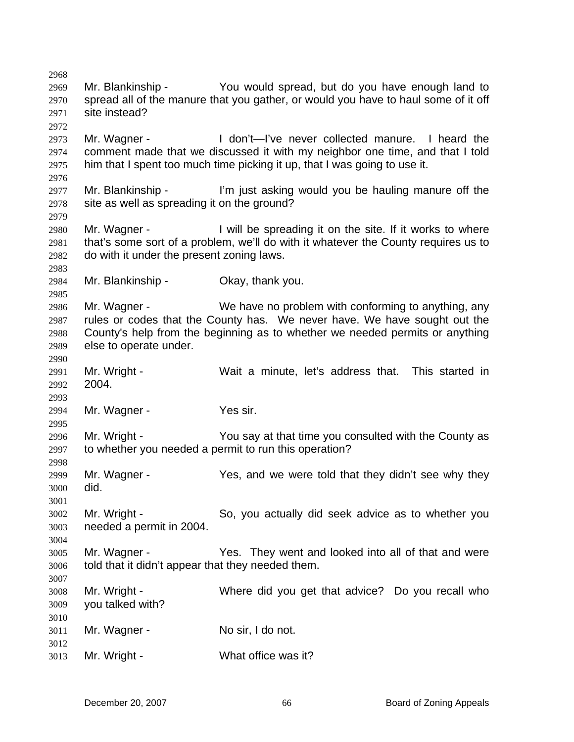2968 2969 2970 2971 2972 2973 2974 2975 2976 2977 2978 2979 2980 2981 2982 2983 2984 2985 2986 2987 2988 2989 2990 2991 2992 2993 2994 2995 2996 2997 2998 2999 3000 3001 3002 3003 3004 3005 3006 3007 3008 3009 3010 3011 3012 3013 Mr. Blankinship - You would spread, but do you have enough land to spread all of the manure that you gather, or would you have to haul some of it off site instead? Mr. Wagner - The Mon't—I've never collected manure. I heard the comment made that we discussed it with my neighbor one time, and that I told him that I spent too much time picking it up, that I was going to use it. Mr. Blankinship - I'm just asking would you be hauling manure off the site as well as spreading it on the ground? Mr. Wagner - Twill be spreading it on the site. If it works to where that's some sort of a problem, we'll do with it whatever the County requires us to do with it under the present zoning laws. Mr. Blankinship - Ckay, thank you. Mr. Wagner - We have no problem with conforming to anything, any rules or codes that the County has. We never have. We have sought out the County's help from the beginning as to whether we needed permits or anything else to operate under. Mr. Wright - Wait a minute, let's address that. This started in 2004. Mr. Wagner - Yes sir. Mr. Wright - The You say at that time you consulted with the County as to whether you needed a permit to run this operation? Mr. Wagner - Yes, and we were told that they didn't see why they did. Mr. Wright - So, you actually did seek advice as to whether you needed a permit in 2004. Mr. Wagner - They went and looked into all of that and were told that it didn't appear that they needed them. Mr. Wright - Where did you get that advice? Do you recall who you talked with? Mr. Wagner - No sir, I do not. Mr. Wright - What office was it?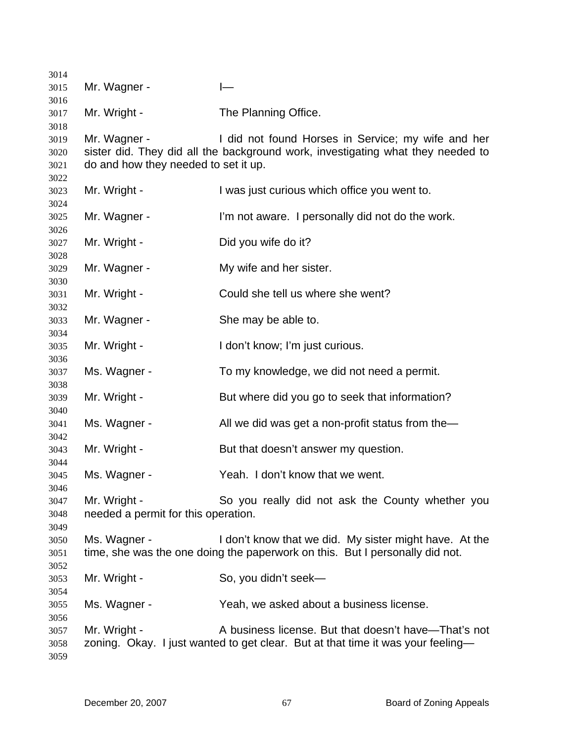| 3014         |                                      |                                                                                                                                        |
|--------------|--------------------------------------|----------------------------------------------------------------------------------------------------------------------------------------|
| 3015         | Mr. Wagner -                         |                                                                                                                                        |
| 3016         |                                      |                                                                                                                                        |
| 3017         | Mr. Wright -                         | The Planning Office.                                                                                                                   |
| 3018         |                                      |                                                                                                                                        |
| 3019         | Mr. Wagner -                         | I did not found Horses in Service; my wife and her                                                                                     |
| 3020         |                                      | sister did. They did all the background work, investigating what they needed to                                                        |
| 3021         | do and how they needed to set it up. |                                                                                                                                        |
| 3022         |                                      |                                                                                                                                        |
| 3023         | Mr. Wright -                         | I was just curious which office you went to.                                                                                           |
| 3024         |                                      |                                                                                                                                        |
| 3025         | Mr. Wagner -                         | I'm not aware. I personally did not do the work.                                                                                       |
| 3026         |                                      |                                                                                                                                        |
| 3027         | Mr. Wright -                         | Did you wife do it?                                                                                                                    |
| 3028         |                                      |                                                                                                                                        |
| 3029         | Mr. Wagner -                         | My wife and her sister.                                                                                                                |
| 3030         |                                      |                                                                                                                                        |
| 3031         | Mr. Wright -                         | Could she tell us where she went?                                                                                                      |
| 3032         |                                      |                                                                                                                                        |
| 3033         | Mr. Wagner -                         | She may be able to.                                                                                                                    |
| 3034         |                                      |                                                                                                                                        |
| 3035         | Mr. Wright -                         | I don't know; I'm just curious.                                                                                                        |
| 3036         |                                      |                                                                                                                                        |
| 3037         | Ms. Wagner -                         | To my knowledge, we did not need a permit.                                                                                             |
| 3038         |                                      |                                                                                                                                        |
| 3039         | Mr. Wright -                         | But where did you go to seek that information?                                                                                         |
| 3040         |                                      |                                                                                                                                        |
| 3041         | Ms. Wagner -                         | All we did was get a non-profit status from the-                                                                                       |
| 3042         |                                      |                                                                                                                                        |
| 3043         | Mr. Wright -                         | But that doesn't answer my question.                                                                                                   |
| 3044         |                                      |                                                                                                                                        |
| 3045         | Ms. Wagner -                         | Yeah. I don't know that we went.                                                                                                       |
| 3046         |                                      |                                                                                                                                        |
| 3047         | Mr. Wright -                         | So you really did not ask the County whether you                                                                                       |
| 3048         | needed a permit for this operation.  |                                                                                                                                        |
| 3049         |                                      |                                                                                                                                        |
| 3050         | Ms. Wagner -                         | I don't know that we did. My sister might have. At the<br>time, she was the one doing the paperwork on this. But I personally did not. |
| 3051         |                                      |                                                                                                                                        |
| 3052         | Mr. Wright -                         | So, you didn't seek-                                                                                                                   |
| 3053         |                                      |                                                                                                                                        |
| 3054         |                                      |                                                                                                                                        |
| 3055<br>3056 | Ms. Wagner -                         | Yeah, we asked about a business license.                                                                                               |
| 3057         | Mr. Wright -                         | A business license. But that doesn't have—That's not                                                                                   |
| 3058         |                                      | zoning. Okay. I just wanted to get clear. But at that time it was your feeling-                                                        |
| 3059         |                                      |                                                                                                                                        |
|              |                                      |                                                                                                                                        |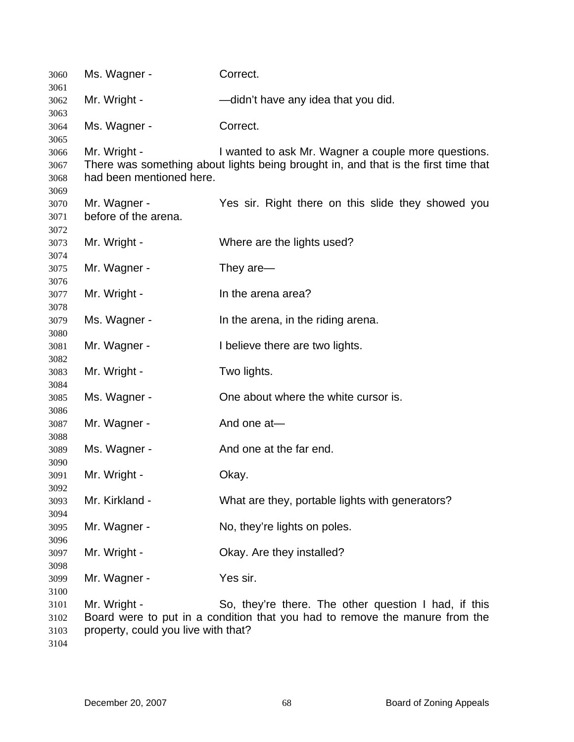| 3060         | Ms. Wagner -                        | Correct.                                                                                                                            |
|--------------|-------------------------------------|-------------------------------------------------------------------------------------------------------------------------------------|
| 3061<br>3062 | Mr. Wright -                        | -didn't have any idea that you did.                                                                                                 |
| 3063         |                                     |                                                                                                                                     |
| 3064         | Ms. Wagner -                        | Correct.                                                                                                                            |
| 3065         |                                     |                                                                                                                                     |
| 3066         | Mr. Wright -                        | I wanted to ask Mr. Wagner a couple more questions.                                                                                 |
| 3067<br>3068 | had been mentioned here.            | There was something about lights being brought in, and that is the first time that                                                  |
| 3069         |                                     |                                                                                                                                     |
| 3070         | Mr. Wagner -                        | Yes sir. Right there on this slide they showed you                                                                                  |
| 3071         | before of the arena.                |                                                                                                                                     |
| 3072         |                                     |                                                                                                                                     |
| 3073         | Mr. Wright -                        | Where are the lights used?                                                                                                          |
| 3074         |                                     |                                                                                                                                     |
| 3075         | Mr. Wagner -                        | They are-                                                                                                                           |
| 3076<br>3077 | Mr. Wright -                        | In the arena area?                                                                                                                  |
| 3078         |                                     |                                                                                                                                     |
| 3079         | Ms. Wagner -                        | In the arena, in the riding arena.                                                                                                  |
| 3080         |                                     |                                                                                                                                     |
| 3081         | Mr. Wagner -                        | I believe there are two lights.                                                                                                     |
| 3082         |                                     |                                                                                                                                     |
| 3083         | Mr. Wright -                        | Two lights.                                                                                                                         |
| 3084<br>3085 | Ms. Wagner -                        | One about where the white cursor is.                                                                                                |
| 3086         |                                     |                                                                                                                                     |
| 3087         | Mr. Wagner -                        | And one at-                                                                                                                         |
| 3088         |                                     |                                                                                                                                     |
| 3089         | Ms. Wagner -                        | And one at the far end.                                                                                                             |
| 3090         |                                     |                                                                                                                                     |
| 3091         | Mr. Wright -                        | Okay.                                                                                                                               |
| 3092         | Mr. Kirkland -                      | What are they, portable lights with generators?                                                                                     |
| 3093<br>3094 |                                     |                                                                                                                                     |
| 3095         | Mr. Wagner -                        | No, they're lights on poles.                                                                                                        |
| 3096         |                                     |                                                                                                                                     |
| 3097         | Mr. Wright -                        | Okay. Are they installed?                                                                                                           |
| 3098         |                                     |                                                                                                                                     |
| 3099         | Mr. Wagner -                        | Yes sir.                                                                                                                            |
| 3100         |                                     |                                                                                                                                     |
| 3101<br>3102 | Mr. Wright -                        | So, they're there. The other question I had, if this<br>Board were to put in a condition that you had to remove the manure from the |
| 3103         | property, could you live with that? |                                                                                                                                     |
| 3104         |                                     |                                                                                                                                     |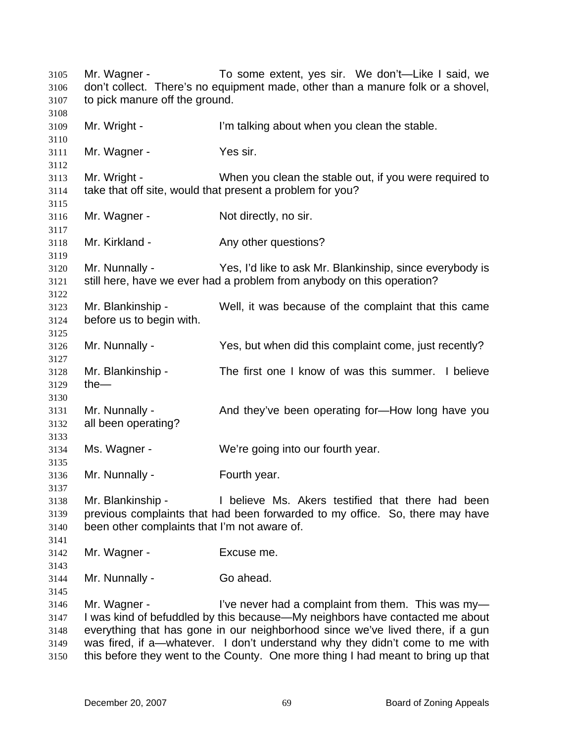Mr. Wagner - To some extent, yes sir. We don't—Like I said, we don't collect. There's no equipment made, other than a manure folk or a shovel, to pick manure off the ground. 3105 3106 3107 3108 3109 3110 3111 3112 3113 3114 3115 3116 3117 3118 3119 3120 3121 3122 3123 3124 3125 3126 3127 3128 3129 3130 3131 3132 3133 3134 3135 3136 3137 3138 3139 3140 3141 3142 3143 3144 3145 3146 3147 3148 3149 3150 Mr. Wright - The I'm talking about when you clean the stable. Mr. Wagner - Yes sir. Mr. Wright - When you clean the stable out, if you were required to take that off site, would that present a problem for you? Mr. Wagner - Not directly, no sir. Mr. Kirkland - The Any other questions? Mr. Nunnally - Yes, I'd like to ask Mr. Blankinship, since everybody is still here, have we ever had a problem from anybody on this operation? Mr. Blankinship - Well, it was because of the complaint that this came before us to begin with. Mr. Nunnally - Yes, but when did this complaint come, just recently? Mr. Blankinship - The first one I know of was this summer. I believe the— Mr. Nunnally - And they've been operating for—How long have you all been operating? Ms. Wagner - We're going into our fourth year. Mr. Nunnally - Fourth year. Mr. Blankinship - I believe Ms. Akers testified that there had been previous complaints that had been forwarded to my office. So, there may have been other complaints that I'm not aware of. Mr. Wagner - Excuse me. Mr. Nunnally - Go ahead. Mr. Wagner - I've never had a complaint from them. This was my-I was kind of befuddled by this because—My neighbors have contacted me about everything that has gone in our neighborhood since we've lived there, if a gun was fired, if a—whatever. I don't understand why they didn't come to me with this before they went to the County. One more thing I had meant to bring up that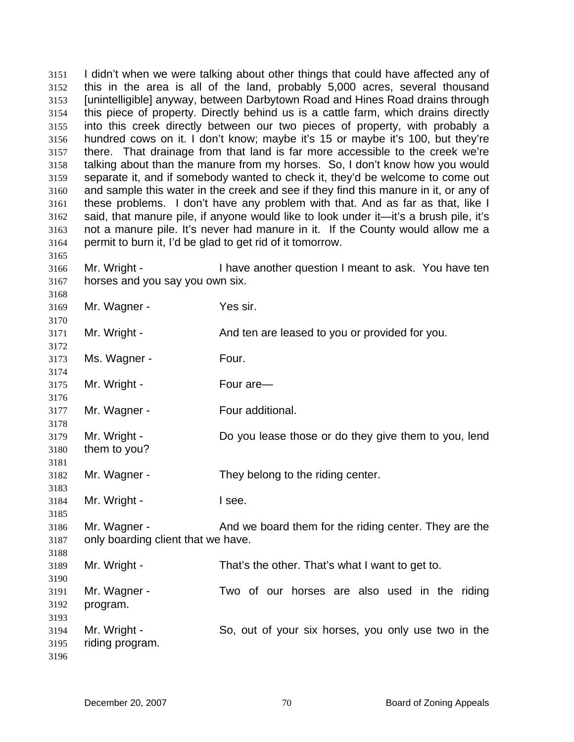I didn't when we were talking about other things that could have affected any of this in the area is all of the land, probably 5,000 acres, several thousand [unintelligible] anyway, between Darbytown Road and Hines Road drains through this piece of property. Directly behind us is a cattle farm, which drains directly into this creek directly between our two pieces of property, with probably a hundred cows on it. I don't know; maybe it's 15 or maybe it's 100, but they're there. That drainage from that land is far more accessible to the creek we're talking about than the manure from my horses. So, I don't know how you would separate it, and if somebody wanted to check it, they'd be welcome to come out and sample this water in the creek and see if they find this manure in it, or any of these problems. I don't have any problem with that. And as far as that, like I said, that manure pile, if anyone would like to look under it—it's a brush pile, it's not a manure pile. It's never had manure in it. If the County would allow me a permit to burn it, I'd be glad to get rid of it tomorrow. 3151 3152 3153 3154 3155 3156 3157 3158 3159 3160 3161 3162 3163 3164 3165 3166 3167 3168 3169 3170 3171 3172 3173 3174 3175 3176 3177 3178 3179 3180 3181 3182 3183 3184 3185 3186 3187 3188 3189 3190 3191 3192 3193 3194 3195 3196 Mr. Wright - I have another question I meant to ask. You have ten horses and you say you own six. Mr. Wagner - Yes sir. Mr. Wright - And ten are leased to you or provided for you. Ms. Wagner - Four. Mr. Wright - Four are Mr. Wagner - Four additional. Mr. Wright - Do you lease those or do they give them to you, lend them to you? Mr. Wagner - They belong to the riding center. Mr. Wright - The Ree. Mr. Wagner - And we board them for the riding center. They are the only boarding client that we have. Mr. Wright - That's the other. That's what I want to get to. Mr. Wagner - Two of our horses are also used in the riding program. Mr. Wright - So, out of your six horses, you only use two in the riding program.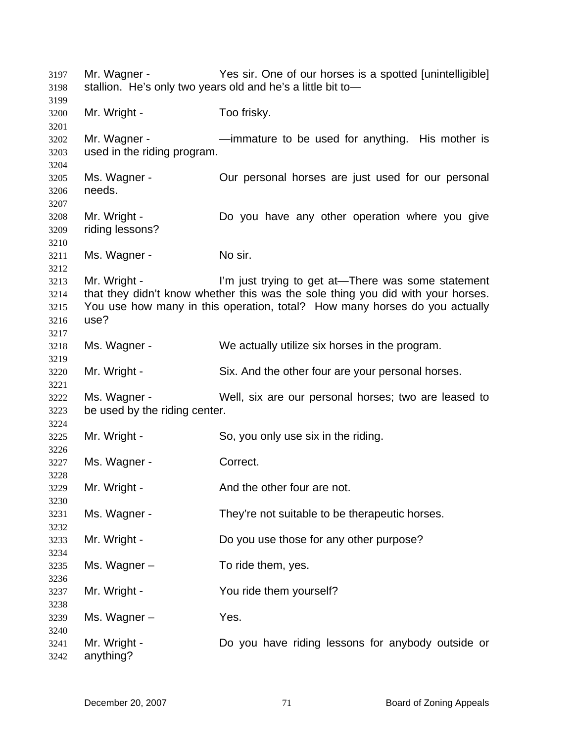Mr. Wagner - Yes sir. One of our horses is a spotted [unintelligible] stallion. He's only two years old and he's a little bit to— Mr. Wright - Too frisky. Mr. Wagner - The musture to be used for anything. His mother is used in the riding program. Ms. Wagner - Our personal horses are just used for our personal needs. Mr. Wright - The Solid Collection Collection where you give riding lessons? Ms. Wagner - No sir. Mr. Wright - I'm just trying to get at—There was some statement that they didn't know whether this was the sole thing you did with your horses. You use how many in this operation, total? How many horses do you actually use? Ms. Wagner - We actually utilize six horses in the program. Mr. Wright - Six. And the other four are your personal horses. Ms. Wagner - Well, six are our personal horses; two are leased to be used by the riding center. Mr. Wright - So, you only use six in the riding. Ms. Wagner - Correct. Mr. Wright - And the other four are not. Ms. Wagner - They're not suitable to be therapeutic horses. Mr. Wright - Do you use those for any other purpose? Ms. Wagner – To ride them, yes. Mr. Wright - You ride them yourself? Ms. Wagner – Yes. Mr. Wright - Do you have riding lessons for anybody outside or anything?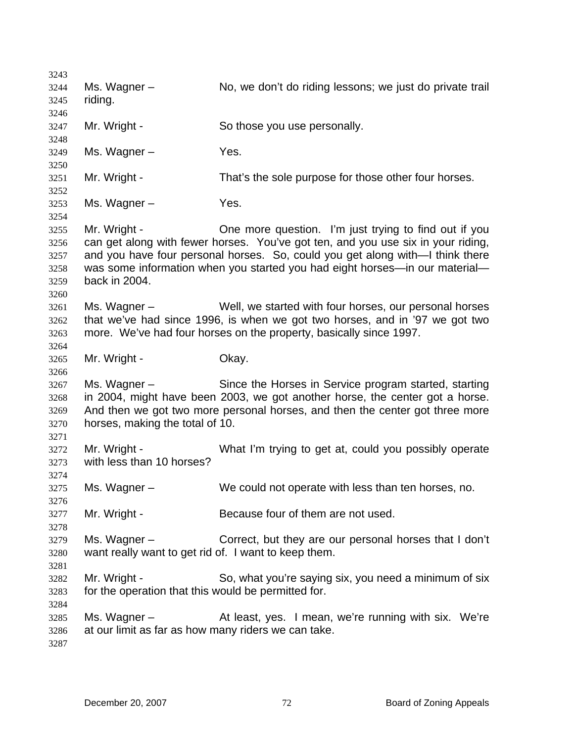3243 3244 3245 3246 3247 3248 3249 3250 3251 3252 3253 3254 3255 3256 3257 3258 3259 3260 3261 3262 3263 3264 3265 3266 3267 3268 3269 3270 3271 3272 3273 3274 3275 3276 3277 3278 3279 3280 3281 3282 3283 3284 3285 3286 3287 Ms. Wagner – No, we don't do riding lessons; we just do private trail riding. Mr. Wright - So those you use personally. Ms. Wagner – Yes. Mr. Wright - That's the sole purpose for those other four horses. Ms. Wagner – Yes. Mr. Wright - One more question. I'm just trying to find out if you can get along with fewer horses. You've got ten, and you use six in your riding, and you have four personal horses. So, could you get along with—I think there was some information when you started you had eight horses—in our material back in 2004. Ms. Wagner – Well, we started with four horses, our personal horses that we've had since 1996, is when we got two horses, and in '97 we got two more. We've had four horses on the property, basically since 1997. Mr. Wright - Chay. Ms. Wagner – Since the Horses in Service program started, starting in 2004, might have been 2003, we got another horse, the center got a horse. And then we got two more personal horses, and then the center got three more horses, making the total of 10. Mr. Wright - What I'm trying to get at, could you possibly operate with less than 10 horses? Ms. Wagner – We could not operate with less than ten horses, no. Mr. Wright - Because four of them are not used. Ms. Wagner – Correct, but they are our personal horses that I don't want really want to get rid of. I want to keep them. Mr. Wright - So, what you're saying six, you need a minimum of six for the operation that this would be permitted for. Ms. Wagner – The At least, yes. I mean, we're running with six. We're at our limit as far as how many riders we can take.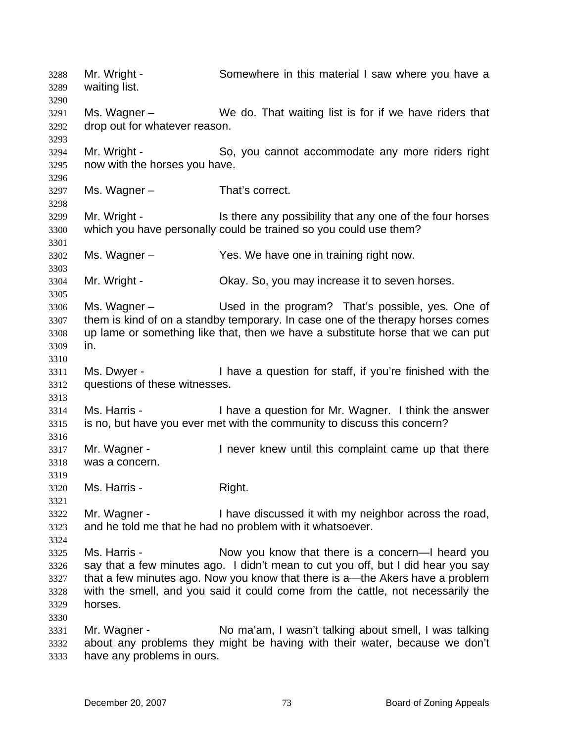Mr. Wright - Somewhere in this material I saw where you have a waiting list. 3288 3289 3290 3291 3292 3293 3294 3295 3296 3297 3298 3299 3300 3301 3302 3303 3304 3305 3306 3307 3308 3309 3310 3311 3312 3313 3314 3315 3316 3317 3318 3319 3320 3321 3322 3323 3324 3325 3326 3327 3328 3329 3330 3331 3332 3333 Ms. Wagner – We do. That waiting list is for if we have riders that drop out for whatever reason. Mr. Wright - So, you cannot accommodate any more riders right now with the horses you have. Ms. Wagner – That's correct. Mr. Wright - Is there any possibility that any one of the four horses which you have personally could be trained so you could use them? Ms. Wagner – Yes. We have one in training right now. Mr. Wright - Okay. So, you may increase it to seven horses. Ms. Wagner – The Used in the program? That's possible, yes. One of them is kind of on a standby temporary. In case one of the therapy horses comes up lame or something like that, then we have a substitute horse that we can put in. Ms. Dwyer - I have a question for staff, if you're finished with the questions of these witnesses. Ms. Harris - I have a question for Mr. Wagner. I think the answer is no, but have you ever met with the community to discuss this concern? Mr. Wagner - Thever knew until this complaint came up that there was a concern. Ms. Harris - Right. Mr. Wagner - I have discussed it with my neighbor across the road, and he told me that he had no problem with it whatsoever. Ms. Harris - Now you know that there is a concern—I heard you say that a few minutes ago. I didn't mean to cut you off, but I did hear you say that a few minutes ago. Now you know that there is a—the Akers have a problem with the smell, and you said it could come from the cattle, not necessarily the horses. Mr. Wagner - No ma'am, I wasn't talking about smell, I was talking about any problems they might be having with their water, because we don't have any problems in ours.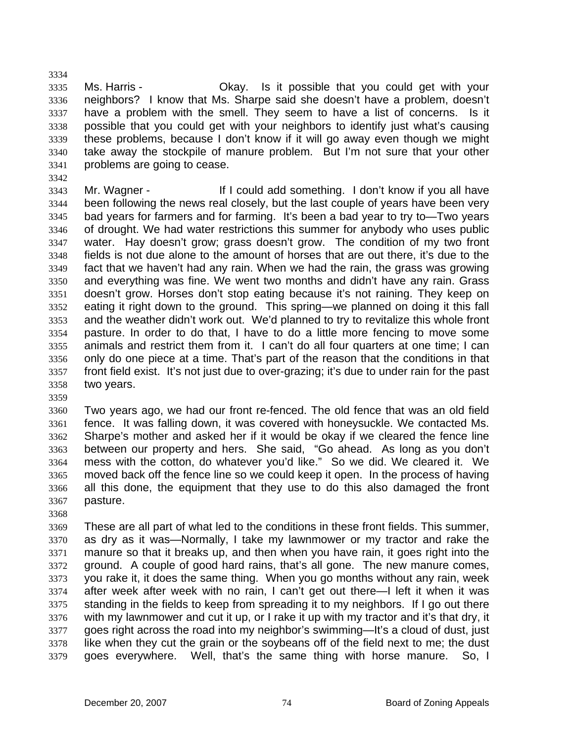3335 3336 3337 3338 3339 3340 3341 Ms. Harris - Chay. Is it possible that you could get with your neighbors? I know that Ms. Sharpe said she doesn't have a problem, doesn't have a problem with the smell. They seem to have a list of concerns. Is it possible that you could get with your neighbors to identify just what's causing these problems, because I don't know if it will go away even though we might take away the stockpile of manure problem. But I'm not sure that your other problems are going to cease.

3342

3334

3343 3344 3345 3346 3347 3348 3349 3350 3351 3352 3353 3354 3355 3356 3357 3358 Mr. Wagner - If I could add something. I don't know if you all have been following the news real closely, but the last couple of years have been very bad years for farmers and for farming. It's been a bad year to try to—Two years of drought. We had water restrictions this summer for anybody who uses public water. Hay doesn't grow; grass doesn't grow. The condition of my two front fields is not due alone to the amount of horses that are out there, it's due to the fact that we haven't had any rain. When we had the rain, the grass was growing and everything was fine. We went two months and didn't have any rain. Grass doesn't grow. Horses don't stop eating because it's not raining. They keep on eating it right down to the ground. This spring—we planned on doing it this fall and the weather didn't work out. We'd planned to try to revitalize this whole front pasture. In order to do that, I have to do a little more fencing to move some animals and restrict them from it. I can't do all four quarters at one time; I can only do one piece at a time. That's part of the reason that the conditions in that front field exist. It's not just due to over-grazing; it's due to under rain for the past two years.

3359

3360 3361 3362 3363 3364 3365 3366 3367 Two years ago, we had our front re-fenced. The old fence that was an old field fence. It was falling down, it was covered with honeysuckle. We contacted Ms. Sharpe's mother and asked her if it would be okay if we cleared the fence line between our property and hers. She said, "Go ahead. As long as you don't mess with the cotton, do whatever you'd like." So we did. We cleared it. We moved back off the fence line so we could keep it open. In the process of having all this done, the equipment that they use to do this also damaged the front pasture.

3368

3369 3370 3371 3372 3373 3374 3375 3376 3377 3378 3379 These are all part of what led to the conditions in these front fields. This summer, as dry as it was—Normally, I take my lawnmower or my tractor and rake the manure so that it breaks up, and then when you have rain, it goes right into the ground. A couple of good hard rains, that's all gone. The new manure comes, you rake it, it does the same thing. When you go months without any rain, week after week after week with no rain, I can't get out there—I left it when it was standing in the fields to keep from spreading it to my neighbors. If I go out there with my lawnmower and cut it up, or I rake it up with my tractor and it's that dry, it goes right across the road into my neighbor's swimming—It's a cloud of dust, just like when they cut the grain or the soybeans off of the field next to me; the dust goes everywhere. Well, that's the same thing with horse manure. So, I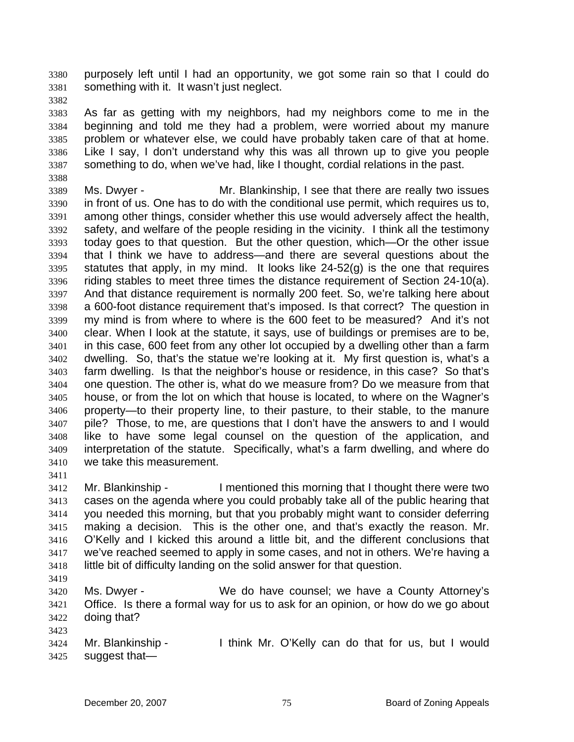purposely left until I had an opportunity, we got some rain so that I could do something with it. It wasn't just neglect. 3380 3381

3382

3388

3383 3384 3385 3386 3387 As far as getting with my neighbors, had my neighbors come to me in the beginning and told me they had a problem, were worried about my manure problem or whatever else, we could have probably taken care of that at home. Like I say, I don't understand why this was all thrown up to give you people something to do, when we've had, like I thought, cordial relations in the past.

3389 3390 3391 3392 3393 3394 3395 3396 3397 3398 3399 3400 3401 3402 3403 3404 3405 3406 3407 3408 3409 3410 Ms. Dwyer - Mr. Blankinship, I see that there are really two issues in front of us. One has to do with the conditional use permit, which requires us to, among other things, consider whether this use would adversely affect the health, safety, and welfare of the people residing in the vicinity. I think all the testimony today goes to that question. But the other question, which—Or the other issue that I think we have to address—and there are several questions about the statutes that apply, in my mind. It looks like  $24-52(q)$  is the one that requires riding stables to meet three times the distance requirement of Section 24-10(a). And that distance requirement is normally 200 feet. So, we're talking here about a 600-foot distance requirement that's imposed. Is that correct? The question in my mind is from where to where is the 600 feet to be measured? And it's not clear. When I look at the statute, it says, use of buildings or premises are to be, in this case, 600 feet from any other lot occupied by a dwelling other than a farm dwelling. So, that's the statue we're looking at it. My first question is, what's a farm dwelling. Is that the neighbor's house or residence, in this case? So that's one question. The other is, what do we measure from? Do we measure from that house, or from the lot on which that house is located, to where on the Wagner's property—to their property line, to their pasture, to their stable, to the manure pile? Those, to me, are questions that I don't have the answers to and I would like to have some legal counsel on the question of the application, and interpretation of the statute. Specifically, what's a farm dwelling, and where do we take this measurement.

3411

3412 3413 3414 3415 3416 3417 3418 Mr. Blankinship - I mentioned this morning that I thought there were two cases on the agenda where you could probably take all of the public hearing that you needed this morning, but that you probably might want to consider deferring making a decision. This is the other one, and that's exactly the reason. Mr. O'Kelly and I kicked this around a little bit, and the different conclusions that we've reached seemed to apply in some cases, and not in others. We're having a little bit of difficulty landing on the solid answer for that question.

3419

3423

3420 3421 3422 Ms. Dwyer - We do have counsel; we have a County Attorney's Office. Is there a formal way for us to ask for an opinion, or how do we go about doing that?

3424 3425 Mr. Blankinship - I think Mr. O'Kelly can do that for us, but I would suggest that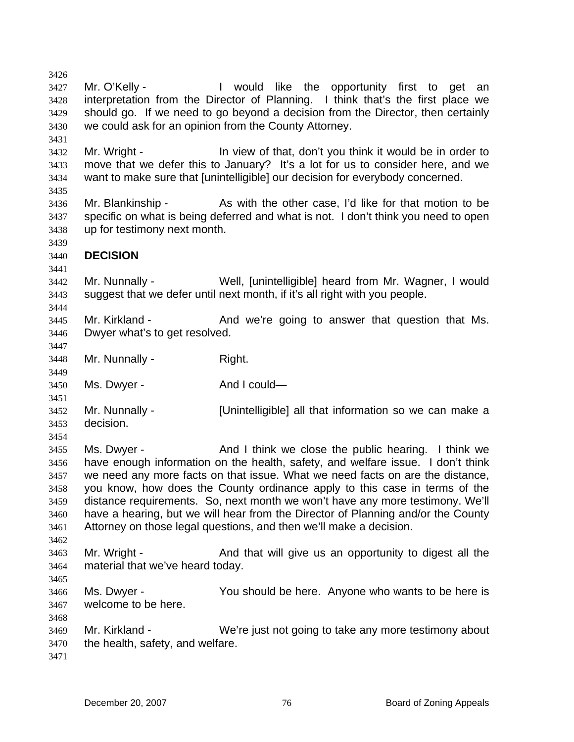3427 3428 3429 3430 3431 3432 3433 3434 3435 3436 3437 3438 3439 3440 3441 3442 3443 3444 3445 3446 3447 3448 3449 3450 3451 3452 3453 3454 3455 3456 3457 3458 3459 3460 3461 3462 3463 3464 3465 3466 3467 3468 3469 3470 3471 Mr. O'Kelly - The Mould like the opportunity first to get an interpretation from the Director of Planning. I think that's the first place we should go. If we need to go beyond a decision from the Director, then certainly we could ask for an opinion from the County Attorney. Mr. Wright - The View of that, don't you think it would be in order to move that we defer this to January? It's a lot for us to consider here, and we want to make sure that [unintelligible] our decision for everybody concerned. Mr. Blankinship - As with the other case, I'd like for that motion to be specific on what is being deferred and what is not. I don't think you need to open up for testimony next month. **DECISION**  Mr. Nunnally - Well, [unintelligible] heard from Mr. Wagner, I would suggest that we defer until next month, if it's all right with you people. Mr. Kirkland - The And we're going to answer that question that Ms. Dwyer what's to get resolved. Mr. Nunnally - Right. Ms. Dwyer - And I could— Mr. Nunnally - [Unintelligible] all that information so we can make a decision. Ms. Dwyer - The And I think we close the public hearing. I think we have enough information on the health, safety, and welfare issue. I don't think we need any more facts on that issue. What we need facts on are the distance, you know, how does the County ordinance apply to this case in terms of the distance requirements. So, next month we won't have any more testimony. We'll have a hearing, but we will hear from the Director of Planning and/or the County Attorney on those legal questions, and then we'll make a decision. Mr. Wright - And that will give us an opportunity to digest all the material that we've heard today. Ms. Dwyer - The You should be here. Anyone who wants to be here is welcome to be here. Mr. Kirkland - We're just not going to take any more testimony about the health, safety, and welfare.

3426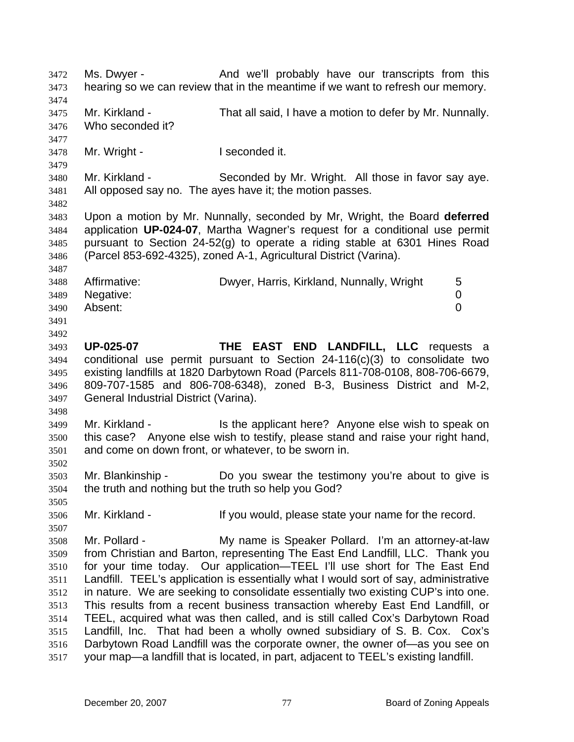Ms. Dwyer - The And we'll probably have our transcripts from this hearing so we can review that in the meantime if we want to refresh our memory. 3472 3473 3474 3475 3476 3477 3478 3479 3480 3481 3482 3483 3484 3485 3486 3487 3488 3489 3490 3491 3492 3493 3494 3495 3496 3497 3498 3499 3500 3501 3502 3503 3504 3505 3506 3507 3508 3509 3510 3511 3512 3513 3514 3515 3516 3517 Mr. Kirkland - That all said, I have a motion to defer by Mr. Nunnally. Who seconded it? Mr. Wright - The Music Conded it. Mr. Kirkland - Seconded by Mr. Wright. All those in favor say aye. All opposed say no. The ayes have it; the motion passes. Upon a motion by Mr. Nunnally, seconded by Mr, Wright, the Board **deferred** application **UP-024-07**, Martha Wagner's request for a conditional use permit pursuant to Section 24-52(g) to operate a riding stable at 6301 Hines Road (Parcel 853-692-4325), zoned A-1, Agricultural District (Varina). Affirmative: Charlowyer, Harris, Kirkland, Nunnally, Wright 5 Negative: 0 Absent: 0 **UP-025-07 THE EAST END LANDFILL, LLC** requests a conditional use permit pursuant to Section 24-116(c)(3) to consolidate two existing landfills at 1820 Darbytown Road (Parcels 811-708-0108, 808-706-6679, 809-707-1585 and 806-708-6348), zoned B-3, Business District and M-2, General Industrial District (Varina). Mr. Kirkland - Is the applicant here? Anyone else wish to speak on this case? Anyone else wish to testify, please stand and raise your right hand, and come on down front, or whatever, to be sworn in. Mr. Blankinship - Do you swear the testimony you're about to give is the truth and nothing but the truth so help you God? Mr. Kirkland - The Music of the Vou would, please state your name for the record. Mr. Pollard - The My name is Speaker Pollard. I'm an attorney-at-law from Christian and Barton, representing The East End Landfill, LLC. Thank you for your time today. Our application—TEEL I'll use short for The East End Landfill. TEEL's application is essentially what I would sort of say, administrative in nature. We are seeking to consolidate essentially two existing CUP's into one. This results from a recent business transaction whereby East End Landfill, or TEEL, acquired what was then called, and is still called Cox's Darbytown Road Landfill, Inc. That had been a wholly owned subsidiary of S. B. Cox. Cox's Darbytown Road Landfill was the corporate owner, the owner of—as you see on your map—a landfill that is located, in part, adjacent to TEEL's existing landfill.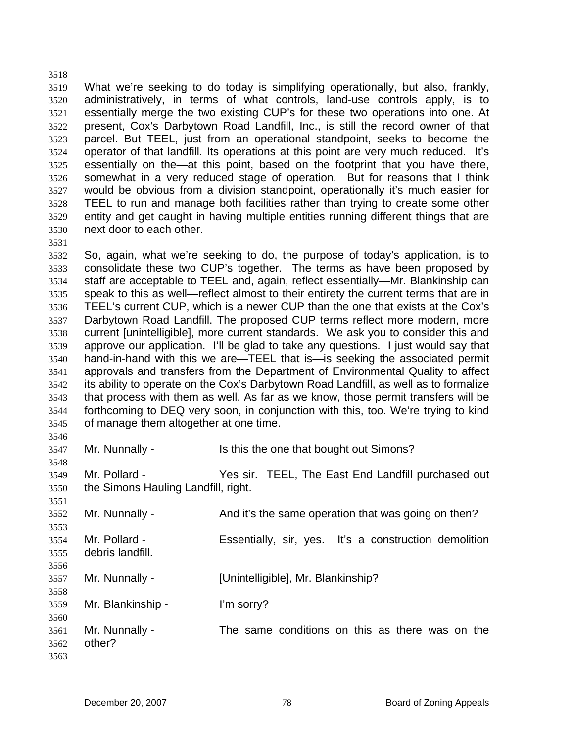3519 3520 3521 3522 3523 3524 3525 3526 3527 3528 3529 3530 What we're seeking to do today is simplifying operationally, but also, frankly, administratively, in terms of what controls, land-use controls apply, is to essentially merge the two existing CUP's for these two operations into one. At present, Cox's Darbytown Road Landfill, Inc., is still the record owner of that parcel. But TEEL, just from an operational standpoint, seeks to become the operator of that landfill. Its operations at this point are very much reduced. It's essentially on the—at this point, based on the footprint that you have there, somewhat in a very reduced stage of operation. But for reasons that I think would be obvious from a division standpoint, operationally it's much easier for TEEL to run and manage both facilities rather than trying to create some other entity and get caught in having multiple entities running different things that are next door to each other.

3531

3548

3551

3558

3518

3532 3533 3534 3535 3536 3537 3538 3539 3540 3541 3542 3543 3544 3545 3546 So, again, what we're seeking to do, the purpose of today's application, is to consolidate these two CUP's together. The terms as have been proposed by staff are acceptable to TEEL and, again, reflect essentially—Mr. Blankinship can speak to this as well—reflect almost to their entirety the current terms that are in TEEL's current CUP, which is a newer CUP than the one that exists at the Cox's Darbytown Road Landfill. The proposed CUP terms reflect more modern, more current [unintelligible], more current standards. We ask you to consider this and approve our application. I'll be glad to take any questions. I just would say that hand-in-hand with this we are—TEEL that is—is seeking the associated permit approvals and transfers from the Department of Environmental Quality to affect its ability to operate on the Cox's Darbytown Road Landfill, as well as to formalize that process with them as well. As far as we know, those permit transfers will be forthcoming to DEQ very soon, in conjunction with this, too. We're trying to kind of manage them altogether at one time.

3547 Mr. Nunnally - Is this the one that bought out Simons?

3549 3550 Mr. Pollard - Yes sir. TEEL, The East End Landfill purchased out the Simons Hauling Landfill, right.

3552 3553 Mr. Nunnally - And it's the same operation that was going on then?

3554 3555 3556 Mr. Pollard - Essentially, sir, yes. It's a construction demolition debris landfill.

3557 Mr. Nunnally - [Unintelligible], Mr. Blankinship?

3559 Mr. Blankinship - I'm sorry?

3560 3561 3562 3563 Mr. Nunnally - The same conditions on this as there was on the other?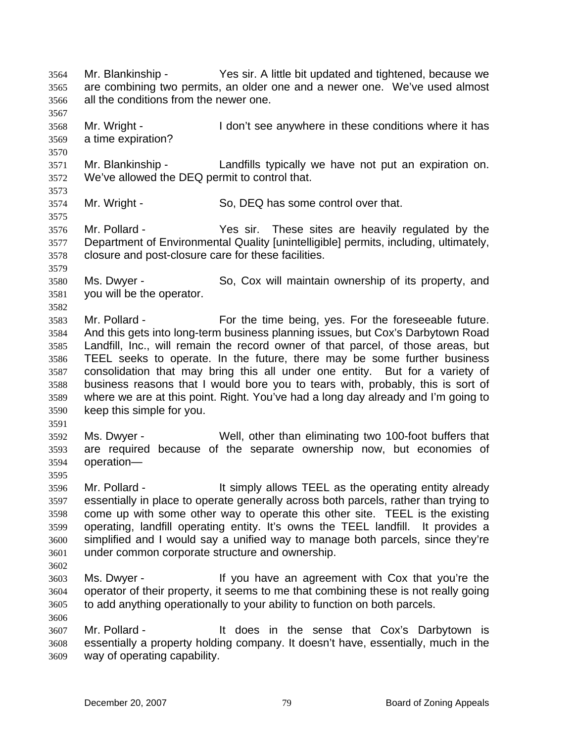Mr. Blankinship - Yes sir. A little bit updated and tightened, because we are combining two permits, an older one and a newer one. We've used almost all the conditions from the newer one. 3564 3565 3566 3567 3568 3569 3570 3571 3572 3573 3574 3575 3576 3577 3578 3579 3580 3581 3582 3583 3584 3585 3586 3587 3588 3589 3590 3591 3592 3593 3594 3595 3596 3597 3598 3599 3600 3601 3602 3603 3604 3605 3606 3607 3608 3609 Mr. Wright - The I don't see anywhere in these conditions where it has a time expiration? Mr. Blankinship - Landfills typically we have not put an expiration on. We've allowed the DEQ permit to control that. Mr. Wright - So, DEQ has some control over that. Mr. Pollard - These sites are heavily regulated by the Department of Environmental Quality [unintelligible] permits, including, ultimately, closure and post-closure care for these facilities. Ms. Dwyer - So, Cox will maintain ownership of its property, and you will be the operator. Mr. Pollard - For the time being, yes. For the foreseeable future. And this gets into long-term business planning issues, but Cox's Darbytown Road Landfill, Inc., will remain the record owner of that parcel, of those areas, but TEEL seeks to operate. In the future, there may be some further business consolidation that may bring this all under one entity. But for a variety of business reasons that I would bore you to tears with, probably, this is sort of where we are at this point. Right. You've had a long day already and I'm going to keep this simple for you. Ms. Dwyer - Well, other than eliminating two 100-foot buffers that are required because of the separate ownership now, but economies of operation— Mr. Pollard - The State of the simply allows TEEL as the operating entity already essentially in place to operate generally across both parcels, rather than trying to come up with some other way to operate this other site. TEEL is the existing operating, landfill operating entity. It's owns the TEEL landfill. It provides a simplified and I would say a unified way to manage both parcels, since they're under common corporate structure and ownership. Ms. Dwyer - The Music of the Vou have an agreement with Cox that you're the operator of their property, it seems to me that combining these is not really going to add anything operationally to your ability to function on both parcels. Mr. Pollard - The Muslim the sense that Cox's Darbytown is essentially a property holding company. It doesn't have, essentially, much in the way of operating capability.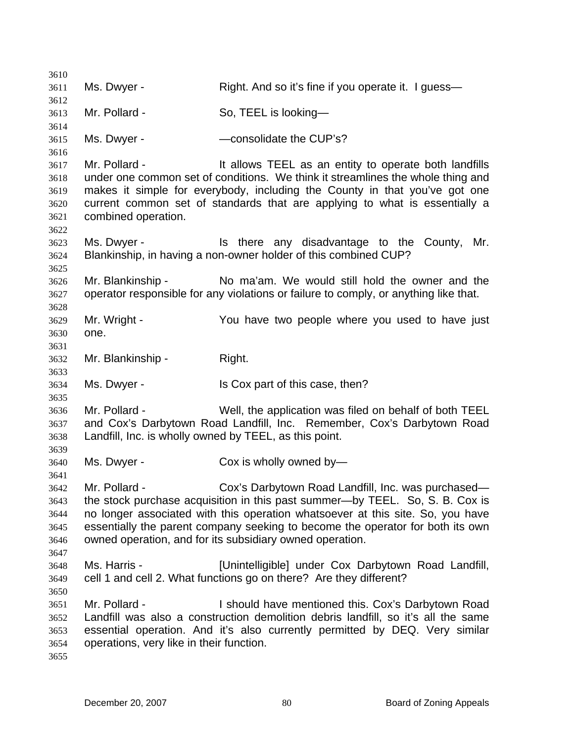3610 3611 3612 3613 3614 3615 3616 3617 3618 3619 3620 3621 3622 3623 3624 3625 3626 3627 3628 3629 3630 3631 3632 3633 3634 3635 3636 3637 3638 3639 3640 3641 3642 3643 3644 3645 3646 3647 3648 3649 3650 3651 3652 3653 3654 3655 Ms. Dwyer - Right. And so it's fine if you operate it. I guess— Mr. Pollard - So, TEEL is looking-Ms. Dwyer - The CUP's? Mr. Pollard - The Mustailler's It allows TEEL as an entity to operate both landfills under one common set of conditions. We think it streamlines the whole thing and makes it simple for everybody, including the County in that you've got one current common set of standards that are applying to what is essentially a combined operation. Ms. Dwyer - The State any disadvantage to the County, Mr. Blankinship, in having a non-owner holder of this combined CUP? Mr. Blankinship - No ma'am. We would still hold the owner and the operator responsible for any violations or failure to comply, or anything like that. Mr. Wright - The You have two people where you used to have just one. Mr. Blankinship - Right. Ms. Dwyer - Is Cox part of this case, then? Mr. Pollard - Well, the application was filed on behalf of both TEEL and Cox's Darbytown Road Landfill, Inc. Remember, Cox's Darbytown Road Landfill, Inc. is wholly owned by TEEL, as this point. Ms. Dwyer - Cox is wholly owned by— Mr. Pollard - Cox's Darbytown Road Landfill, Inc. was purchased the stock purchase acquisition in this past summer—by TEEL. So, S. B. Cox is no longer associated with this operation whatsoever at this site. So, you have essentially the parent company seeking to become the operator for both its own owned operation, and for its subsidiary owned operation. Ms. Harris - [Unintelligible] under Cox Darbytown Road Landfill, cell 1 and cell 2. What functions go on there? Are they different? Mr. Pollard - The Should have mentioned this. Cox's Darbytown Road Landfill was also a construction demolition debris landfill, so it's all the same essential operation. And it's also currently permitted by DEQ. Very similar operations, very like in their function.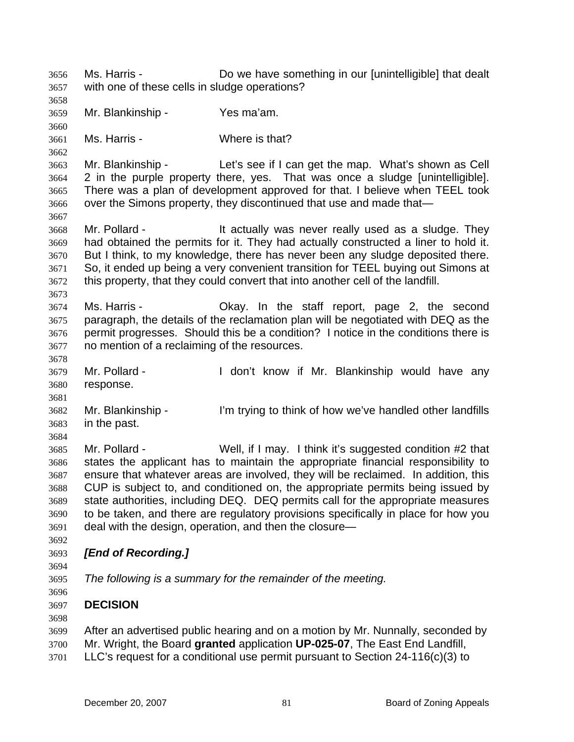Ms. Harris - **Do we have something in our [unintelligible]** that dealt with one of these cells in sludge operations? 3656 3657 3658 3659 3660 3661 3662 3663 3664 3665 3666 3667 3668 3669 3670 3671 3672 3673 3674 3675 3676 3677 3678 3679 3680 3681 3682 3683 3684 3685 3686 3687 3688 3689 3690 3691 3692 3693 3694 3695 3696 3697 3698 3699 Mr. Blankinship - Yes ma'am. Ms. Harris - Where is that? Mr. Blankinship - Let's see if I can get the map. What's shown as Cell 2 in the purple property there, yes. That was once a sludge [unintelligible]. There was a plan of development approved for that. I believe when TEEL took over the Simons property, they discontinued that use and made that— Mr. Pollard - They It actually was never really used as a sludge. They had obtained the permits for it. They had actually constructed a liner to hold it. But I think, to my knowledge, there has never been any sludge deposited there. So, it ended up being a very convenient transition for TEEL buying out Simons at this property, that they could convert that into another cell of the landfill. Ms. Harris - The Okay. In the staff report, page 2, the second paragraph, the details of the reclamation plan will be negotiated with DEQ as the permit progresses. Should this be a condition? I notice in the conditions there is no mention of a reclaiming of the resources. Mr. Pollard - The Muslim Hull don't know if Mr. Blankinship would have any response. Mr. Blankinship - I'm trying to think of how we've handled other landfills in the past. Mr. Pollard - Well, if I may. I think it's suggested condition #2 that states the applicant has to maintain the appropriate financial responsibility to ensure that whatever areas are involved, they will be reclaimed. In addition, this CUP is subject to, and conditioned on, the appropriate permits being issued by state authorities, including DEQ. DEQ permits call for the appropriate measures to be taken, and there are regulatory provisions specifically in place for how you deal with the design, operation, and then the closure— *[End of Recording.] The following is a summary for the remainder of the meeting.*  **DECISION** After an advertised public hearing and on a motion by Mr. Nunnally, seconded by

- 3700 Mr. Wright, the Board **granted** application **UP-025-07**, The East End Landfill,
- 3701 LLC's request for a conditional use permit pursuant to Section 24-116(c)(3) to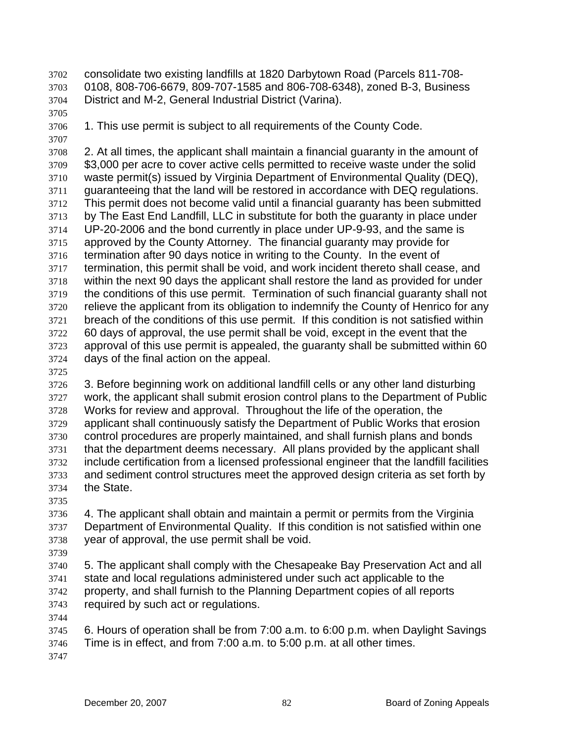consolidate two existing landfills at 1820 Darbytown Road (Parcels 811-708- 0108, 808-706-6679, 809-707-1585 and 806-708-6348), zoned B-3, Business District and M-2, General Industrial District (Varina). 3702 3703 3704

3705

3706 1. This use permit is subject to all requirements of the County Code.

3707

3708 3709 3710 3711 3712 3713 3714 3715 3716 3717 3718 3719 3720 3721 3722 3723 3724 2. At all times, the applicant shall maintain a financial guaranty in the amount of \$3,000 per acre to cover active cells permitted to receive waste under the solid waste permit(s) issued by Virginia Department of Environmental Quality (DEQ), guaranteeing that the land will be restored in accordance with DEQ regulations. This permit does not become valid until a financial guaranty has been submitted by The East End Landfill, LLC in substitute for both the guaranty in place under UP-20-2006 and the bond currently in place under UP-9-93, and the same is approved by the County Attorney. The financial guaranty may provide for termination after 90 days notice in writing to the County. In the event of termination, this permit shall be void, and work incident thereto shall cease, and within the next 90 days the applicant shall restore the land as provided for under the conditions of this use permit. Termination of such financial guaranty shall not relieve the applicant from its obligation to indemnify the County of Henrico for any breach of the conditions of this use permit. If this condition is not satisfied within 60 days of approval, the use permit shall be void, except in the event that the approval of this use permit is appealed, the guaranty shall be submitted within 60 days of the final action on the appeal.

3725

3726 3727 3728 3729 3730 3731 3732 3733 3734 3. Before beginning work on additional landfill cells or any other land disturbing work, the applicant shall submit erosion control plans to the Department of Public Works for review and approval. Throughout the life of the operation, the applicant shall continuously satisfy the Department of Public Works that erosion control procedures are properly maintained, and shall furnish plans and bonds that the department deems necessary. All plans provided by the applicant shall include certification from a licensed professional engineer that the landfill facilities and sediment control structures meet the approved design criteria as set forth by the State.

3735

3736 3737 3738 4. The applicant shall obtain and maintain a permit or permits from the Virginia Department of Environmental Quality. If this condition is not satisfied within one year of approval, the use permit shall be void.

- 3739 3740 3741 3742 3743 5. The applicant shall comply with the Chesapeake Bay Preservation Act and all state and local regulations administered under such act applicable to the property, and shall furnish to the Planning Department copies of all reports required by such act or regulations.
	- 3744

3745 3746 6. Hours of operation shall be from 7:00 a.m. to 6:00 p.m. when Daylight Savings Time is in effect, and from 7:00 a.m. to 5:00 p.m. at all other times.

3747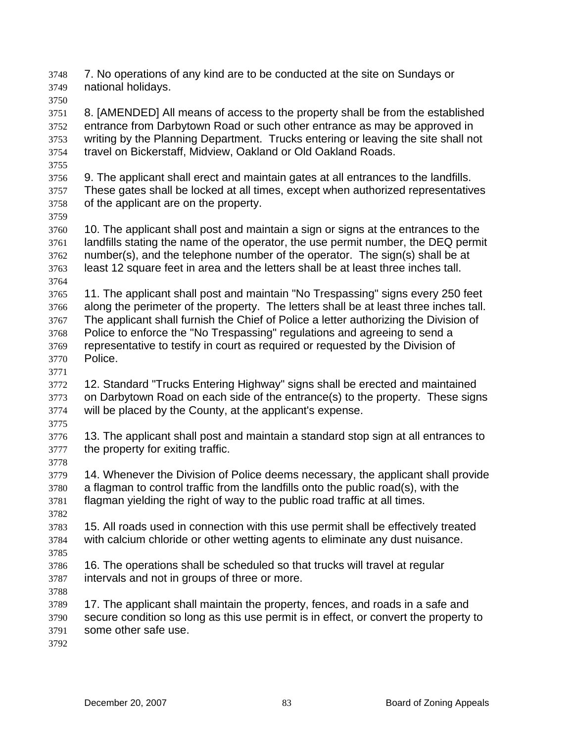7. No operations of any kind are to be conducted at the site on Sundays or national holidays. 3748 3749

3750

3751 3752 3753 3754 8. [AMENDED] All means of access to the property shall be from the established entrance from Darbytown Road or such other entrance as may be approved in writing by the Planning Department. Trucks entering or leaving the site shall not travel on Bickerstaff, Midview, Oakland or Old Oakland Roads.

3756 3757 3758 9. The applicant shall erect and maintain gates at all entrances to the landfills. These gates shall be locked at all times, except when authorized representatives of the applicant are on the property.

3759

3755

3760 3761 3762 3763 3764 10. The applicant shall post and maintain a sign or signs at the entrances to the landfills stating the name of the operator, the use permit number, the DEQ permit number(s), and the telephone number of the operator. The sign(s) shall be at least 12 square feet in area and the letters shall be at least three inches tall.

3765 3766 3767 3768 3769 3770 11. The applicant shall post and maintain "No Trespassing" signs every 250 feet along the perimeter of the property. The letters shall be at least three inches tall. The applicant shall furnish the Chief of Police a letter authorizing the Division of Police to enforce the "No Trespassing" regulations and agreeing to send a representative to testify in court as required or requested by the Division of Police.

3771

3772 3773 3774 12. Standard "Trucks Entering Highway" signs shall be erected and maintained on Darbytown Road on each side of the entrance(s) to the property. These signs will be placed by the County, at the applicant's expense.

3775

3778

3782

3776 3777 13. The applicant shall post and maintain a standard stop sign at all entrances to the property for exiting traffic.

3779 3780 3781 14. Whenever the Division of Police deems necessary, the applicant shall provide a flagman to control traffic from the landfills onto the public road(s), with the flagman yielding the right of way to the public road traffic at all times.

3783 3784 3785 15. All roads used in connection with this use permit shall be effectively treated with calcium chloride or other wetting agents to eliminate any dust nuisance.

3786 3787 16. The operations shall be scheduled so that trucks will travel at regular intervals and not in groups of three or more.

3788

3789 3790 3791 17. The applicant shall maintain the property, fences, and roads in a safe and secure condition so long as this use permit is in effect, or convert the property to some other safe use.

3792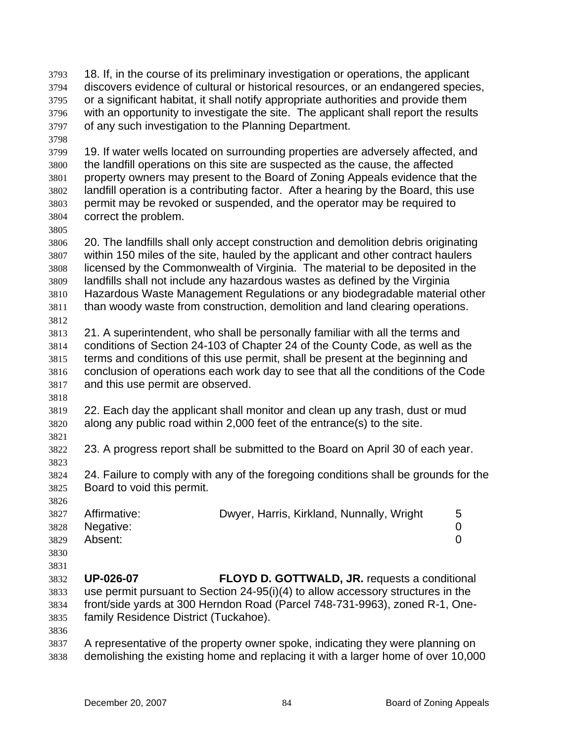- 18. If, in the course of its preliminary investigation or operations, the applicant discovers evidence of cultural or historical resources, or an endangered species, or a significant habitat, it shall notify appropriate authorities and provide them with an opportunity to investigate the site. The applicant shall report the results of any such investigation to the Planning Department. 3793 3794 3795 3796 3797
- 3798

3799 3800 3801 3802 3803 3804 19. If water wells located on surrounding properties are adversely affected, and the landfill operations on this site are suspected as the cause, the affected property owners may present to the Board of Zoning Appeals evidence that the landfill operation is a contributing factor. After a hearing by the Board, this use permit may be revoked or suspended, and the operator may be required to correct the problem.

3805

3806 3807 3808 3809 3810 3811 3812 20. The landfills shall only accept construction and demolition debris originating within 150 miles of the site, hauled by the applicant and other contract haulers licensed by the Commonwealth of Virginia. The material to be deposited in the landfills shall not include any hazardous wastes as defined by the Virginia Hazardous Waste Management Regulations or any biodegradable material other than woody waste from construction, demolition and land clearing operations.

- 3813 3814 3815 3816 3817 21. A superintendent, who shall be personally familiar with all the terms and conditions of Section 24-103 of Chapter 24 of the County Code, as well as the terms and conditions of this use permit, shall be present at the beginning and conclusion of operations each work day to see that all the conditions of the Code and this use permit are observed.
- 3819 3820 22. Each day the applicant shall monitor and clean up any trash, dust or mud along any public road within 2,000 feet of the entrance(s) to the site.
- 3821

3823

3826

3818

3822 23. A progress report shall be submitted to the Board on April 30 of each year.

3824 3825 24. Failure to comply with any of the foregoing conditions shall be grounds for the Board to void this permit.

| - - - - - - - | 3827 Affirmative: | Dwyer, Harris, Kirkland, Nunnally, Wright | 5 |
|---------------|-------------------|-------------------------------------------|---|
|               | 3828 Negative:    |                                           |   |
| 3829          | Absent:           |                                           |   |

- 3830
- 3831
- 3832 3833 3834 3835 **UP-026-07 FLOYD D. GOTTWALD, JR.** requests a conditional use permit pursuant to Section 24-95(i)(4) to allow accessory structures in the front/side yards at 300 Herndon Road (Parcel 748-731-9963), zoned R-1, Onefamily Residence District (Tuckahoe).
- 3836
- 3837 3838 A representative of the property owner spoke, indicating they were planning on demolishing the existing home and replacing it with a larger home of over 10,000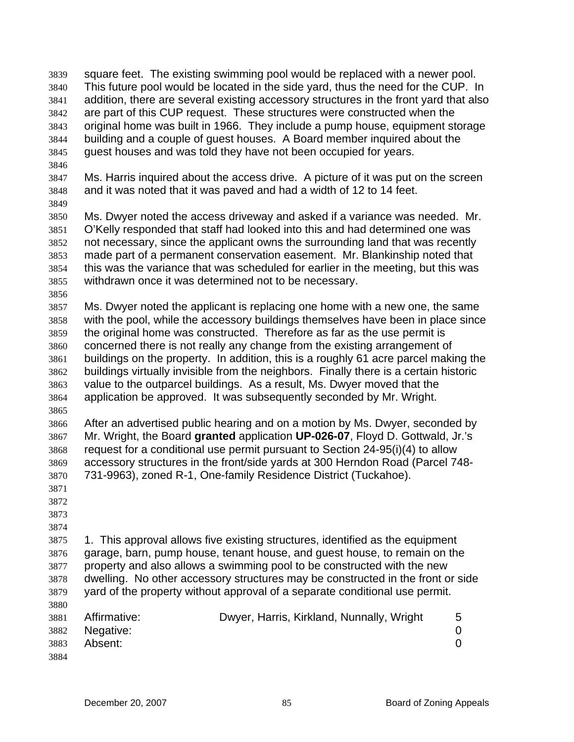| 3839 |                                                                                 | square feet. The existing swimming pool would be replaced with a newer pool.          |                |  |  |
|------|---------------------------------------------------------------------------------|---------------------------------------------------------------------------------------|----------------|--|--|
| 3840 |                                                                                 | This future pool would be located in the side yard, thus the need for the CUP. In     |                |  |  |
| 3841 |                                                                                 | addition, there are several existing accessory structures in the front yard that also |                |  |  |
| 3842 |                                                                                 | are part of this CUP request. These structures were constructed when the              |                |  |  |
| 3843 |                                                                                 | original home was built in 1966. They include a pump house, equipment storage         |                |  |  |
| 3844 |                                                                                 | building and a couple of guest houses. A Board member inquired about the              |                |  |  |
| 3845 |                                                                                 | guest houses and was told they have not been occupied for years.                      |                |  |  |
| 3846 |                                                                                 |                                                                                       |                |  |  |
| 3847 |                                                                                 | Ms. Harris inquired about the access drive. A picture of it was put on the screen     |                |  |  |
| 3848 |                                                                                 | and it was noted that it was paved and had a width of 12 to 14 feet.                  |                |  |  |
| 3849 |                                                                                 |                                                                                       |                |  |  |
| 3850 |                                                                                 | Ms. Dwyer noted the access driveway and asked if a variance was needed. Mr.           |                |  |  |
| 3851 |                                                                                 | O'Kelly responded that staff had looked into this and had determined one was          |                |  |  |
|      |                                                                                 | not necessary, since the applicant owns the surrounding land that was recently        |                |  |  |
| 3852 |                                                                                 | made part of a permanent conservation easement. Mr. Blankinship noted that            |                |  |  |
| 3853 |                                                                                 | this was the variance that was scheduled for earlier in the meeting, but this was     |                |  |  |
| 3854 |                                                                                 |                                                                                       |                |  |  |
| 3855 |                                                                                 | withdrawn once it was determined not to be necessary.                                 |                |  |  |
| 3856 |                                                                                 |                                                                                       |                |  |  |
| 3857 |                                                                                 | Ms. Dwyer noted the applicant is replacing one home with a new one, the same          |                |  |  |
| 3858 |                                                                                 | with the pool, while the accessory buildings themselves have been in place since      |                |  |  |
| 3859 |                                                                                 | the original home was constructed. Therefore as far as the use permit is              |                |  |  |
| 3860 |                                                                                 | concerned there is not really any change from the existing arrangement of             |                |  |  |
| 3861 |                                                                                 | buildings on the property. In addition, this is a roughly 61 acre parcel making the   |                |  |  |
| 3862 |                                                                                 | buildings virtually invisible from the neighbors. Finally there is a certain historic |                |  |  |
| 3863 |                                                                                 | value to the outparcel buildings. As a result, Ms. Dwyer moved that the               |                |  |  |
| 3864 |                                                                                 | application be approved. It was subsequently seconded by Mr. Wright.                  |                |  |  |
| 3865 |                                                                                 |                                                                                       |                |  |  |
| 3866 |                                                                                 | After an advertised public hearing and on a motion by Ms. Dwyer, seconded by          |                |  |  |
| 3867 |                                                                                 | Mr. Wright, the Board granted application UP-026-07, Floyd D. Gottwald, Jr.'s         |                |  |  |
| 3868 |                                                                                 | request for a conditional use permit pursuant to Section 24-95(i)(4) to allow         |                |  |  |
| 3869 |                                                                                 | accessory structures in the front/side yards at 300 Herndon Road (Parcel 748-         |                |  |  |
| 3870 |                                                                                 | 731-9963), zoned R-1, One-family Residence District (Tuckahoe).                       |                |  |  |
| 3871 |                                                                                 |                                                                                       |                |  |  |
| 3872 |                                                                                 |                                                                                       |                |  |  |
| 3873 |                                                                                 |                                                                                       |                |  |  |
| 3874 |                                                                                 |                                                                                       |                |  |  |
| 3875 |                                                                                 | 1. This approval allows five existing structures, identified as the equipment         |                |  |  |
| 3876 |                                                                                 | garage, barn, pump house, tenant house, and guest house, to remain on the             |                |  |  |
| 3877 |                                                                                 | property and also allows a swimming pool to be constructed with the new               |                |  |  |
| 3878 | dwelling. No other accessory structures may be constructed in the front or side |                                                                                       |                |  |  |
| 3879 |                                                                                 | yard of the property without approval of a separate conditional use permit.           |                |  |  |
| 3880 |                                                                                 |                                                                                       |                |  |  |
| 3881 | Affirmative:                                                                    | Dwyer, Harris, Kirkland, Nunnally, Wright                                             | 5              |  |  |
| 3882 | Negative:                                                                       |                                                                                       | 0              |  |  |
| 3883 | Absent:                                                                         |                                                                                       | $\overline{0}$ |  |  |
| 3884 |                                                                                 |                                                                                       |                |  |  |
|      |                                                                                 |                                                                                       |                |  |  |